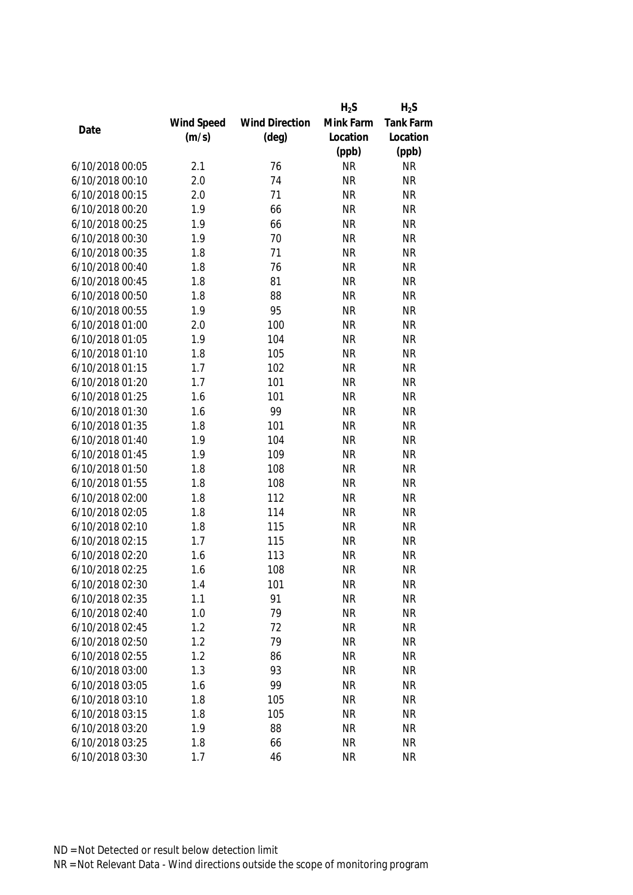|                 |            |                       | $H_2S$    | $H_2S$           |
|-----------------|------------|-----------------------|-----------|------------------|
|                 | Wind Speed | <b>Wind Direction</b> | Mink Farm | <b>Tank Farm</b> |
| Date            | (m/s)      | $(\text{deg})$        | Location  | Location         |
|                 |            |                       | (ppb)     | (ppb)            |
| 6/10/2018 00:05 | 2.1        | 76                    | <b>NR</b> | <b>NR</b>        |
| 6/10/2018 00:10 | 2.0        | 74                    | <b>NR</b> | <b>NR</b>        |
| 6/10/2018 00:15 | 2.0        | 71                    | <b>NR</b> | <b>NR</b>        |
| 6/10/2018 00:20 | 1.9        | 66                    | <b>NR</b> | <b>NR</b>        |
| 6/10/2018 00:25 | 1.9        | 66                    | <b>NR</b> | <b>NR</b>        |
| 6/10/2018 00:30 | 1.9        | 70                    | <b>NR</b> | <b>NR</b>        |
| 6/10/2018 00:35 | 1.8        | 71                    | <b>NR</b> | <b>NR</b>        |
| 6/10/2018 00:40 | 1.8        | 76                    | <b>NR</b> | <b>NR</b>        |
| 6/10/2018 00:45 | 1.8        | 81                    | <b>NR</b> | <b>NR</b>        |
| 6/10/2018 00:50 | 1.8        | 88                    | <b>NR</b> | <b>NR</b>        |
| 6/10/2018 00:55 | 1.9        | 95                    | <b>NR</b> | <b>NR</b>        |
| 6/10/2018 01:00 | 2.0        | 100                   | <b>NR</b> | <b>NR</b>        |
| 6/10/2018 01:05 | 1.9        | 104                   | <b>NR</b> | <b>NR</b>        |
| 6/10/2018 01:10 | 1.8        | 105                   | <b>NR</b> | <b>NR</b>        |
| 6/10/2018 01:15 | 1.7        | 102                   | <b>NR</b> | <b>NR</b>        |
| 6/10/2018 01:20 | 1.7        | 101                   | <b>NR</b> | <b>NR</b>        |
| 6/10/2018 01:25 | 1.6        | 101                   | <b>NR</b> | <b>NR</b>        |
| 6/10/2018 01:30 | 1.6        | 99                    | <b>NR</b> | <b>NR</b>        |
| 6/10/2018 01:35 | 1.8        | 101                   | <b>NR</b> | <b>NR</b>        |
| 6/10/2018 01:40 | 1.9        | 104                   | <b>NR</b> | <b>NR</b>        |
| 6/10/2018 01:45 | 1.9        | 109                   | <b>NR</b> | <b>NR</b>        |
| 6/10/2018 01:50 | 1.8        | 108                   | <b>NR</b> | <b>NR</b>        |
| 6/10/2018 01:55 | 1.8        | 108                   | <b>NR</b> | <b>NR</b>        |
| 6/10/2018 02:00 | 1.8        | 112                   | <b>NR</b> | <b>NR</b>        |
| 6/10/2018 02:05 | 1.8        | 114                   | <b>NR</b> | <b>NR</b>        |
| 6/10/2018 02:10 | 1.8        | 115                   | <b>NR</b> | <b>NR</b>        |
| 6/10/2018 02:15 | 1.7        | 115                   | <b>NR</b> | <b>NR</b>        |
| 6/10/2018 02:20 | 1.6        | 113                   | <b>NR</b> | <b>NR</b>        |
| 6/10/2018 02:25 | 1.6        | 108                   | <b>NR</b> | <b>NR</b>        |
| 6/10/2018 02:30 | 1.4        | 101                   | <b>NR</b> | <b>NR</b>        |
| 6/10/2018 02:35 | 1.1        | 91                    | <b>NR</b> | <b>NR</b>        |
| 6/10/2018 02:40 | 1.0        | 79                    | <b>NR</b> | <b>NR</b>        |
| 6/10/2018 02:45 | 1.2        | 72                    | <b>NR</b> | <b>NR</b>        |
| 6/10/2018 02:50 | 1.2        | 79                    | <b>NR</b> | <b>NR</b>        |
| 6/10/2018 02:55 | 1.2        |                       | <b>NR</b> | <b>NR</b>        |
|                 |            | 86<br>93              |           |                  |
| 6/10/2018 03:00 | 1.3        |                       | <b>NR</b> | <b>NR</b>        |
| 6/10/2018 03:05 | 1.6        | 99                    | <b>NR</b> | <b>NR</b>        |
| 6/10/2018 03:10 | 1.8        | 105                   | <b>NR</b> | <b>NR</b>        |
| 6/10/2018 03:15 | 1.8        | 105                   | <b>NR</b> | <b>NR</b>        |
| 6/10/2018 03:20 | 1.9        | 88                    | <b>NR</b> | <b>NR</b>        |
| 6/10/2018 03:25 | 1.8        | 66                    | <b>NR</b> | <b>NR</b>        |
| 6/10/2018 03:30 | 1.7        | 46                    | <b>NR</b> | <b>NR</b>        |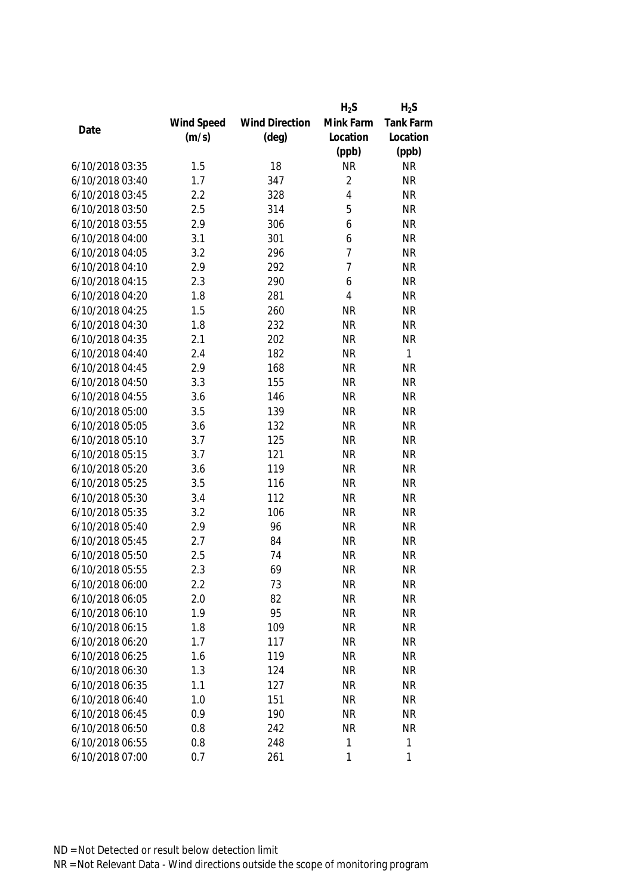|                 |            |                       | $H_2S$         | $H_2S$    |
|-----------------|------------|-----------------------|----------------|-----------|
|                 | Wind Speed | <b>Wind Direction</b> | Mink Farm      | Tank Farm |
| Date            | (m/s)      | $(\text{deg})$        | Location       | Location  |
|                 |            |                       | (ppb)          | (ppb)     |
| 6/10/2018 03:35 | 1.5        | 18                    | <b>NR</b>      | <b>NR</b> |
| 6/10/2018 03:40 | 1.7        | 347                   | $\overline{2}$ | <b>NR</b> |
| 6/10/2018 03:45 | 2.2        | 328                   | $\overline{4}$ | <b>NR</b> |
| 6/10/2018 03:50 | 2.5        | 314                   | 5              | <b>NR</b> |
| 6/10/2018 03:55 | 2.9        | 306                   | 6              | <b>NR</b> |
| 6/10/2018 04:00 | 3.1        | 301                   | 6              | <b>NR</b> |
| 6/10/2018 04:05 | 3.2        | 296                   | $\overline{1}$ | <b>NR</b> |
| 6/10/2018 04:10 | 2.9        | 292                   | $\overline{1}$ | <b>NR</b> |
| 6/10/2018 04:15 | 2.3        | 290                   | 6              | <b>NR</b> |
| 6/10/2018 04:20 | 1.8        | 281                   | 4              | <b>NR</b> |
| 6/10/2018 04:25 | 1.5        | 260                   | <b>NR</b>      | <b>NR</b> |
| 6/10/2018 04:30 | 1.8        | 232                   | <b>NR</b>      | <b>NR</b> |
| 6/10/2018 04:35 | 2.1        | 202                   | <b>NR</b>      | <b>NR</b> |
| 6/10/2018 04:40 | 2.4        | 182                   | <b>NR</b>      | 1         |
| 6/10/2018 04:45 | 2.9        | 168                   | <b>NR</b>      | <b>NR</b> |
| 6/10/2018 04:50 | 3.3        | 155                   | <b>NR</b>      | <b>NR</b> |
| 6/10/2018 04:55 | 3.6        | 146                   | <b>NR</b>      | <b>NR</b> |
| 6/10/2018 05:00 | 3.5        | 139                   | <b>NR</b>      | <b>NR</b> |
| 6/10/2018 05:05 | 3.6        | 132                   | <b>NR</b>      | <b>NR</b> |
| 6/10/2018 05:10 | 3.7        | 125                   | <b>NR</b>      | <b>NR</b> |
| 6/10/2018 05:15 | 3.7        | 121                   | <b>NR</b>      | <b>NR</b> |
| 6/10/2018 05:20 | 3.6        | 119                   | <b>NR</b>      | <b>NR</b> |
| 6/10/2018 05:25 | 3.5        | 116                   | <b>NR</b>      | <b>NR</b> |
| 6/10/2018 05:30 | 3.4        | 112                   | <b>NR</b>      | <b>NR</b> |
| 6/10/2018 05:35 | 3.2        | 106                   | <b>NR</b>      | <b>NR</b> |
| 6/10/2018 05:40 | 2.9        | 96                    | <b>NR</b>      | <b>NR</b> |
| 6/10/2018 05:45 | 2.7        | 84                    | <b>NR</b>      | <b>NR</b> |
| 6/10/2018 05:50 | 2.5        | 74                    | <b>NR</b>      | <b>NR</b> |
| 6/10/2018 05:55 | 2.3        | 69                    | <b>NR</b>      | <b>NR</b> |
| 6/10/2018 06:00 | 2.2        | 73                    | <b>NR</b>      | <b>NR</b> |
| 6/10/2018 06:05 | 2.0        | 82                    | <b>NR</b>      | <b>NR</b> |
| 6/10/2018 06:10 | 1.9        | 95                    | <b>NR</b>      | <b>NR</b> |
| 6/10/2018 06:15 | 1.8        | 109                   | <b>NR</b>      | <b>NR</b> |
| 6/10/2018 06:20 | 1.7        | 117                   | <b>NR</b>      | <b>NR</b> |
| 6/10/2018 06:25 | 1.6        | 119                   | <b>NR</b>      | <b>NR</b> |
| 6/10/2018 06:30 | 1.3        | 124                   | <b>NR</b>      | <b>NR</b> |
| 6/10/2018 06:35 | 1.1        | 127                   | <b>NR</b>      | <b>NR</b> |
| 6/10/2018 06:40 | 1.0        | 151                   | <b>NR</b>      | <b>NR</b> |
| 6/10/2018 06:45 | 0.9        | 190                   | <b>NR</b>      | <b>NR</b> |
| 6/10/2018 06:50 | 0.8        | 242                   | <b>NR</b>      | <b>NR</b> |
| 6/10/2018 06:55 | 0.8        | 248                   | 1              | 1         |
| 6/10/2018 07:00 | 0.7        | 261                   | $\mathbf{1}$   | 1         |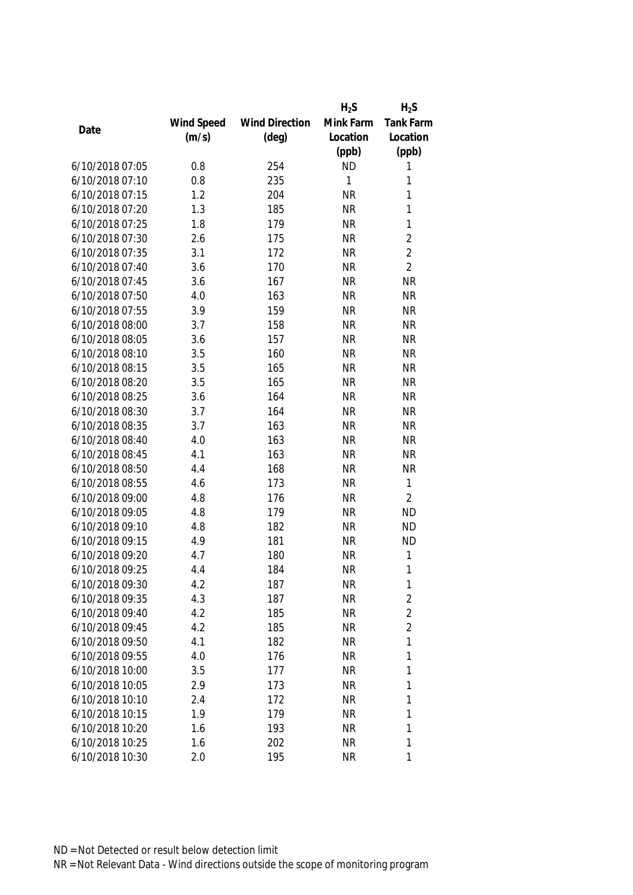|                                    |            |                       | $H_2S$    | $H_2S$         |
|------------------------------------|------------|-----------------------|-----------|----------------|
|                                    | Wind Speed | <b>Wind Direction</b> | Mink Farm | Tank Farm      |
| Date                               | (m/s)      | $(\text{deg})$        | Location  | Location       |
|                                    |            |                       | (ppb)     | (ppb)          |
| 6/10/2018 07:05                    | 0.8        | 254                   | <b>ND</b> | 1              |
| 6/10/2018 07:10                    | 0.8        | 235                   | 1         | 1              |
| 6/10/2018 07:15                    | 1.2        | 204                   | <b>NR</b> | 1              |
| 6/10/2018 07:20                    | 1.3        | 185                   | <b>NR</b> | 1              |
| 6/10/2018 07:25                    | 1.8        | 179                   | <b>NR</b> | $\mathbf{1}$   |
| 6/10/2018 07:30                    | 2.6        | 175                   | <b>NR</b> | $\overline{2}$ |
| 6/10/2018 07:35                    | 3.1        | 172                   | <b>NR</b> | $\overline{2}$ |
| 6/10/2018 07:40                    | 3.6        | 170                   | <b>NR</b> | $\overline{2}$ |
| 6/10/2018 07:45                    | 3.6        | 167                   | <b>NR</b> | <b>NR</b>      |
| 6/10/2018 07:50                    | 4.0        | 163                   | <b>NR</b> | <b>NR</b>      |
| 6/10/2018 07:55                    | 3.9        | 159                   | <b>NR</b> | <b>NR</b>      |
| 6/10/2018 08:00                    | 3.7        | 158                   | <b>NR</b> | <b>NR</b>      |
| 6/10/2018 08:05                    | 3.6        | 157                   | <b>NR</b> | <b>NR</b>      |
| 6/10/2018 08:10                    | 3.5        | 160                   | <b>NR</b> | <b>NR</b>      |
| 6/10/2018 08:15                    | 3.5        | 165                   | <b>NR</b> | <b>NR</b>      |
| 6/10/2018 08:20                    | 3.5        | 165                   | <b>NR</b> | <b>NR</b>      |
| 6/10/2018 08:25                    | 3.6        | 164                   | <b>NR</b> | <b>NR</b>      |
| 6/10/2018 08:30                    | 3.7        | 164                   | <b>NR</b> | <b>NR</b>      |
| 6/10/2018 08:35                    | 3.7        | 163                   | <b>NR</b> | <b>NR</b>      |
| 6/10/2018 08:40                    | 4.0        | 163                   | <b>NR</b> | <b>NR</b>      |
| 6/10/2018 08:45                    | 4.1        | 163                   | <b>NR</b> | <b>NR</b>      |
| 6/10/2018 08:50                    | 4.4        | 168                   | <b>NR</b> | <b>NR</b>      |
| 6/10/2018 08:55                    | 4.6        | 173                   | <b>NR</b> | $\mathbf{1}$   |
| 6/10/2018 09:00                    | 4.8        | 176                   | <b>NR</b> | $\overline{2}$ |
| 6/10/2018 09:05                    | 4.8        | 179                   | <b>NR</b> | <b>ND</b>      |
| 6/10/2018 09:10                    | 4.8        | 182                   | <b>NR</b> | <b>ND</b>      |
| 6/10/2018 09:15                    | 4.9        | 181                   | <b>NR</b> | <b>ND</b>      |
| 6/10/2018 09:20                    | 4.7        | 180                   | <b>NR</b> | $\mathbf{1}$   |
| 6/10/2018 09:25                    | 4.4        | 184                   | <b>NR</b> | 1              |
| 6/10/2018 09:30                    | 4.2        | 187                   | <b>NR</b> | 1              |
| 6/10/2018 09:35                    | 4.3        | 187                   | <b>NR</b> | $\overline{2}$ |
| 6/10/2018 09:40                    | 4.2        | 185                   | <b>NR</b> | $\overline{2}$ |
| 6/10/2018 09:45                    | 4.2        | 185                   | <b>NR</b> | $\overline{2}$ |
| 6/10/2018 09:50                    | 4.1        | 182                   | <b>NR</b> | 1              |
| 6/10/2018 09:55                    | 4.0        | 176                   | <b>NR</b> | 1              |
| 6/10/2018 10:00                    | 3.5        | 177                   | <b>NR</b> | 1              |
| 6/10/2018 10:05                    | 2.9        |                       | <b>NR</b> | 1              |
|                                    |            | 173                   |           |                |
| 6/10/2018 10:10<br>6/10/2018 10:15 | 2.4<br>1.9 | 172                   | <b>NR</b> | 1<br>1         |
|                                    |            | 179                   | <b>NR</b> |                |
| 6/10/2018 10:20                    | 1.6        | 193                   | <b>NR</b> | 1              |
| 6/10/2018 10:25                    | 1.6        | 202                   | <b>NR</b> | 1              |
| 6/10/2018 10:30                    | 2.0        | 195                   | <b>NR</b> | 1              |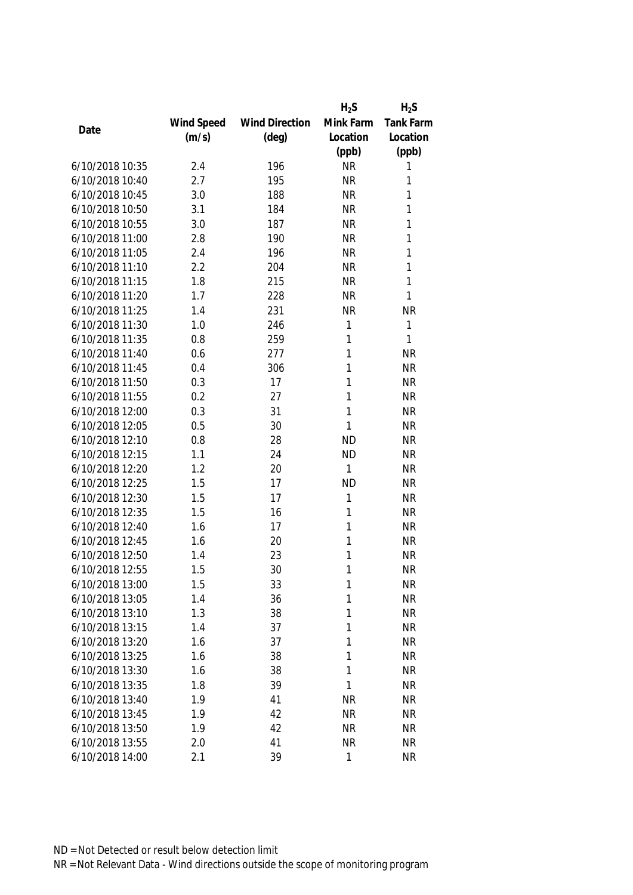|                 |            |                       | $H_2S$       | $H_2S$    |
|-----------------|------------|-----------------------|--------------|-----------|
|                 | Wind Speed | <b>Wind Direction</b> | Mink Farm    | Tank Farm |
| Date            | (m/s)      | $(\text{deg})$        | Location     | Location  |
|                 |            |                       | (ppb)        | (ppb)     |
| 6/10/2018 10:35 | 2.4        | 196                   | <b>NR</b>    | 1         |
| 6/10/2018 10:40 | 2.7        | 195                   | <b>NR</b>    | 1         |
| 6/10/2018 10:45 | 3.0        | 188                   | <b>NR</b>    | 1         |
| 6/10/2018 10:50 | 3.1        | 184                   | <b>NR</b>    | 1         |
| 6/10/2018 10:55 | 3.0        | 187                   | <b>NR</b>    | 1         |
| 6/10/2018 11:00 | 2.8        | 190                   | <b>NR</b>    | 1         |
| 6/10/2018 11:05 | 2.4        | 196                   | <b>NR</b>    | 1         |
| 6/10/2018 11:10 | 2.2        | 204                   | <b>NR</b>    | 1         |
| 6/10/2018 11:15 | 1.8        | 215                   | <b>NR</b>    | 1         |
| 6/10/2018 11:20 | 1.7        | 228                   | <b>NR</b>    | 1         |
| 6/10/2018 11:25 | 1.4        | 231                   | <b>NR</b>    | <b>NR</b> |
| 6/10/2018 11:30 | 1.0        | 246                   | 1            | 1         |
| 6/10/2018 11:35 | 0.8        | 259                   | 1            | 1         |
| 6/10/2018 11:40 | 0.6        | 277                   | 1            | <b>NR</b> |
| 6/10/2018 11:45 | 0.4        | 306                   | 1            | <b>NR</b> |
| 6/10/2018 11:50 | 0.3        | 17                    | $\mathbf{1}$ | <b>NR</b> |
| 6/10/2018 11:55 | 0.2        | 27                    | 1            | <b>NR</b> |
| 6/10/2018 12:00 | 0.3        | 31                    | 1            | <b>NR</b> |
| 6/10/2018 12:05 | 0.5        | 30                    | 1            | <b>NR</b> |
| 6/10/2018 12:10 | 0.8        | 28                    | <b>ND</b>    | <b>NR</b> |
| 6/10/2018 12:15 | 1.1        | 24                    | <b>ND</b>    | <b>NR</b> |
| 6/10/2018 12:20 | 1.2        | 20                    | 1            | <b>NR</b> |
| 6/10/2018 12:25 | 1.5        | 17                    | <b>ND</b>    | <b>NR</b> |
| 6/10/2018 12:30 | 1.5        | 17                    | 1            | <b>NR</b> |
| 6/10/2018 12:35 | 1.5        | 16                    | 1            | <b>NR</b> |
| 6/10/2018 12:40 | 1.6        | 17                    | 1            | <b>NR</b> |
| 6/10/2018 12:45 | 1.6        | 20                    | 1            | <b>NR</b> |
| 6/10/2018 12:50 | 1.4        | 23                    | 1            | <b>NR</b> |
| 6/10/2018 12:55 | 1.5        | 30                    | 1            | <b>NR</b> |
| 6/10/2018 13:00 | 1.5        | 33                    | 1            | <b>NR</b> |
| 6/10/2018 13:05 | 1.4        | 36                    | 1            | <b>NR</b> |
| 6/10/2018 13:10 | 1.3        | 38                    | 1            | <b>NR</b> |
| 6/10/2018 13:15 | 1.4        | 37                    | 1            | <b>NR</b> |
| 6/10/2018 13:20 | 1.6        | 37                    | 1            | <b>NR</b> |
| 6/10/2018 13:25 | 1.6        | 38                    | 1            | <b>NR</b> |
| 6/10/2018 13:30 | 1.6        | 38                    | 1            | <b>NR</b> |
| 6/10/2018 13:35 | 1.8        | 39                    | 1            | <b>NR</b> |
| 6/10/2018 13:40 | 1.9        | 41                    | <b>NR</b>    | <b>NR</b> |
| 6/10/2018 13:45 | 1.9        | 42                    | <b>NR</b>    | <b>NR</b> |
| 6/10/2018 13:50 | 1.9        | 42                    | <b>NR</b>    | <b>NR</b> |
| 6/10/2018 13:55 | 2.0        | 41                    | <b>NR</b>    | <b>NR</b> |
| 6/10/2018 14:00 | 2.1        | 39                    | 1            | <b>NR</b> |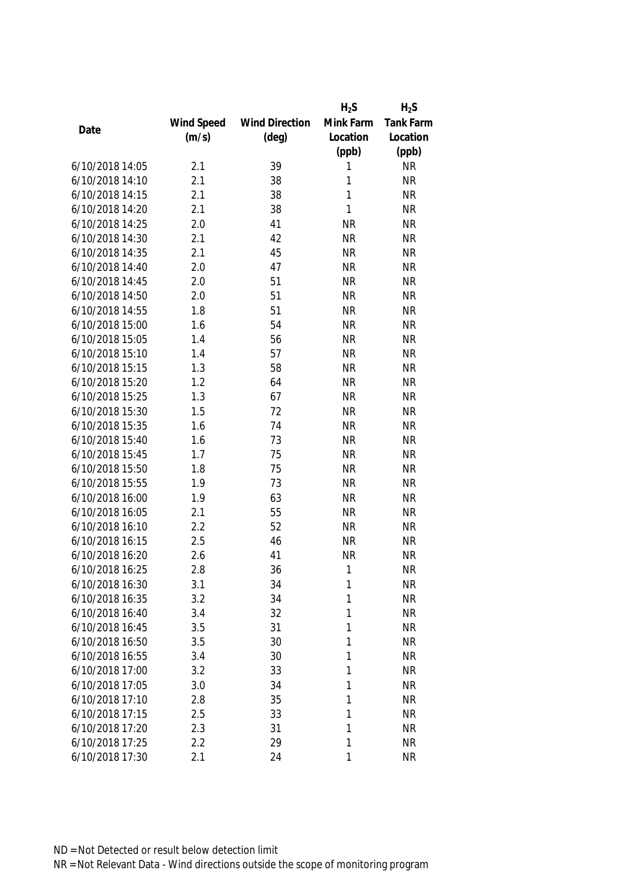|                 |            |                       | $H_2S$    | $H_2S$           |
|-----------------|------------|-----------------------|-----------|------------------|
|                 | Wind Speed | <b>Wind Direction</b> | Mink Farm | <b>Tank Farm</b> |
| Date            | (m/s)      | $(\text{deg})$        | Location  | Location         |
|                 |            |                       | (ppb)     | (ppb)            |
| 6/10/2018 14:05 | 2.1        | 39                    | 1         | <b>NR</b>        |
| 6/10/2018 14:10 | 2.1        | 38                    | 1         | <b>NR</b>        |
| 6/10/2018 14:15 | 2.1        | 38                    | 1         | <b>NR</b>        |
| 6/10/2018 14:20 | 2.1        | 38                    | 1         | <b>NR</b>        |
| 6/10/2018 14:25 | 2.0        | 41                    | <b>NR</b> | <b>NR</b>        |
| 6/10/2018 14:30 | 2.1        | 42                    | <b>NR</b> | <b>NR</b>        |
| 6/10/2018 14:35 | 2.1        | 45                    | <b>NR</b> | <b>NR</b>        |
| 6/10/2018 14:40 | 2.0        | 47                    | <b>NR</b> | <b>NR</b>        |
| 6/10/2018 14:45 | 2.0        | 51                    | <b>NR</b> | <b>NR</b>        |
| 6/10/2018 14:50 | 2.0        | 51                    | <b>NR</b> | <b>NR</b>        |
| 6/10/2018 14:55 | 1.8        | 51                    | <b>NR</b> | <b>NR</b>        |
| 6/10/2018 15:00 | 1.6        | 54                    | <b>NR</b> | <b>NR</b>        |
| 6/10/2018 15:05 | 1.4        | 56                    | <b>NR</b> | <b>NR</b>        |
| 6/10/2018 15:10 | 1.4        | 57                    | <b>NR</b> | <b>NR</b>        |
| 6/10/2018 15:15 | 1.3        | 58                    | <b>NR</b> | <b>NR</b>        |
| 6/10/2018 15:20 | 1.2        | 64                    | <b>NR</b> | <b>NR</b>        |
| 6/10/2018 15:25 | 1.3        | 67                    | <b>NR</b> | <b>NR</b>        |
| 6/10/2018 15:30 | 1.5        | 72                    | <b>NR</b> | <b>NR</b>        |
| 6/10/2018 15:35 | 1.6        | 74                    | <b>NR</b> | <b>NR</b>        |
| 6/10/2018 15:40 | 1.6        | 73                    | <b>NR</b> | <b>NR</b>        |
| 6/10/2018 15:45 | 1.7        | 75                    | <b>NR</b> | <b>NR</b>        |
| 6/10/2018 15:50 | 1.8        | 75                    | <b>NR</b> | <b>NR</b>        |
| 6/10/2018 15:55 | 1.9        | 73                    | <b>NR</b> | <b>NR</b>        |
| 6/10/2018 16:00 | 1.9        | 63                    | <b>NR</b> | <b>NR</b>        |
| 6/10/2018 16:05 | 2.1        | 55                    | <b>NR</b> | <b>NR</b>        |
| 6/10/2018 16:10 | 2.2        | 52                    | <b>NR</b> | <b>NR</b>        |
| 6/10/2018 16:15 | 2.5        | 46                    | <b>NR</b> | <b>NR</b>        |
| 6/10/2018 16:20 | 2.6        | 41                    | <b>NR</b> | <b>NR</b>        |
| 6/10/2018 16:25 | 2.8        | 36                    | 1         | <b>NR</b>        |
| 6/10/2018 16:30 | 3.1        | 34                    | 1         | <b>NR</b>        |
| 6/10/2018 16:35 | 3.2        | 34                    | 1         | <b>NR</b>        |
| 6/10/2018 16:40 | 3.4        | 32                    | 1         | <b>NR</b>        |
| 6/10/2018 16:45 | 3.5        | 31                    | 1         | <b>NR</b>        |
| 6/10/2018 16:50 | 3.5        | 30                    | 1         | <b>NR</b>        |
| 6/10/2018 16:55 | 3.4        | 30                    | 1         | <b>NR</b>        |
| 6/10/2018 17:00 | 3.2        | 33                    | 1         | <b>NR</b>        |
| 6/10/2018 17:05 | 3.0        | 34                    | 1         | <b>NR</b>        |
| 6/10/2018 17:10 | 2.8        | 35                    | 1         | <b>NR</b>        |
| 6/10/2018 17:15 | 2.5        | 33                    | 1         | <b>NR</b>        |
| 6/10/2018 17:20 | 2.3        | 31                    | 1         | <b>NR</b>        |
| 6/10/2018 17:25 | 2.2        | 29                    | 1         | <b>NR</b>        |
| 6/10/2018 17:30 | 2.1        | 24                    | 1         | <b>NR</b>        |
|                 |            |                       |           |                  |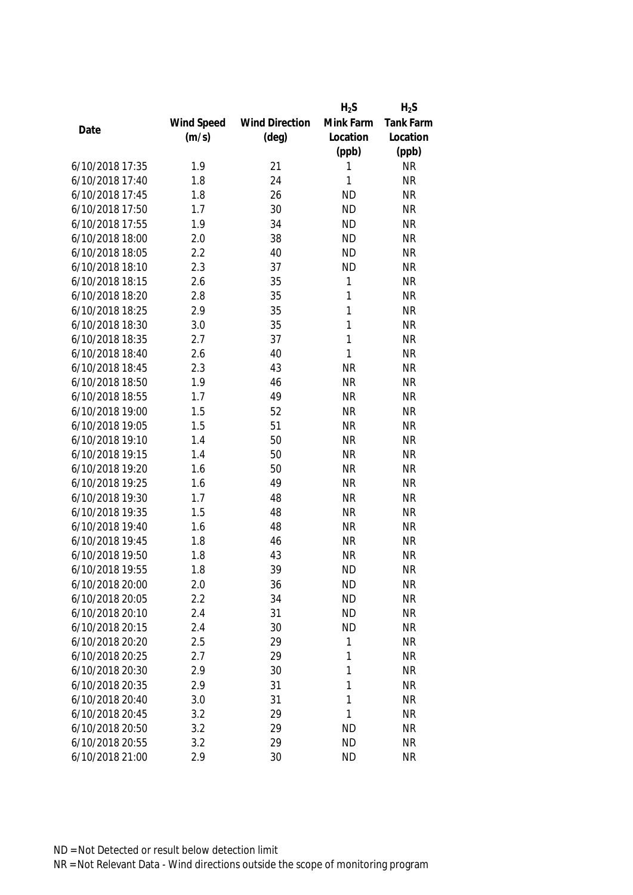|                 |            |                       | $H_2S$    | $H_2S$    |
|-----------------|------------|-----------------------|-----------|-----------|
|                 | Wind Speed | <b>Wind Direction</b> | Mink Farm | Tank Farm |
| Date            | (m/s)      | $(\text{deg})$        | Location  | Location  |
|                 |            |                       | (ppb)     | (ppb)     |
| 6/10/2018 17:35 | 1.9        | 21                    | 1         | <b>NR</b> |
| 6/10/2018 17:40 | 1.8        | 24                    | 1         | <b>NR</b> |
| 6/10/2018 17:45 | 1.8        | 26                    | <b>ND</b> | <b>NR</b> |
| 6/10/2018 17:50 | 1.7        | 30                    | <b>ND</b> | <b>NR</b> |
| 6/10/2018 17:55 | 1.9        | 34                    | <b>ND</b> | <b>NR</b> |
| 6/10/2018 18:00 | 2.0        | 38                    | <b>ND</b> | <b>NR</b> |
| 6/10/2018 18:05 | 2.2        | 40                    | <b>ND</b> | <b>NR</b> |
| 6/10/2018 18:10 | 2.3        | 37                    | <b>ND</b> | <b>NR</b> |
| 6/10/2018 18:15 | 2.6        | 35                    | 1         | <b>NR</b> |
| 6/10/2018 18:20 | 2.8        | 35                    | 1         | <b>NR</b> |
| 6/10/2018 18:25 | 2.9        | 35                    | 1         | <b>NR</b> |
| 6/10/2018 18:30 | 3.0        | 35                    | 1         | <b>NR</b> |
| 6/10/2018 18:35 | 2.7        | 37                    | 1         | <b>NR</b> |
| 6/10/2018 18:40 | 2.6        | 40                    | 1         | <b>NR</b> |
| 6/10/2018 18:45 | 2.3        | 43                    | <b>NR</b> | <b>NR</b> |
| 6/10/2018 18:50 | 1.9        | 46                    | <b>NR</b> | <b>NR</b> |
| 6/10/2018 18:55 | 1.7        | 49                    | <b>NR</b> | <b>NR</b> |
| 6/10/2018 19:00 | 1.5        | 52                    | <b>NR</b> | <b>NR</b> |
| 6/10/2018 19:05 | 1.5        | 51                    | <b>NR</b> | <b>NR</b> |
| 6/10/2018 19:10 | 1.4        | 50                    | <b>NR</b> | <b>NR</b> |
| 6/10/2018 19:15 | 1.4        | 50                    | <b>NR</b> | <b>NR</b> |
| 6/10/2018 19:20 | 1.6        | 50                    | <b>NR</b> | <b>NR</b> |
| 6/10/2018 19:25 | 1.6        | 49                    | <b>NR</b> | <b>NR</b> |
| 6/10/2018 19:30 | 1.7        | 48                    | <b>NR</b> | <b>NR</b> |
| 6/10/2018 19:35 | 1.5        | 48                    | <b>NR</b> | <b>NR</b> |
| 6/10/2018 19:40 | 1.6        | 48                    | <b>NR</b> | <b>NR</b> |
| 6/10/2018 19:45 | 1.8        | 46                    | <b>NR</b> | <b>NR</b> |
| 6/10/2018 19:50 | 1.8        | 43                    | <b>NR</b> | <b>NR</b> |
| 6/10/2018 19:55 | 1.8        | 39                    | <b>ND</b> | <b>NR</b> |
| 6/10/2018 20:00 | 2.0        | 36                    | <b>ND</b> | <b>NR</b> |
| 6/10/2018 20:05 | 2.2        | 34                    | <b>ND</b> | <b>NR</b> |
| 6/10/2018 20:10 | 2.4        | 31                    | <b>ND</b> | <b>NR</b> |
| 6/10/2018 20:15 | 2.4        | 30                    | <b>ND</b> | <b>NR</b> |
| 6/10/2018 20:20 | 2.5        | 29                    | 1         | <b>NR</b> |
| 6/10/2018 20:25 | 2.7        | 29                    | 1         | <b>NR</b> |
| 6/10/2018 20:30 | 2.9        | 30                    | 1         | <b>NR</b> |
| 6/10/2018 20:35 | 2.9        | 31                    | 1         | <b>NR</b> |
| 6/10/2018 20:40 | 3.0        | 31                    | 1         | <b>NR</b> |
| 6/10/2018 20:45 | 3.2        | 29                    | 1         | <b>NR</b> |
| 6/10/2018 20:50 | 3.2        | 29                    | <b>ND</b> | <b>NR</b> |
| 6/10/2018 20:55 | 3.2        | 29                    | <b>ND</b> | <b>NR</b> |
|                 |            |                       |           |           |
| 6/10/2018 21:00 | 2.9        | 30                    | <b>ND</b> | <b>NR</b> |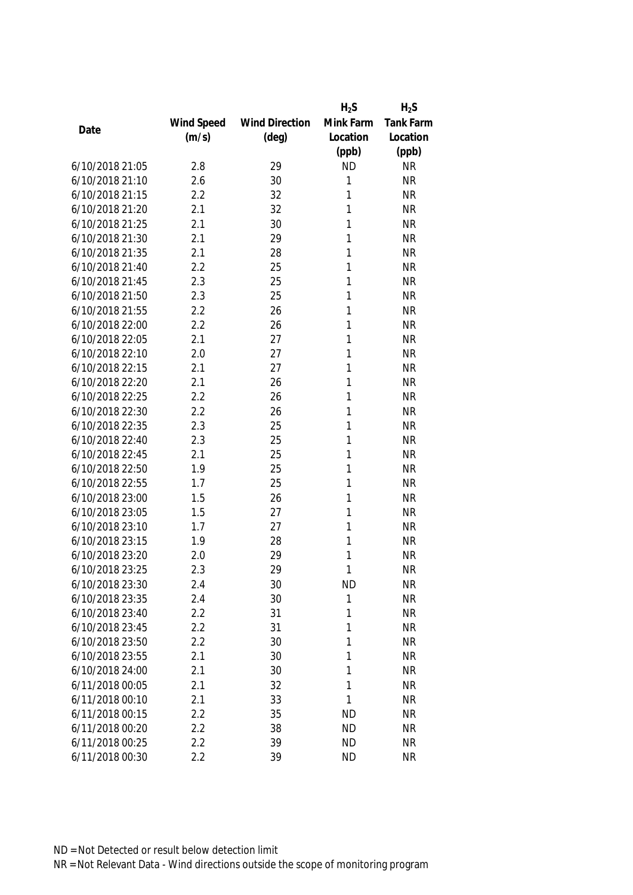|                 |            |                       | $H_2S$    | $H_2S$           |
|-----------------|------------|-----------------------|-----------|------------------|
|                 | Wind Speed | <b>Wind Direction</b> | Mink Farm | <b>Tank Farm</b> |
| Date            | (m/s)      | $(\text{deg})$        | Location  | Location         |
|                 |            |                       | (ppb)     | (ppb)            |
| 6/10/2018 21:05 | 2.8        | 29                    | <b>ND</b> | <b>NR</b>        |
| 6/10/2018 21:10 | 2.6        | 30                    | 1         | <b>NR</b>        |
| 6/10/2018 21:15 | 2.2        | 32                    | 1         | <b>NR</b>        |
| 6/10/2018 21:20 | 2.1        | 32                    | 1         | <b>NR</b>        |
| 6/10/2018 21:25 | 2.1        | 30                    | 1         | <b>NR</b>        |
| 6/10/2018 21:30 | 2.1        | 29                    | 1         | <b>NR</b>        |
| 6/10/2018 21:35 | 2.1        | 28                    | 1         | <b>NR</b>        |
| 6/10/2018 21:40 | 2.2        | 25                    | 1         | <b>NR</b>        |
| 6/10/2018 21:45 | 2.3        | 25                    | 1         | <b>NR</b>        |
| 6/10/2018 21:50 | 2.3        | 25                    | 1         | <b>NR</b>        |
| 6/10/2018 21:55 | 2.2        | 26                    | 1         | <b>NR</b>        |
| 6/10/2018 22:00 | 2.2        | 26                    | 1         | <b>NR</b>        |
| 6/10/2018 22:05 | 2.1        | 27                    | 1         | <b>NR</b>        |
| 6/10/2018 22:10 | 2.0        | 27                    | 1         | <b>NR</b>        |
| 6/10/2018 22:15 | 2.1        | 27                    | 1         | <b>NR</b>        |
| 6/10/2018 22:20 | 2.1        | 26                    | 1         | <b>NR</b>        |
| 6/10/2018 22:25 | 2.2        | 26                    | 1         | <b>NR</b>        |
| 6/10/2018 22:30 | 2.2        | 26                    | 1         | <b>NR</b>        |
| 6/10/2018 22:35 | 2.3        | 25                    | 1         | <b>NR</b>        |
| 6/10/2018 22:40 | 2.3        | 25                    | 1         | <b>NR</b>        |
| 6/10/2018 22:45 | 2.1        | 25                    | 1         | <b>NR</b>        |
| 6/10/2018 22:50 | 1.9        | 25                    | 1         | <b>NR</b>        |
| 6/10/2018 22:55 | 1.7        | 25                    | 1         | <b>NR</b>        |
| 6/10/2018 23:00 | 1.5        | 26                    | 1         | <b>NR</b>        |
| 6/10/2018 23:05 | 1.5        | 27                    | 1         | <b>NR</b>        |
| 6/10/2018 23:10 | 1.7        | 27                    | 1         | <b>NR</b>        |
| 6/10/2018 23:15 | 1.9        | 28                    | 1         | <b>NR</b>        |
| 6/10/2018 23:20 | 2.0        | 29                    | 1         | <b>NR</b>        |
| 6/10/2018 23:25 | 2.3        | 29                    | 1         | <b>NR</b>        |
| 6/10/2018 23:30 | 2.4        | 30                    | <b>ND</b> | <b>NR</b>        |
| 6/10/2018 23:35 | 2.4        | 30                    | 1         | <b>NR</b>        |
| 6/10/2018 23:40 | 2.2        | 31                    | 1         | <b>NR</b>        |
| 6/10/2018 23:45 | 2.2        | 31                    | 1         | <b>NR</b>        |
| 6/10/2018 23:50 | 2.2        | 30                    | 1         | <b>NR</b>        |
| 6/10/2018 23:55 | 2.1        | 30                    | 1         | <b>NR</b>        |
| 6/10/2018 24:00 | 2.1        | 30                    | 1         | <b>NR</b>        |
| 6/11/2018 00:05 | 2.1        | 32                    | 1         | <b>NR</b>        |
| 6/11/2018 00:10 | 2.1        |                       | 1         | <b>NR</b>        |
| 6/11/2018 00:15 | 2.2        | 33<br>35              | <b>ND</b> | <b>NR</b>        |
| 6/11/2018 00:20 | 2.2        | 38                    | <b>ND</b> | <b>NR</b>        |
|                 |            |                       |           |                  |
| 6/11/2018 00:25 | 2.2        | 39                    | <b>ND</b> | NR               |
| 6/11/2018 00:30 | 2.2        | 39                    | <b>ND</b> | <b>NR</b>        |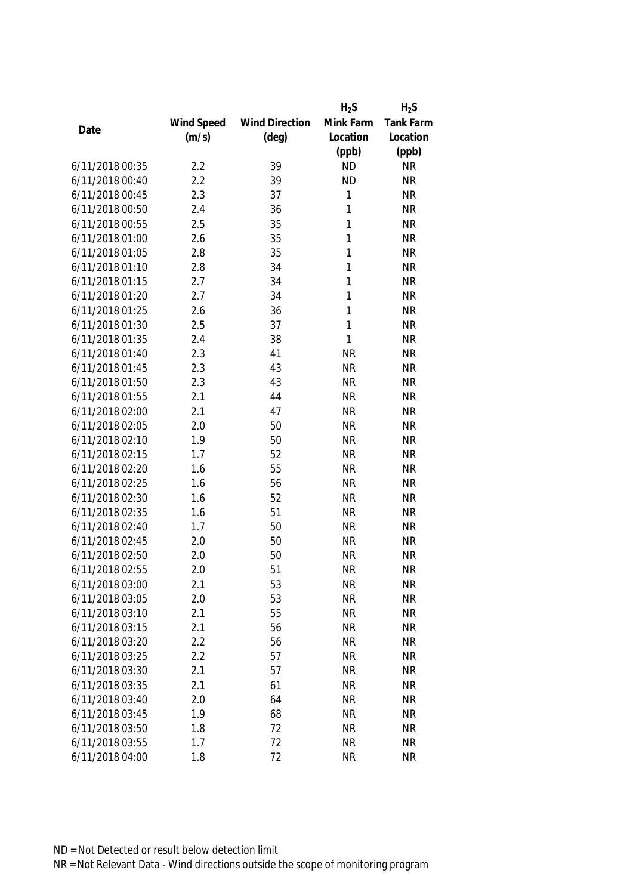|                 |            |                       | $H_2S$    | $H_2S$           |
|-----------------|------------|-----------------------|-----------|------------------|
|                 | Wind Speed | <b>Wind Direction</b> | Mink Farm | <b>Tank Farm</b> |
| Date            | (m/s)      | $(\text{deg})$        | Location  | Location         |
|                 |            |                       | (ppb)     | (ppb)            |
| 6/11/2018 00:35 | 2.2        | 39                    | <b>ND</b> | <b>NR</b>        |
| 6/11/2018 00:40 | 2.2        | 39                    | <b>ND</b> | <b>NR</b>        |
| 6/11/2018 00:45 | 2.3        | 37                    | 1         | <b>NR</b>        |
| 6/11/2018 00:50 | 2.4        | 36                    | 1         | <b>NR</b>        |
| 6/11/2018 00:55 | 2.5        | 35                    | 1         | <b>NR</b>        |
| 6/11/2018 01:00 | 2.6        | 35                    | 1         | <b>NR</b>        |
| 6/11/2018 01:05 | 2.8        | 35                    | 1         | <b>NR</b>        |
| 6/11/2018 01:10 | 2.8        | 34                    | 1         | <b>NR</b>        |
| 6/11/2018 01:15 | 2.7        | 34                    | 1         | <b>NR</b>        |
| 6/11/2018 01:20 | 2.7        | 34                    | 1         | <b>NR</b>        |
| 6/11/2018 01:25 | 2.6        | 36                    | 1         | <b>NR</b>        |
| 6/11/2018 01:30 | 2.5        | 37                    | 1         | <b>NR</b>        |
| 6/11/2018 01:35 | 2.4        | 38                    | 1         | <b>NR</b>        |
| 6/11/2018 01:40 | 2.3        | 41                    | <b>NR</b> | <b>NR</b>        |
| 6/11/2018 01:45 | 2.3        | 43                    | <b>NR</b> | <b>NR</b>        |
| 6/11/2018 01:50 | 2.3        | 43                    | <b>NR</b> | <b>NR</b>        |
| 6/11/2018 01:55 | 2.1        | 44                    | <b>NR</b> | <b>NR</b>        |
| 6/11/2018 02:00 | 2.1        | 47                    | <b>NR</b> | <b>NR</b>        |
| 6/11/2018 02:05 | 2.0        | 50                    | <b>NR</b> | <b>NR</b>        |
| 6/11/2018 02:10 | 1.9        | 50                    | <b>NR</b> | <b>NR</b>        |
| 6/11/2018 02:15 | 1.7        | 52                    | <b>NR</b> | <b>NR</b>        |
| 6/11/2018 02:20 | 1.6        | 55                    | <b>NR</b> | <b>NR</b>        |
| 6/11/2018 02:25 | 1.6        | 56                    | <b>NR</b> | <b>NR</b>        |
| 6/11/2018 02:30 | 1.6        | 52                    | <b>NR</b> | <b>NR</b>        |
| 6/11/2018 02:35 | 1.6        | 51                    | <b>NR</b> | <b>NR</b>        |
| 6/11/2018 02:40 | 1.7        | 50                    | <b>NR</b> | <b>NR</b>        |
| 6/11/2018 02:45 | 2.0        | 50                    | <b>NR</b> | <b>NR</b>        |
| 6/11/2018 02:50 | 2.0        | 50                    | <b>NR</b> | <b>NR</b>        |
| 6/11/2018 02:55 | 2.0        | 51                    | <b>NR</b> | <b>NR</b>        |
| 6/11/2018 03:00 | 2.1        | 53                    | <b>NR</b> | <b>NR</b>        |
| 6/11/2018 03:05 | 2.0        | 53                    | <b>NR</b> | <b>NR</b>        |
| 6/11/2018 03:10 | 2.1        | 55                    | <b>NR</b> | <b>NR</b>        |
| 6/11/2018 03:15 | 2.1        | 56                    | <b>NR</b> | <b>NR</b>        |
| 6/11/2018 03:20 | 2.2        | 56                    | <b>NR</b> | <b>NR</b>        |
| 6/11/2018 03:25 | 2.2        | 57                    | <b>NR</b> | <b>NR</b>        |
| 6/11/2018 03:30 | 2.1        | 57                    | <b>NR</b> | <b>NR</b>        |
| 6/11/2018 03:35 | 2.1        | 61                    | <b>NR</b> | <b>NR</b>        |
| 6/11/2018 03:40 | 2.0        | 64                    | <b>NR</b> | <b>NR</b>        |
| 6/11/2018 03:45 | 1.9        | 68                    | <b>NR</b> | <b>NR</b>        |
| 6/11/2018 03:50 | 1.8        | 72                    | <b>NR</b> | <b>NR</b>        |
|                 |            |                       |           |                  |
| 6/11/2018 03:55 | 1.7        | 72                    | <b>NR</b> | <b>NR</b>        |
| 6/11/2018 04:00 | 1.8        | 72                    | <b>NR</b> | <b>NR</b>        |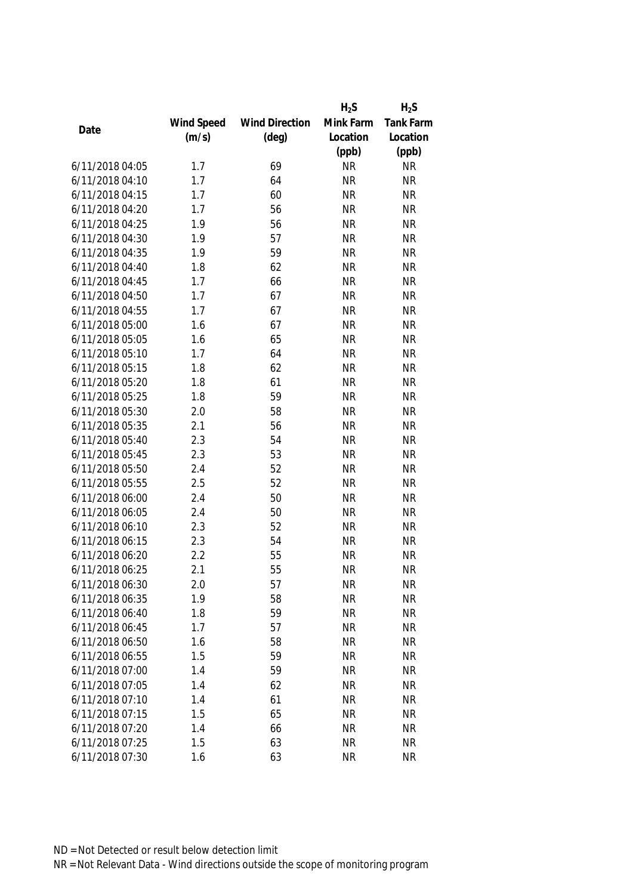|                 |            |                       | $H_2S$    | $H_2S$           |
|-----------------|------------|-----------------------|-----------|------------------|
|                 | Wind Speed | <b>Wind Direction</b> | Mink Farm | <b>Tank Farm</b> |
| Date            | (m/s)      | $(\text{deg})$        | Location  | Location         |
|                 |            |                       | (ppb)     | (ppb)            |
| 6/11/2018 04:05 | 1.7        | 69                    | <b>NR</b> | <b>NR</b>        |
| 6/11/2018 04:10 | 1.7        | 64                    | <b>NR</b> | <b>NR</b>        |
| 6/11/2018 04:15 | 1.7        | 60                    | <b>NR</b> | <b>NR</b>        |
| 6/11/2018 04:20 | 1.7        | 56                    | <b>NR</b> | <b>NR</b>        |
| 6/11/2018 04:25 | 1.9        | 56                    | <b>NR</b> | <b>NR</b>        |
| 6/11/2018 04:30 | 1.9        | 57                    | <b>NR</b> | <b>NR</b>        |
| 6/11/2018 04:35 | 1.9        | 59                    | <b>NR</b> | <b>NR</b>        |
| 6/11/2018 04:40 | 1.8        | 62                    | <b>NR</b> | <b>NR</b>        |
| 6/11/2018 04:45 | 1.7        | 66                    | <b>NR</b> | <b>NR</b>        |
| 6/11/2018 04:50 | 1.7        | 67                    | <b>NR</b> | <b>NR</b>        |
| 6/11/2018 04:55 | 1.7        | 67                    | <b>NR</b> | <b>NR</b>        |
| 6/11/2018 05:00 | 1.6        | 67                    | <b>NR</b> | <b>NR</b>        |
| 6/11/2018 05:05 | 1.6        | 65                    | <b>NR</b> | <b>NR</b>        |
| 6/11/2018 05:10 | 1.7        | 64                    | <b>NR</b> | <b>NR</b>        |
| 6/11/2018 05:15 | 1.8        | 62                    | <b>NR</b> | <b>NR</b>        |
| 6/11/2018 05:20 | 1.8        | 61                    | <b>NR</b> | <b>NR</b>        |
| 6/11/2018 05:25 | 1.8        | 59                    | <b>NR</b> | <b>NR</b>        |
| 6/11/2018 05:30 | 2.0        | 58                    | <b>NR</b> | <b>NR</b>        |
| 6/11/2018 05:35 | 2.1        | 56                    | <b>NR</b> | <b>NR</b>        |
| 6/11/2018 05:40 | 2.3        | 54                    | <b>NR</b> | <b>NR</b>        |
| 6/11/2018 05:45 | 2.3        | 53                    | <b>NR</b> | <b>NR</b>        |
| 6/11/2018 05:50 | 2.4        | 52                    | <b>NR</b> | <b>NR</b>        |
| 6/11/2018 05:55 | 2.5        | 52                    | <b>NR</b> | <b>NR</b>        |
| 6/11/2018 06:00 | 2.4        | 50                    | <b>NR</b> | <b>NR</b>        |
| 6/11/2018 06:05 | 2.4        | 50                    | <b>NR</b> | <b>NR</b>        |
| 6/11/2018 06:10 | 2.3        | 52                    | <b>NR</b> | <b>NR</b>        |
| 6/11/2018 06:15 | 2.3        | 54                    | <b>NR</b> | <b>NR</b>        |
| 6/11/2018 06:20 | 2.2        | 55                    | <b>NR</b> | <b>NR</b>        |
| 6/11/2018 06:25 | 2.1        | 55                    | <b>NR</b> | <b>NR</b>        |
| 6/11/2018 06:30 | 2.0        | 57                    | <b>NR</b> | <b>NR</b>        |
| 6/11/2018 06:35 | 1.9        | 58                    | <b>NR</b> | <b>NR</b>        |
| 6/11/2018 06:40 | 1.8        | 59                    | <b>NR</b> | <b>NR</b>        |
| 6/11/2018 06:45 | 1.7        | 57                    | <b>NR</b> | <b>NR</b>        |
| 6/11/2018 06:50 | 1.6        | 58                    | <b>NR</b> | <b>NR</b>        |
| 6/11/2018 06:55 | 1.5        | 59                    | <b>NR</b> | <b>NR</b>        |
| 6/11/2018 07:00 | 1.4        | 59                    | <b>NR</b> | <b>NR</b>        |
| 6/11/2018 07:05 | 1.4        | 62                    | <b>NR</b> | <b>NR</b>        |
| 6/11/2018 07:10 | 1.4        | 61                    | <b>NR</b> | <b>NR</b>        |
| 6/11/2018 07:15 | 1.5        | 65                    | <b>NR</b> | <b>NR</b>        |
| 6/11/2018 07:20 | 1.4        | 66                    | <b>NR</b> | <b>NR</b>        |
| 6/11/2018 07:25 | 1.5        | 63                    | <b>NR</b> | <b>NR</b>        |
| 6/11/2018 07:30 | 1.6        | 63                    | <b>NR</b> | <b>NR</b>        |
|                 |            |                       |           |                  |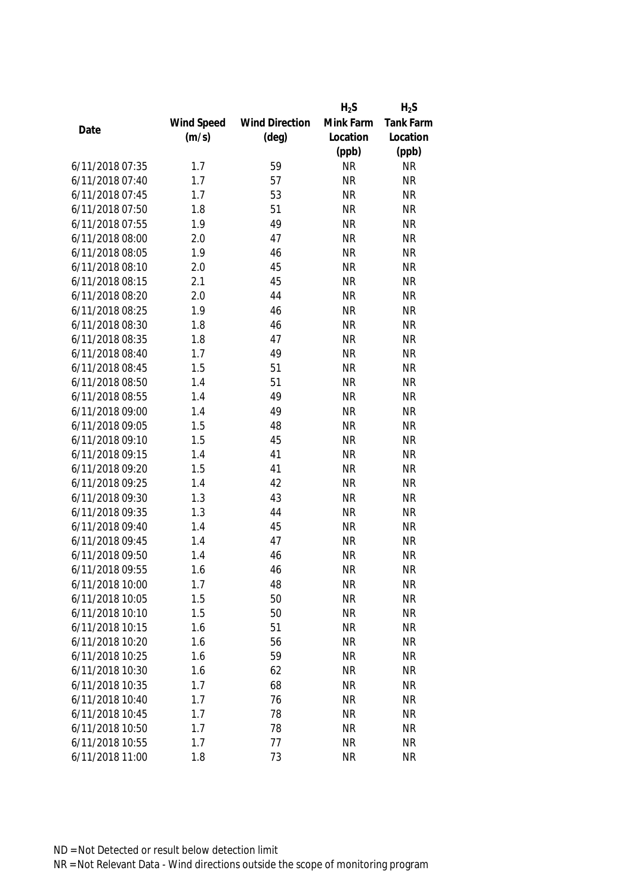|                 |            |                       | $H_2S$    | $H_2S$           |
|-----------------|------------|-----------------------|-----------|------------------|
|                 | Wind Speed | <b>Wind Direction</b> | Mink Farm | <b>Tank Farm</b> |
| Date            | (m/s)      | $(\text{deg})$        | Location  | Location         |
|                 |            |                       | (ppb)     | (ppb)            |
| 6/11/2018 07:35 | 1.7        | 59                    | <b>NR</b> | <b>NR</b>        |
| 6/11/2018 07:40 | 1.7        | 57                    | <b>NR</b> | <b>NR</b>        |
| 6/11/2018 07:45 | 1.7        | 53                    | <b>NR</b> | <b>NR</b>        |
| 6/11/2018 07:50 | 1.8        | 51                    | <b>NR</b> | <b>NR</b>        |
| 6/11/2018 07:55 | 1.9        | 49                    | <b>NR</b> | <b>NR</b>        |
| 6/11/2018 08:00 | 2.0        | 47                    | <b>NR</b> | <b>NR</b>        |
| 6/11/2018 08:05 | 1.9        | 46                    | <b>NR</b> | <b>NR</b>        |
| 6/11/2018 08:10 | 2.0        | 45                    | <b>NR</b> | <b>NR</b>        |
| 6/11/2018 08:15 | 2.1        | 45                    | <b>NR</b> | <b>NR</b>        |
| 6/11/2018 08:20 | 2.0        | 44                    | <b>NR</b> | <b>NR</b>        |
| 6/11/2018 08:25 | 1.9        | 46                    | <b>NR</b> | <b>NR</b>        |
| 6/11/2018 08:30 | 1.8        | 46                    | <b>NR</b> | <b>NR</b>        |
| 6/11/2018 08:35 | 1.8        | 47                    | <b>NR</b> | <b>NR</b>        |
| 6/11/2018 08:40 | 1.7        | 49                    | <b>NR</b> | <b>NR</b>        |
| 6/11/2018 08:45 | 1.5        | 51                    | <b>NR</b> | <b>NR</b>        |
| 6/11/2018 08:50 | 1.4        | 51                    | <b>NR</b> | <b>NR</b>        |
| 6/11/2018 08:55 | 1.4        | 49                    | <b>NR</b> | <b>NR</b>        |
| 6/11/2018 09:00 | 1.4        | 49                    | <b>NR</b> | <b>NR</b>        |
| 6/11/2018 09:05 | 1.5        | 48                    | <b>NR</b> | <b>NR</b>        |
| 6/11/2018 09:10 | 1.5        | 45                    | <b>NR</b> | <b>NR</b>        |
| 6/11/2018 09:15 | 1.4        | 41                    | <b>NR</b> | <b>NR</b>        |
| 6/11/2018 09:20 | 1.5        | 41                    | <b>NR</b> | <b>NR</b>        |
| 6/11/2018 09:25 | 1.4        | 42                    | <b>NR</b> | <b>NR</b>        |
| 6/11/2018 09:30 | 1.3        | 43                    | <b>NR</b> | <b>NR</b>        |
| 6/11/2018 09:35 | 1.3        | 44                    | <b>NR</b> | <b>NR</b>        |
| 6/11/2018 09:40 | 1.4        | 45                    | <b>NR</b> | <b>NR</b>        |
| 6/11/2018 09:45 | 1.4        | 47                    | <b>NR</b> | <b>NR</b>        |
| 6/11/2018 09:50 | 1.4        | 46                    | <b>NR</b> | <b>NR</b>        |
| 6/11/2018 09:55 | 1.6        | 46                    | <b>NR</b> | <b>NR</b>        |
| 6/11/2018 10:00 | 1.7        | 48                    | <b>NR</b> | <b>NR</b>        |
| 6/11/2018 10:05 | 1.5        | 50                    | <b>NR</b> | <b>NR</b>        |
| 6/11/2018 10:10 | 1.5        | 50                    | <b>NR</b> | <b>NR</b>        |
| 6/11/2018 10:15 | 1.6        | 51                    | <b>NR</b> | <b>NR</b>        |
| 6/11/2018 10:20 | 1.6        | 56                    | <b>NR</b> | <b>NR</b>        |
| 6/11/2018 10:25 | 1.6        | 59                    | <b>NR</b> | <b>NR</b>        |
| 6/11/2018 10:30 | 1.6        | 62                    | <b>NR</b> | <b>NR</b>        |
| 6/11/2018 10:35 | 1.7        | 68                    | <b>NR</b> | <b>NR</b>        |
| 6/11/2018 10:40 | 1.7        | 76                    | <b>NR</b> | <b>NR</b>        |
| 6/11/2018 10:45 | 1.7        | 78                    | <b>NR</b> | <b>NR</b>        |
| 6/11/2018 10:50 | 1.7        | 78                    | <b>NR</b> | <b>NR</b>        |
| 6/11/2018 10:55 | 1.7        | 77                    | <b>NR</b> | <b>NR</b>        |
| 6/11/2018 11:00 | 1.8        | 73                    | <b>NR</b> | <b>NR</b>        |
|                 |            |                       |           |                  |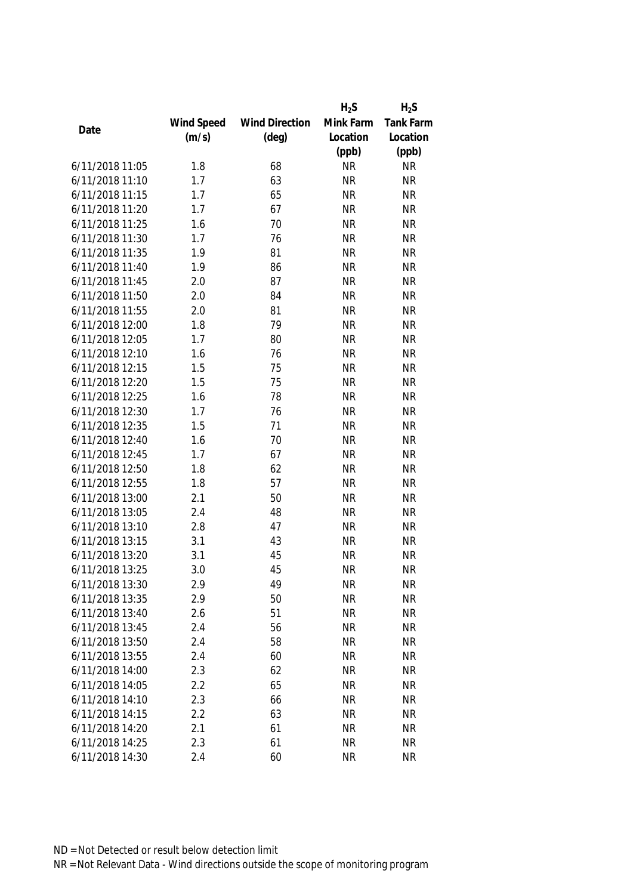|                 |            |                       | $H_2S$    | $H_2S$           |
|-----------------|------------|-----------------------|-----------|------------------|
|                 | Wind Speed | <b>Wind Direction</b> | Mink Farm | <b>Tank Farm</b> |
| Date            | (m/s)      | $(\text{deg})$        | Location  | Location         |
|                 |            |                       | (ppb)     | (ppb)            |
| 6/11/2018 11:05 | 1.8        | 68                    | <b>NR</b> | <b>NR</b>        |
| 6/11/2018 11:10 | 1.7        | 63                    | <b>NR</b> | <b>NR</b>        |
| 6/11/2018 11:15 | 1.7        | 65                    | <b>NR</b> | <b>NR</b>        |
| 6/11/2018 11:20 | 1.7        | 67                    | <b>NR</b> | <b>NR</b>        |
| 6/11/2018 11:25 | 1.6        | 70                    | <b>NR</b> | <b>NR</b>        |
| 6/11/2018 11:30 | 1.7        | 76                    | <b>NR</b> | <b>NR</b>        |
| 6/11/2018 11:35 | 1.9        | 81                    | <b>NR</b> | <b>NR</b>        |
| 6/11/2018 11:40 | 1.9        | 86                    | <b>NR</b> | <b>NR</b>        |
| 6/11/2018 11:45 | 2.0        | 87                    | <b>NR</b> | <b>NR</b>        |
| 6/11/2018 11:50 | 2.0        | 84                    | <b>NR</b> | <b>NR</b>        |
| 6/11/2018 11:55 | 2.0        | 81                    | <b>NR</b> | <b>NR</b>        |
| 6/11/2018 12:00 | 1.8        | 79                    | <b>NR</b> | <b>NR</b>        |
| 6/11/2018 12:05 | 1.7        | 80                    | <b>NR</b> | <b>NR</b>        |
| 6/11/2018 12:10 | 1.6        | 76                    | <b>NR</b> | <b>NR</b>        |
| 6/11/2018 12:15 | 1.5        | 75                    | <b>NR</b> | <b>NR</b>        |
| 6/11/2018 12:20 | 1.5        | 75                    | <b>NR</b> | <b>NR</b>        |
| 6/11/2018 12:25 | 1.6        | 78                    | <b>NR</b> | <b>NR</b>        |
| 6/11/2018 12:30 | 1.7        | 76                    | <b>NR</b> | <b>NR</b>        |
| 6/11/2018 12:35 | 1.5        | 71                    | <b>NR</b> | <b>NR</b>        |
| 6/11/2018 12:40 | 1.6        | 70                    | <b>NR</b> | <b>NR</b>        |
| 6/11/2018 12:45 | 1.7        | 67                    | <b>NR</b> | <b>NR</b>        |
| 6/11/2018 12:50 | 1.8        | 62                    | <b>NR</b> | <b>NR</b>        |
| 6/11/2018 12:55 | 1.8        | 57                    | <b>NR</b> | <b>NR</b>        |
| 6/11/2018 13:00 | 2.1        | 50                    | <b>NR</b> | <b>NR</b>        |
| 6/11/2018 13:05 | 2.4        | 48                    | <b>NR</b> | <b>NR</b>        |
| 6/11/2018 13:10 | 2.8        | 47                    | <b>NR</b> | <b>NR</b>        |
| 6/11/2018 13:15 | 3.1        | 43                    | <b>NR</b> | <b>NR</b>        |
| 6/11/2018 13:20 | 3.1        | 45                    | <b>NR</b> | <b>NR</b>        |
| 6/11/2018 13:25 | 3.0        | 45                    | <b>NR</b> | <b>NR</b>        |
| 6/11/2018 13:30 | 2.9        | 49                    | <b>NR</b> | <b>NR</b>        |
| 6/11/2018 13:35 | 2.9        | 50                    | <b>NR</b> | <b>NR</b>        |
| 6/11/2018 13:40 | 2.6        | 51                    | <b>NR</b> | <b>NR</b>        |
| 6/11/2018 13:45 | 2.4        | 56                    | <b>NR</b> | <b>NR</b>        |
| 6/11/2018 13:50 | 2.4        | 58                    | <b>NR</b> | <b>NR</b>        |
| 6/11/2018 13:55 | 2.4        | 60                    | <b>NR</b> | <b>NR</b>        |
| 6/11/2018 14:00 | 2.3        | 62                    | <b>NR</b> | <b>NR</b>        |
| 6/11/2018 14:05 | 2.2        | 65                    | <b>NR</b> | <b>NR</b>        |
| 6/11/2018 14:10 | 2.3        | 66                    | <b>NR</b> | <b>NR</b>        |
| 6/11/2018 14:15 | 2.2        | 63                    | <b>NR</b> | <b>NR</b>        |
| 6/11/2018 14:20 | 2.1        | 61                    | <b>NR</b> | <b>NR</b>        |
| 6/11/2018 14:25 | 2.3        | 61                    | <b>NR</b> | <b>NR</b>        |
| 6/11/2018 14:30 | 2.4        | 60                    | <b>NR</b> | <b>NR</b>        |
|                 |            |                       |           |                  |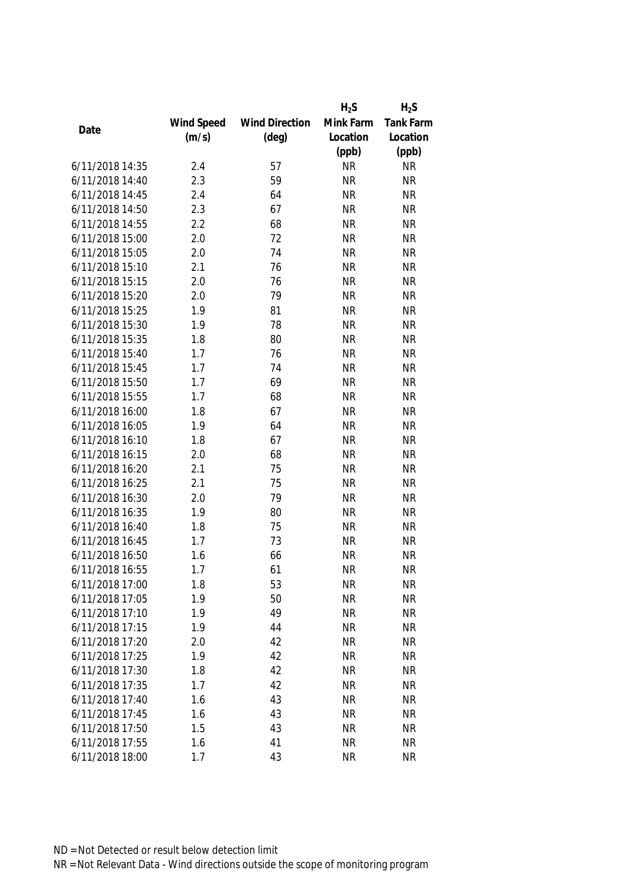|                 |            |                       | $H_2S$    | $H_2S$           |
|-----------------|------------|-----------------------|-----------|------------------|
|                 | Wind Speed | <b>Wind Direction</b> | Mink Farm | <b>Tank Farm</b> |
| Date            | (m/s)      | $(\text{deg})$        | Location  | Location         |
|                 |            |                       | (ppb)     | (ppb)            |
| 6/11/2018 14:35 | 2.4        | 57                    | <b>NR</b> | <b>NR</b>        |
| 6/11/2018 14:40 | 2.3        | 59                    | <b>NR</b> | <b>NR</b>        |
| 6/11/2018 14:45 | 2.4        | 64                    | <b>NR</b> | <b>NR</b>        |
| 6/11/2018 14:50 | 2.3        | 67                    | <b>NR</b> | <b>NR</b>        |
| 6/11/2018 14:55 | 2.2        | 68                    | <b>NR</b> | <b>NR</b>        |
| 6/11/2018 15:00 | 2.0        | 72                    | <b>NR</b> | <b>NR</b>        |
| 6/11/2018 15:05 | 2.0        | 74                    | <b>NR</b> | <b>NR</b>        |
| 6/11/2018 15:10 | 2.1        | 76                    | <b>NR</b> | <b>NR</b>        |
| 6/11/2018 15:15 | 2.0        | 76                    | <b>NR</b> | <b>NR</b>        |
| 6/11/2018 15:20 | 2.0        | 79                    | <b>NR</b> | <b>NR</b>        |
| 6/11/2018 15:25 | 1.9        | 81                    | <b>NR</b> | <b>NR</b>        |
| 6/11/2018 15:30 | 1.9        | 78                    | <b>NR</b> | <b>NR</b>        |
| 6/11/2018 15:35 | 1.8        | 80                    | <b>NR</b> | <b>NR</b>        |
| 6/11/2018 15:40 | 1.7        | 76                    | <b>NR</b> | <b>NR</b>        |
| 6/11/2018 15:45 | 1.7        | 74                    | <b>NR</b> | <b>NR</b>        |
| 6/11/2018 15:50 | 1.7        | 69                    | <b>NR</b> | <b>NR</b>        |
| 6/11/2018 15:55 | 1.7        | 68                    | <b>NR</b> | <b>NR</b>        |
| 6/11/2018 16:00 | 1.8        | 67                    | <b>NR</b> | <b>NR</b>        |
| 6/11/2018 16:05 | 1.9        | 64                    | <b>NR</b> | <b>NR</b>        |
| 6/11/2018 16:10 | 1.8        | 67                    | <b>NR</b> | <b>NR</b>        |
| 6/11/2018 16:15 | 2.0        | 68                    | <b>NR</b> | <b>NR</b>        |
| 6/11/2018 16:20 | 2.1        | 75                    | <b>NR</b> | <b>NR</b>        |
| 6/11/2018 16:25 | 2.1        | 75                    | <b>NR</b> | <b>NR</b>        |
| 6/11/2018 16:30 | 2.0        | 79                    | <b>NR</b> | <b>NR</b>        |
| 6/11/2018 16:35 | 1.9        | 80                    | <b>NR</b> | <b>NR</b>        |
| 6/11/2018 16:40 | 1.8        | 75                    | <b>NR</b> | <b>NR</b>        |
| 6/11/2018 16:45 | 1.7        | 73                    | <b>NR</b> | <b>NR</b>        |
| 6/11/2018 16:50 | 1.6        | 66                    | <b>NR</b> | <b>NR</b>        |
| 6/11/2018 16:55 | 1.7        | 61                    | <b>NR</b> | <b>NR</b>        |
| 6/11/2018 17:00 | 1.8        | 53                    | <b>NR</b> | <b>NR</b>        |
| 6/11/2018 17:05 | 1.9        | 50                    | <b>NR</b> | <b>NR</b>        |
| 6/11/2018 17:10 | 1.9        | 49                    | <b>NR</b> | <b>NR</b>        |
| 6/11/2018 17:15 | 1.9        | 44                    | <b>NR</b> | <b>NR</b>        |
| 6/11/2018 17:20 | 2.0        | 42                    | <b>NR</b> | <b>NR</b>        |
| 6/11/2018 17:25 | 1.9        | 42                    | <b>NR</b> | <b>NR</b>        |
| 6/11/2018 17:30 | 1.8        | 42                    | <b>NR</b> | <b>NR</b>        |
| 6/11/2018 17:35 | 1.7        | 42                    | <b>NR</b> | <b>NR</b>        |
| 6/11/2018 17:40 | 1.6        | 43                    | <b>NR</b> | <b>NR</b>        |
| 6/11/2018 17:45 | 1.6        | 43                    | <b>NR</b> | <b>NR</b>        |
| 6/11/2018 17:50 | 1.5        | 43                    | <b>NR</b> | <b>NR</b>        |
|                 |            |                       |           |                  |
| 6/11/2018 17:55 | 1.6        | 41                    | <b>NR</b> | <b>NR</b>        |
| 6/11/2018 18:00 | 1.7        | 43                    | <b>NR</b> | <b>NR</b>        |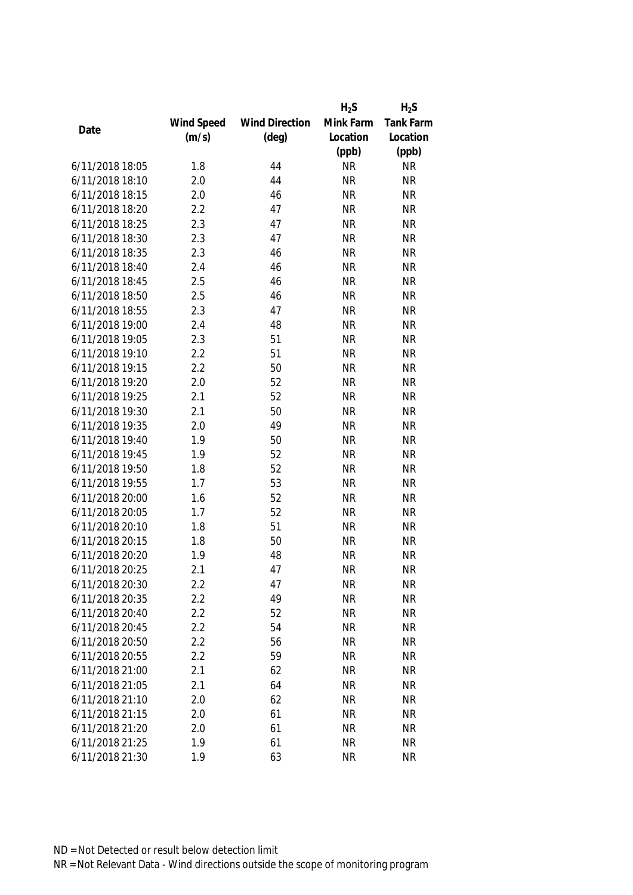|                 |            |                       | $H_2S$    | $H_2S$           |
|-----------------|------------|-----------------------|-----------|------------------|
|                 | Wind Speed | <b>Wind Direction</b> | Mink Farm | <b>Tank Farm</b> |
| Date            | (m/s)      | $(\text{deg})$        | Location  | Location         |
|                 |            |                       | (ppb)     | (ppb)            |
| 6/11/2018 18:05 | 1.8        | 44                    | <b>NR</b> | <b>NR</b>        |
| 6/11/2018 18:10 | 2.0        | 44                    | <b>NR</b> | <b>NR</b>        |
| 6/11/2018 18:15 | 2.0        | 46                    | <b>NR</b> | <b>NR</b>        |
| 6/11/2018 18:20 | 2.2        | 47                    | <b>NR</b> | <b>NR</b>        |
| 6/11/2018 18:25 | 2.3        | 47                    | <b>NR</b> | <b>NR</b>        |
| 6/11/2018 18:30 | 2.3        | 47                    | <b>NR</b> | <b>NR</b>        |
| 6/11/2018 18:35 | 2.3        | 46                    | <b>NR</b> | <b>NR</b>        |
| 6/11/2018 18:40 | 2.4        | 46                    | <b>NR</b> | <b>NR</b>        |
| 6/11/2018 18:45 | 2.5        | 46                    | <b>NR</b> | <b>NR</b>        |
| 6/11/2018 18:50 | 2.5        | 46                    | <b>NR</b> | <b>NR</b>        |
| 6/11/2018 18:55 | 2.3        | 47                    | <b>NR</b> | <b>NR</b>        |
| 6/11/2018 19:00 | 2.4        | 48                    | <b>NR</b> | <b>NR</b>        |
| 6/11/2018 19:05 | 2.3        | 51                    | <b>NR</b> | <b>NR</b>        |
| 6/11/2018 19:10 | 2.2        | 51                    | <b>NR</b> | <b>NR</b>        |
| 6/11/2018 19:15 | 2.2        | 50                    | <b>NR</b> | <b>NR</b>        |
| 6/11/2018 19:20 | 2.0        | 52                    | <b>NR</b> | <b>NR</b>        |
| 6/11/2018 19:25 | 2.1        | 52                    | <b>NR</b> | <b>NR</b>        |
| 6/11/2018 19:30 | 2.1        | 50                    | <b>NR</b> | <b>NR</b>        |
| 6/11/2018 19:35 | 2.0        | 49                    | <b>NR</b> | <b>NR</b>        |
| 6/11/2018 19:40 | 1.9        | 50                    | <b>NR</b> | <b>NR</b>        |
| 6/11/2018 19:45 | 1.9        | 52                    | <b>NR</b> | <b>NR</b>        |
| 6/11/2018 19:50 | 1.8        | 52                    | <b>NR</b> | <b>NR</b>        |
| 6/11/2018 19:55 | 1.7        | 53                    | <b>NR</b> | <b>NR</b>        |
| 6/11/2018 20:00 | 1.6        | 52                    | <b>NR</b> | <b>NR</b>        |
| 6/11/2018 20:05 | 1.7        | 52                    | <b>NR</b> | <b>NR</b>        |
| 6/11/2018 20:10 | 1.8        | 51                    | <b>NR</b> | <b>NR</b>        |
| 6/11/2018 20:15 | 1.8        | 50                    | <b>NR</b> | <b>NR</b>        |
| 6/11/2018 20:20 | 1.9        | 48                    | <b>NR</b> | <b>NR</b>        |
| 6/11/2018 20:25 | 2.1        | 47                    | <b>NR</b> | <b>NR</b>        |
| 6/11/2018 20:30 | 2.2        | 47                    | <b>NR</b> | <b>NR</b>        |
| 6/11/2018 20:35 | 2.2        | 49                    | <b>NR</b> | <b>NR</b>        |
| 6/11/2018 20:40 | 2.2        | 52                    | <b>NR</b> | <b>NR</b>        |
| 6/11/2018 20:45 | 2.2        | 54                    | <b>NR</b> | <b>NR</b>        |
| 6/11/2018 20:50 | 2.2        | 56                    | <b>NR</b> | <b>NR</b>        |
| 6/11/2018 20:55 | 2.2        | 59                    | <b>NR</b> | <b>NR</b>        |
| 6/11/2018 21:00 | 2.1        | 62                    | <b>NR</b> | <b>NR</b>        |
| 6/11/2018 21:05 | 2.1        | 64                    | <b>NR</b> | <b>NR</b>        |
| 6/11/2018 21:10 | 2.0        | 62                    | <b>NR</b> | <b>NR</b>        |
| 6/11/2018 21:15 | 2.0        | 61                    | <b>NR</b> | <b>NR</b>        |
| 6/11/2018 21:20 | 2.0        | 61                    | <b>NR</b> | <b>NR</b>        |
| 6/11/2018 21:25 | 1.9        | 61                    | <b>NR</b> | <b>NR</b>        |
| 6/11/2018 21:30 | 1.9        | 63                    | <b>NR</b> | <b>NR</b>        |
|                 |            |                       |           |                  |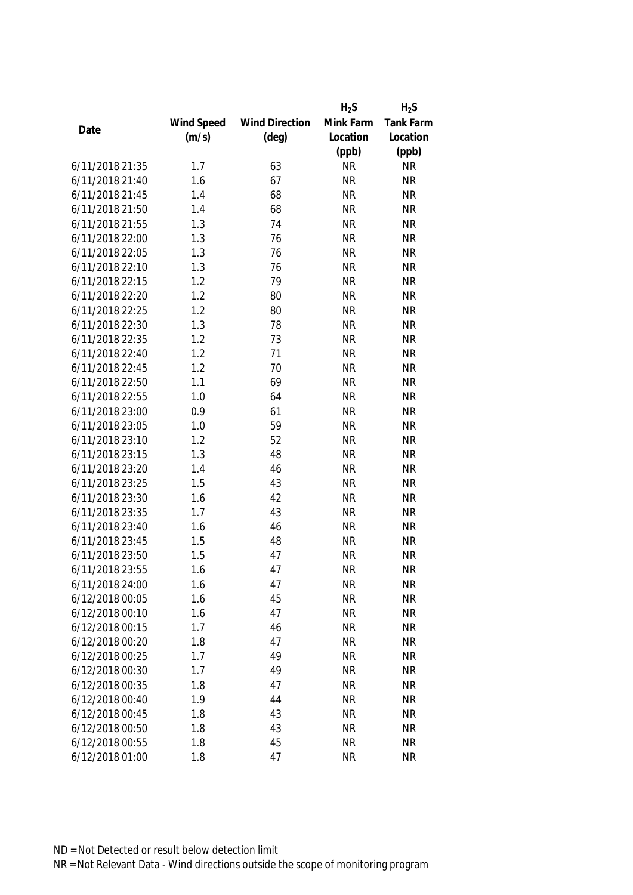|                 |            |                       | $H_2S$    | $H_2S$           |
|-----------------|------------|-----------------------|-----------|------------------|
|                 | Wind Speed | <b>Wind Direction</b> | Mink Farm | <b>Tank Farm</b> |
| Date            | (m/s)      | $(\text{deg})$        | Location  | Location         |
|                 |            |                       | (ppb)     | (ppb)            |
| 6/11/2018 21:35 | 1.7        | 63                    | <b>NR</b> | <b>NR</b>        |
| 6/11/2018 21:40 | 1.6        | 67                    | <b>NR</b> | <b>NR</b>        |
| 6/11/2018 21:45 | 1.4        | 68                    | <b>NR</b> | <b>NR</b>        |
| 6/11/2018 21:50 | 1.4        | 68                    | <b>NR</b> | <b>NR</b>        |
| 6/11/2018 21:55 | 1.3        | 74                    | <b>NR</b> | <b>NR</b>        |
| 6/11/2018 22:00 | 1.3        | 76                    | <b>NR</b> | <b>NR</b>        |
| 6/11/2018 22:05 | 1.3        | 76                    | <b>NR</b> | <b>NR</b>        |
| 6/11/2018 22:10 | 1.3        | 76                    | <b>NR</b> | <b>NR</b>        |
| 6/11/2018 22:15 | 1.2        | 79                    | <b>NR</b> | <b>NR</b>        |
| 6/11/2018 22:20 | 1.2        | 80                    | <b>NR</b> | <b>NR</b>        |
| 6/11/2018 22:25 | 1.2        | 80                    | <b>NR</b> | <b>NR</b>        |
| 6/11/2018 22:30 | 1.3        | 78                    | <b>NR</b> | <b>NR</b>        |
| 6/11/2018 22:35 | 1.2        | 73                    | <b>NR</b> | <b>NR</b>        |
| 6/11/2018 22:40 | 1.2        | 71                    | <b>NR</b> | <b>NR</b>        |
| 6/11/2018 22:45 | 1.2        | 70                    | <b>NR</b> | <b>NR</b>        |
| 6/11/2018 22:50 | 1.1        | 69                    | <b>NR</b> | <b>NR</b>        |
| 6/11/2018 22:55 | 1.0        | 64                    | <b>NR</b> | <b>NR</b>        |
| 6/11/2018 23:00 | 0.9        | 61                    | <b>NR</b> | <b>NR</b>        |
| 6/11/2018 23:05 | 1.0        | 59                    | <b>NR</b> | <b>NR</b>        |
| 6/11/2018 23:10 | 1.2        | 52                    | <b>NR</b> | <b>NR</b>        |
| 6/11/2018 23:15 | 1.3        | 48                    | <b>NR</b> | <b>NR</b>        |
| 6/11/2018 23:20 | 1.4        | 46                    | <b>NR</b> | <b>NR</b>        |
| 6/11/2018 23:25 | 1.5        | 43                    | <b>NR</b> | <b>NR</b>        |
| 6/11/2018 23:30 | 1.6        | 42                    | <b>NR</b> | <b>NR</b>        |
| 6/11/2018 23:35 | 1.7        | 43                    | <b>NR</b> | <b>NR</b>        |
| 6/11/2018 23:40 | 1.6        | 46                    | <b>NR</b> | <b>NR</b>        |
| 6/11/2018 23:45 | 1.5        | 48                    | <b>NR</b> | <b>NR</b>        |
| 6/11/2018 23:50 | 1.5        | 47                    | <b>NR</b> | <b>NR</b>        |
| 6/11/2018 23:55 | 1.6        | 47                    | <b>NR</b> | <b>NR</b>        |
| 6/11/2018 24:00 | 1.6        | 47                    | <b>NR</b> | <b>NR</b>        |
| 6/12/2018 00:05 | 1.6        | 45                    | <b>NR</b> | <b>NR</b>        |
| 6/12/2018 00:10 | 1.6        | 47                    | <b>NR</b> | <b>NR</b>        |
| 6/12/2018 00:15 | 1.7        | 46                    | <b>NR</b> | <b>NR</b>        |
| 6/12/2018 00:20 | 1.8        | 47                    | <b>NR</b> | <b>NR</b>        |
| 6/12/2018 00:25 | 1.7        | 49                    | <b>NR</b> | <b>NR</b>        |
| 6/12/2018 00:30 | 1.7        | 49                    | <b>NR</b> | <b>NR</b>        |
| 6/12/2018 00:35 | 1.8        | 47                    | <b>NR</b> | <b>NR</b>        |
| 6/12/2018 00:40 | 1.9        | 44                    | <b>NR</b> | <b>NR</b>        |
| 6/12/2018 00:45 | 1.8        | 43                    | <b>NR</b> | <b>NR</b>        |
| 6/12/2018 00:50 | 1.8        | 43                    | <b>NR</b> | <b>NR</b>        |
|                 |            |                       |           |                  |
| 6/12/2018 00:55 | 1.8        | 45                    | <b>NR</b> | <b>NR</b>        |
| 6/12/2018 01:00 | 1.8        | 47                    | <b>NR</b> | <b>NR</b>        |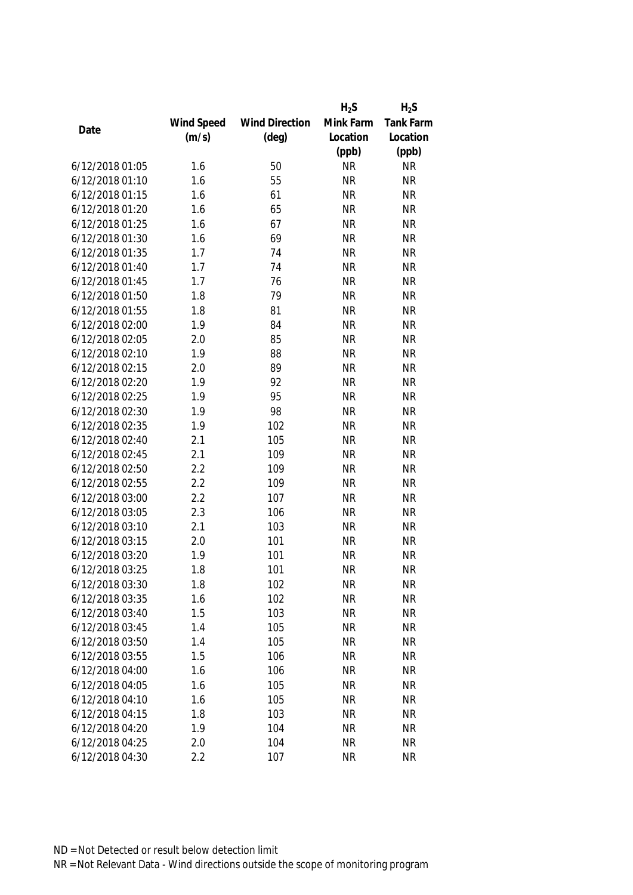|                 |            |                       | $H_2S$    | $H_2S$           |
|-----------------|------------|-----------------------|-----------|------------------|
|                 | Wind Speed | <b>Wind Direction</b> | Mink Farm | <b>Tank Farm</b> |
| Date            | (m/s)      | $(\text{deg})$        | Location  | Location         |
|                 |            |                       | (ppb)     | (ppb)            |
| 6/12/2018 01:05 | 1.6        | 50                    | <b>NR</b> | <b>NR</b>        |
| 6/12/2018 01:10 | 1.6        | 55                    | <b>NR</b> | <b>NR</b>        |
| 6/12/2018 01:15 | 1.6        | 61                    | <b>NR</b> | <b>NR</b>        |
| 6/12/2018 01:20 | 1.6        | 65                    | <b>NR</b> | <b>NR</b>        |
| 6/12/2018 01:25 | 1.6        | 67                    | <b>NR</b> | <b>NR</b>        |
| 6/12/2018 01:30 | 1.6        | 69                    | <b>NR</b> | <b>NR</b>        |
| 6/12/2018 01:35 | 1.7        | 74                    | <b>NR</b> | <b>NR</b>        |
| 6/12/2018 01:40 | 1.7        | 74                    | <b>NR</b> | <b>NR</b>        |
| 6/12/2018 01:45 | 1.7        | 76                    | <b>NR</b> | <b>NR</b>        |
| 6/12/2018 01:50 | 1.8        | 79                    | <b>NR</b> | <b>NR</b>        |
| 6/12/2018 01:55 | 1.8        | 81                    | <b>NR</b> | <b>NR</b>        |
| 6/12/2018 02:00 | 1.9        | 84                    | <b>NR</b> | <b>NR</b>        |
| 6/12/2018 02:05 | 2.0        | 85                    | <b>NR</b> | <b>NR</b>        |
| 6/12/2018 02:10 | 1.9        | 88                    | <b>NR</b> | <b>NR</b>        |
| 6/12/2018 02:15 | 2.0        | 89                    | <b>NR</b> | <b>NR</b>        |
| 6/12/2018 02:20 | 1.9        | 92                    | <b>NR</b> | <b>NR</b>        |
| 6/12/2018 02:25 | 1.9        | 95                    | <b>NR</b> | <b>NR</b>        |
| 6/12/2018 02:30 | 1.9        | 98                    | <b>NR</b> | <b>NR</b>        |
| 6/12/2018 02:35 | 1.9        | 102                   | <b>NR</b> | <b>NR</b>        |
| 6/12/2018 02:40 | 2.1        | 105                   | <b>NR</b> | <b>NR</b>        |
| 6/12/2018 02:45 | 2.1        | 109                   | <b>NR</b> | <b>NR</b>        |
| 6/12/2018 02:50 | 2.2        | 109                   | <b>NR</b> | <b>NR</b>        |
| 6/12/2018 02:55 | 2.2        | 109                   | <b>NR</b> | <b>NR</b>        |
| 6/12/2018 03:00 | 2.2        | 107                   | <b>NR</b> | <b>NR</b>        |
| 6/12/2018 03:05 | 2.3        | 106                   | <b>NR</b> | <b>NR</b>        |
| 6/12/2018 03:10 | 2.1        | 103                   | <b>NR</b> | <b>NR</b>        |
| 6/12/2018 03:15 | 2.0        | 101                   | <b>NR</b> | <b>NR</b>        |
| 6/12/2018 03:20 | 1.9        | 101                   | <b>NR</b> | <b>NR</b>        |
| 6/12/2018 03:25 | 1.8        | 101                   | <b>NR</b> | <b>NR</b>        |
| 6/12/2018 03:30 | 1.8        | 102                   | <b>NR</b> | <b>NR</b>        |
| 6/12/2018 03:35 | 1.6        | 102                   | <b>NR</b> | <b>NR</b>        |
| 6/12/2018 03:40 | 1.5        | 103                   | <b>NR</b> | <b>NR</b>        |
| 6/12/2018 03:45 | 1.4        | 105                   | <b>NR</b> | <b>NR</b>        |
| 6/12/2018 03:50 | 1.4        | 105                   | <b>NR</b> | <b>NR</b>        |
| 6/12/2018 03:55 | 1.5        | 106                   | <b>NR</b> | <b>NR</b>        |
| 6/12/2018 04:00 | 1.6        | 106                   | <b>NR</b> | <b>NR</b>        |
| 6/12/2018 04:05 | 1.6        | 105                   | <b>NR</b> | <b>NR</b>        |
| 6/12/2018 04:10 | 1.6        | 105                   | <b>NR</b> | <b>NR</b>        |
| 6/12/2018 04:15 | 1.8        | 103                   | <b>NR</b> | <b>NR</b>        |
| 6/12/2018 04:20 | 1.9        | 104                   | <b>NR</b> | <b>NR</b>        |
|                 |            |                       |           |                  |
| 6/12/2018 04:25 | 2.0        | 104                   | <b>NR</b> | <b>NR</b>        |
| 6/12/2018 04:30 | 2.2        | 107                   | <b>NR</b> | <b>NR</b>        |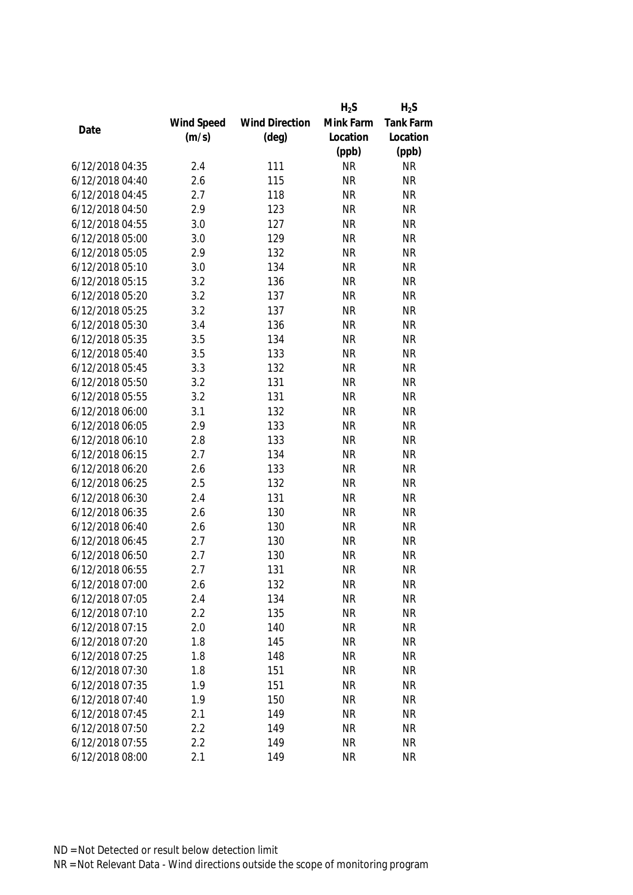|                 |            |                       | $H_2S$    | $H_2S$    |
|-----------------|------------|-----------------------|-----------|-----------|
|                 | Wind Speed | <b>Wind Direction</b> | Mink Farm | Tank Farm |
| Date            | (m/s)      | $(\text{deg})$        | Location  | Location  |
|                 |            |                       | (ppb)     | (ppb)     |
| 6/12/2018 04:35 | 2.4        | 111                   | <b>NR</b> | <b>NR</b> |
| 6/12/2018 04:40 | 2.6        | 115                   | <b>NR</b> | <b>NR</b> |
| 6/12/2018 04:45 | 2.7        | 118                   | <b>NR</b> | <b>NR</b> |
| 6/12/2018 04:50 | 2.9        | 123                   | <b>NR</b> | <b>NR</b> |
| 6/12/2018 04:55 | 3.0        | 127                   | <b>NR</b> | <b>NR</b> |
| 6/12/2018 05:00 | 3.0        | 129                   | <b>NR</b> | <b>NR</b> |
| 6/12/2018 05:05 | 2.9        | 132                   | <b>NR</b> | <b>NR</b> |
| 6/12/2018 05:10 | 3.0        | 134                   | <b>NR</b> | <b>NR</b> |
| 6/12/2018 05:15 | 3.2        | 136                   | <b>NR</b> | <b>NR</b> |
| 6/12/2018 05:20 | 3.2        | 137                   | <b>NR</b> | <b>NR</b> |
| 6/12/2018 05:25 | 3.2        | 137                   | <b>NR</b> | <b>NR</b> |
| 6/12/2018 05:30 | 3.4        | 136                   | <b>NR</b> | <b>NR</b> |
| 6/12/2018 05:35 | 3.5        | 134                   | <b>NR</b> | <b>NR</b> |
| 6/12/2018 05:40 | 3.5        | 133                   | <b>NR</b> | <b>NR</b> |
| 6/12/2018 05:45 | 3.3        | 132                   | <b>NR</b> | <b>NR</b> |
| 6/12/2018 05:50 | 3.2        | 131                   | <b>NR</b> | <b>NR</b> |
| 6/12/2018 05:55 | 3.2        | 131                   | <b>NR</b> | <b>NR</b> |
| 6/12/2018 06:00 | 3.1        | 132                   | <b>NR</b> | <b>NR</b> |
| 6/12/2018 06:05 | 2.9        | 133                   | <b>NR</b> | <b>NR</b> |
| 6/12/2018 06:10 | 2.8        | 133                   | <b>NR</b> | <b>NR</b> |
| 6/12/2018 06:15 | 2.7        | 134                   | <b>NR</b> | <b>NR</b> |
| 6/12/2018 06:20 | 2.6        | 133                   | <b>NR</b> | <b>NR</b> |
| 6/12/2018 06:25 | 2.5        | 132                   | <b>NR</b> | <b>NR</b> |
| 6/12/2018 06:30 | 2.4        | 131                   | <b>NR</b> | <b>NR</b> |
| 6/12/2018 06:35 | 2.6        | 130                   | <b>NR</b> | <b>NR</b> |
| 6/12/2018 06:40 | 2.6        | 130                   | <b>NR</b> | <b>NR</b> |
| 6/12/2018 06:45 | 2.7        | 130                   | <b>NR</b> | <b>NR</b> |
| 6/12/2018 06:50 | 2.7        | 130                   | <b>NR</b> | <b>NR</b> |
| 6/12/2018 06:55 | 2.7        | 131                   | <b>NR</b> | <b>NR</b> |
| 6/12/2018 07:00 | 2.6        | 132                   | <b>NR</b> | <b>NR</b> |
| 6/12/2018 07:05 | 2.4        | 134                   | <b>NR</b> | <b>NR</b> |
| 6/12/2018 07:10 | 2.2        | 135                   | <b>NR</b> | <b>NR</b> |
| 6/12/2018 07:15 | 2.0        | 140                   | <b>NR</b> | <b>NR</b> |
| 6/12/2018 07:20 | 1.8        | 145                   | <b>NR</b> | <b>NR</b> |
| 6/12/2018 07:25 | 1.8        | 148                   | <b>NR</b> | <b>NR</b> |
| 6/12/2018 07:30 | 1.8        | 151                   | <b>NR</b> | <b>NR</b> |
| 6/12/2018 07:35 | 1.9        | 151                   | <b>NR</b> | <b>NR</b> |
| 6/12/2018 07:40 | 1.9        | 150                   | <b>NR</b> | <b>NR</b> |
| 6/12/2018 07:45 | 2.1        | 149                   | <b>NR</b> | <b>NR</b> |
| 6/12/2018 07:50 | 2.2        | 149                   | <b>NR</b> | <b>NR</b> |
| 6/12/2018 07:55 | 2.2        | 149                   | <b>NR</b> | <b>NR</b> |
| 6/12/2018 08:00 | 2.1        | 149                   | <b>NR</b> | <b>NR</b> |
|                 |            |                       |           |           |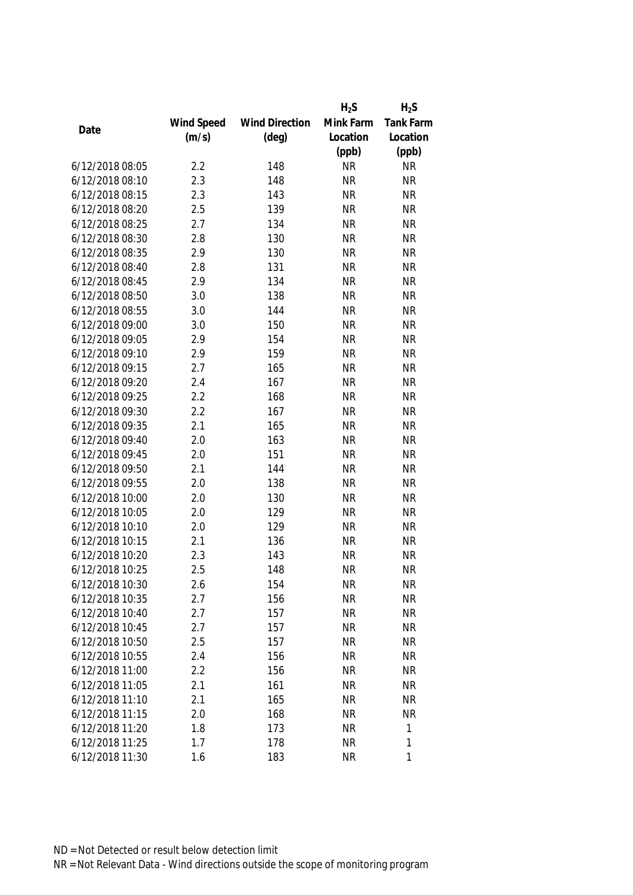|                 |            |                       | $H_2S$    | $H_2S$    |
|-----------------|------------|-----------------------|-----------|-----------|
|                 | Wind Speed | <b>Wind Direction</b> | Mink Farm | Tank Farm |
| Date            | (m/s)      | $(\text{deg})$        | Location  | Location  |
|                 |            |                       | (ppb)     | (ppb)     |
| 6/12/2018 08:05 | 2.2        | 148                   | <b>NR</b> | <b>NR</b> |
| 6/12/2018 08:10 | 2.3        | 148                   | <b>NR</b> | <b>NR</b> |
| 6/12/2018 08:15 | 2.3        | 143                   | <b>NR</b> | <b>NR</b> |
| 6/12/2018 08:20 | 2.5        | 139                   | <b>NR</b> | <b>NR</b> |
| 6/12/2018 08:25 | 2.7        | 134                   | <b>NR</b> | <b>NR</b> |
| 6/12/2018 08:30 | 2.8        | 130                   | <b>NR</b> | <b>NR</b> |
| 6/12/2018 08:35 | 2.9        | 130                   | <b>NR</b> | <b>NR</b> |
| 6/12/2018 08:40 | 2.8        | 131                   | <b>NR</b> | <b>NR</b> |
| 6/12/2018 08:45 | 2.9        | 134                   | <b>NR</b> | <b>NR</b> |
| 6/12/2018 08:50 | 3.0        | 138                   | <b>NR</b> | <b>NR</b> |
| 6/12/2018 08:55 | 3.0        | 144                   | <b>NR</b> | <b>NR</b> |
| 6/12/2018 09:00 | 3.0        | 150                   | <b>NR</b> | <b>NR</b> |
| 6/12/2018 09:05 | 2.9        | 154                   | <b>NR</b> | <b>NR</b> |
| 6/12/2018 09:10 | 2.9        | 159                   | <b>NR</b> | <b>NR</b> |
| 6/12/2018 09:15 | 2.7        | 165                   | <b>NR</b> | <b>NR</b> |
| 6/12/2018 09:20 | 2.4        | 167                   | <b>NR</b> | <b>NR</b> |
| 6/12/2018 09:25 | 2.2        | 168                   | <b>NR</b> | <b>NR</b> |
| 6/12/2018 09:30 | 2.2        | 167                   | <b>NR</b> | <b>NR</b> |
| 6/12/2018 09:35 | 2.1        | 165                   | <b>NR</b> | <b>NR</b> |
| 6/12/2018 09:40 | 2.0        | 163                   | <b>NR</b> | <b>NR</b> |
| 6/12/2018 09:45 | 2.0        | 151                   | <b>NR</b> | <b>NR</b> |
| 6/12/2018 09:50 | 2.1        | 144                   | <b>NR</b> | <b>NR</b> |
| 6/12/2018 09:55 | 2.0        | 138                   | <b>NR</b> | <b>NR</b> |
| 6/12/2018 10:00 | 2.0        | 130                   | <b>NR</b> | <b>NR</b> |
| 6/12/2018 10:05 | 2.0        | 129                   | <b>NR</b> | <b>NR</b> |
| 6/12/2018 10:10 | 2.0        | 129                   | <b>NR</b> | <b>NR</b> |
| 6/12/2018 10:15 | 2.1        | 136                   | <b>NR</b> | <b>NR</b> |
| 6/12/2018 10:20 | 2.3        | 143                   | <b>NR</b> | <b>NR</b> |
| 6/12/2018 10:25 | 2.5        | 148                   | <b>NR</b> | <b>NR</b> |
| 6/12/2018 10:30 | 2.6        | 154                   | <b>NR</b> | <b>NR</b> |
| 6/12/2018 10:35 | 2.7        | 156                   | <b>NR</b> | <b>NR</b> |
| 6/12/2018 10:40 | 2.7        | 157                   | <b>NR</b> | <b>NR</b> |
| 6/12/2018 10:45 | 2.7        | 157                   | <b>NR</b> | <b>NR</b> |
| 6/12/2018 10:50 | 2.5        | 157                   | <b>NR</b> | <b>NR</b> |
| 6/12/2018 10:55 | 2.4        | 156                   | <b>NR</b> | <b>NR</b> |
| 6/12/2018 11:00 | 2.2        | 156                   | <b>NR</b> | <b>NR</b> |
| 6/12/2018 11:05 | 2.1        | 161                   | <b>NR</b> | <b>NR</b> |
| 6/12/2018 11:10 | 2.1        | 165                   | <b>NR</b> | <b>NR</b> |
| 6/12/2018 11:15 | 2.0        | 168                   | <b>NR</b> | <b>NR</b> |
| 6/12/2018 11:20 | 1.8        | 173                   | <b>NR</b> | 1         |
| 6/12/2018 11:25 | 1.7        | 178                   | <b>NR</b> | 1         |
|                 |            |                       |           | 1         |
| 6/12/2018 11:30 | 1.6        | 183                   | <b>NR</b> |           |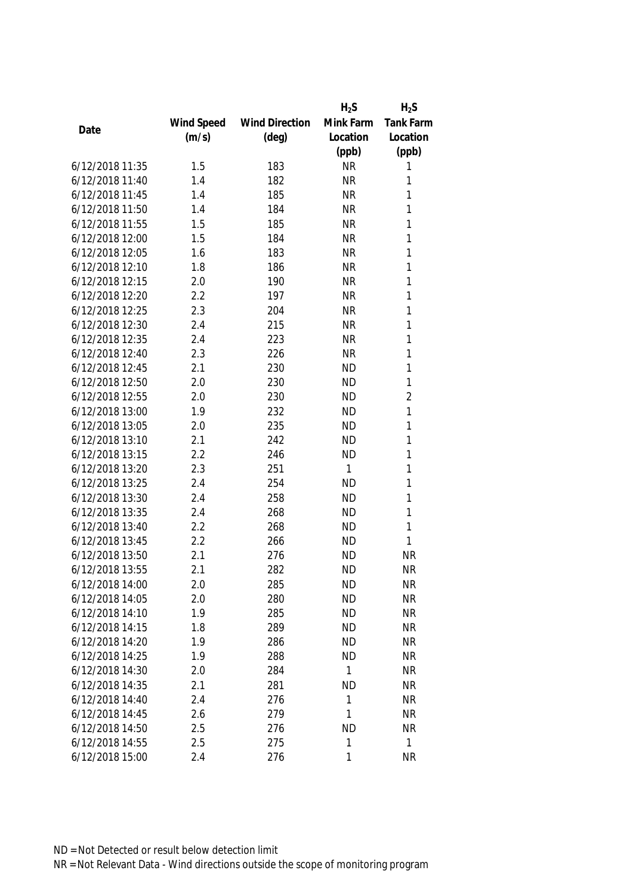|                 |            |                       | $H_2S$    | $H_2S$         |
|-----------------|------------|-----------------------|-----------|----------------|
|                 | Wind Speed | <b>Wind Direction</b> | Mink Farm | Tank Farm      |
| Date            | (m/s)      | $(\text{deg})$        | Location  | Location       |
|                 |            |                       | (ppb)     | (ppb)          |
| 6/12/2018 11:35 | 1.5        | 183                   | <b>NR</b> | 1              |
| 6/12/2018 11:40 | 1.4        | 182                   | <b>NR</b> | 1              |
| 6/12/2018 11:45 | 1.4        | 185                   | <b>NR</b> | 1              |
| 6/12/2018 11:50 | 1.4        | 184                   | <b>NR</b> | 1              |
| 6/12/2018 11:55 | 1.5        | 185                   | <b>NR</b> | 1              |
| 6/12/2018 12:00 | 1.5        | 184                   | <b>NR</b> | 1              |
| 6/12/2018 12:05 | 1.6        | 183                   | <b>NR</b> | 1              |
| 6/12/2018 12:10 | 1.8        | 186                   | <b>NR</b> | $\mathbf{1}$   |
| 6/12/2018 12:15 | 2.0        | 190                   | <b>NR</b> | 1              |
| 6/12/2018 12:20 | 2.2        | 197                   | <b>NR</b> | $\mathbf{1}$   |
| 6/12/2018 12:25 | 2.3        | 204                   | <b>NR</b> | 1              |
| 6/12/2018 12:30 | 2.4        | 215                   | <b>NR</b> | 1              |
| 6/12/2018 12:35 | 2.4        | 223                   | <b>NR</b> | 1              |
| 6/12/2018 12:40 | 2.3        | 226                   | <b>NR</b> | 1              |
| 6/12/2018 12:45 | 2.1        | 230                   | <b>ND</b> | 1              |
| 6/12/2018 12:50 | 2.0        | 230                   | <b>ND</b> | $\mathbf{1}$   |
| 6/12/2018 12:55 | 2.0        | 230                   | <b>ND</b> | $\overline{2}$ |
| 6/12/2018 13:00 | 1.9        | 232                   | <b>ND</b> | 1              |
| 6/12/2018 13:05 | 2.0        | 235                   | <b>ND</b> | 1              |
| 6/12/2018 13:10 | 2.1        | 242                   | <b>ND</b> | 1              |
| 6/12/2018 13:15 | 2.2        | 246                   | <b>ND</b> | 1              |
| 6/12/2018 13:20 | 2.3        | 251                   | 1         | $\mathbf{1}$   |
| 6/12/2018 13:25 | 2.4        | 254                   | <b>ND</b> | 1              |
| 6/12/2018 13:30 | 2.4        | 258                   | <b>ND</b> | 1              |
| 6/12/2018 13:35 | 2.4        | 268                   | <b>ND</b> | 1              |
| 6/12/2018 13:40 | 2.2        | 268                   | <b>ND</b> | 1              |
| 6/12/2018 13:45 | 2.2        | 266                   | <b>ND</b> | 1              |
| 6/12/2018 13:50 | 2.1        | 276                   | <b>ND</b> | <b>NR</b>      |
| 6/12/2018 13:55 | 2.1        | 282                   | <b>ND</b> | <b>NR</b>      |
| 6/12/2018 14:00 | 2.0        | 285                   | <b>ND</b> | <b>NR</b>      |
| 6/12/2018 14:05 | 2.0        | 280                   | <b>ND</b> | <b>NR</b>      |
| 6/12/2018 14:10 | 1.9        | 285                   | <b>ND</b> | <b>NR</b>      |
| 6/12/2018 14:15 | 1.8        | 289                   | <b>ND</b> | <b>NR</b>      |
| 6/12/2018 14:20 | 1.9        | 286                   | <b>ND</b> | <b>NR</b>      |
| 6/12/2018 14:25 | 1.9        | 288                   | <b>ND</b> | <b>NR</b>      |
| 6/12/2018 14:30 | 2.0        | 284                   | 1         | <b>NR</b>      |
| 6/12/2018 14:35 | 2.1        | 281                   | <b>ND</b> | <b>NR</b>      |
| 6/12/2018 14:40 | 2.4        | 276                   | 1         | <b>NR</b>      |
| 6/12/2018 14:45 | 2.6        | 279                   | 1         | <b>NR</b>      |
| 6/12/2018 14:50 | 2.5        | 276                   | <b>ND</b> | <b>NR</b>      |
| 6/12/2018 14:55 | 2.5        | 275                   | 1         | $\mathbf{1}$   |
| 6/12/2018 15:00 | 2.4        | 276                   | 1         | <b>NR</b>      |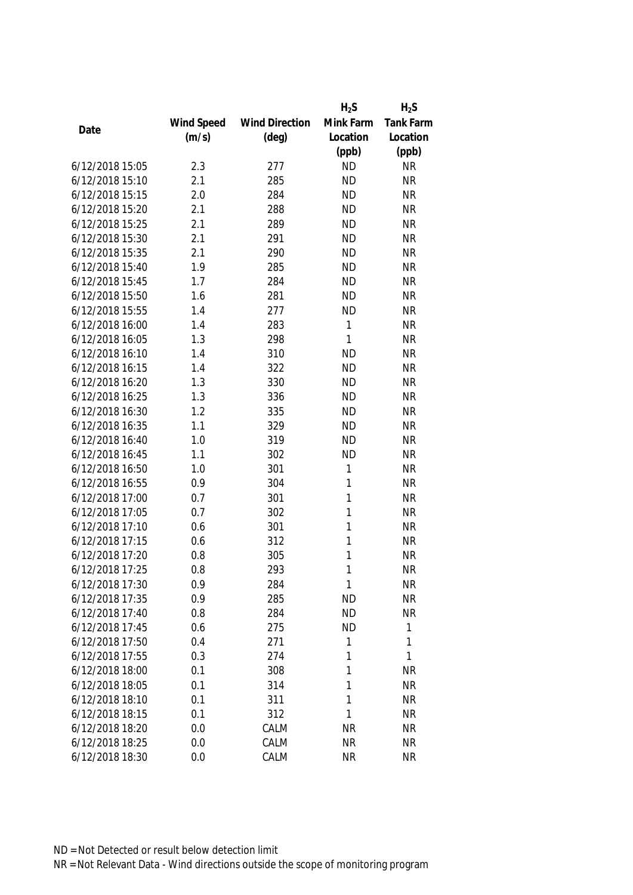|                 |            |                       | $H_2S$    | $H_2S$           |
|-----------------|------------|-----------------------|-----------|------------------|
|                 | Wind Speed | <b>Wind Direction</b> | Mink Farm | <b>Tank Farm</b> |
| Date            | (m/s)      | $(\text{deg})$        | Location  | Location         |
|                 |            |                       | (ppb)     | (ppb)            |
| 6/12/2018 15:05 | 2.3        | 277                   | <b>ND</b> | <b>NR</b>        |
| 6/12/2018 15:10 | 2.1        | 285                   | <b>ND</b> | <b>NR</b>        |
| 6/12/2018 15:15 | 2.0        | 284                   | <b>ND</b> | <b>NR</b>        |
| 6/12/2018 15:20 | 2.1        | 288                   | <b>ND</b> | <b>NR</b>        |
| 6/12/2018 15:25 | 2.1        | 289                   | <b>ND</b> | <b>NR</b>        |
| 6/12/2018 15:30 | 2.1        | 291                   | <b>ND</b> | <b>NR</b>        |
| 6/12/2018 15:35 | 2.1        | 290                   | <b>ND</b> | <b>NR</b>        |
| 6/12/2018 15:40 | 1.9        | 285                   | <b>ND</b> | <b>NR</b>        |
| 6/12/2018 15:45 | 1.7        | 284                   | <b>ND</b> | <b>NR</b>        |
| 6/12/2018 15:50 | 1.6        | 281                   | <b>ND</b> | <b>NR</b>        |
| 6/12/2018 15:55 | 1.4        | 277                   | <b>ND</b> | <b>NR</b>        |
| 6/12/2018 16:00 | 1.4        | 283                   | 1         | <b>NR</b>        |
| 6/12/2018 16:05 | 1.3        | 298                   | 1         | <b>NR</b>        |
| 6/12/2018 16:10 | 1.4        | 310                   | <b>ND</b> | <b>NR</b>        |
| 6/12/2018 16:15 | 1.4        | 322                   | <b>ND</b> | <b>NR</b>        |
| 6/12/2018 16:20 | 1.3        | 330                   | <b>ND</b> | <b>NR</b>        |
| 6/12/2018 16:25 | 1.3        | 336                   | <b>ND</b> | <b>NR</b>        |
| 6/12/2018 16:30 | 1.2        | 335                   | <b>ND</b> | <b>NR</b>        |
| 6/12/2018 16:35 | 1.1        | 329                   | <b>ND</b> | <b>NR</b>        |
| 6/12/2018 16:40 | 1.0        | 319                   | <b>ND</b> | <b>NR</b>        |
| 6/12/2018 16:45 | 1.1        | 302                   | <b>ND</b> | <b>NR</b>        |
| 6/12/2018 16:50 | 1.0        | 301                   | 1         | <b>NR</b>        |
| 6/12/2018 16:55 | 0.9        | 304                   | 1         | <b>NR</b>        |
| 6/12/2018 17:00 | 0.7        | 301                   | 1         | <b>NR</b>        |
| 6/12/2018 17:05 | 0.7        | 302                   | 1         | <b>NR</b>        |
| 6/12/2018 17:10 | 0.6        | 301                   | 1         | <b>NR</b>        |
| 6/12/2018 17:15 | 0.6        | 312                   | 1         | <b>NR</b>        |
| 6/12/2018 17:20 | 0.8        | 305                   | 1         | <b>NR</b>        |
| 6/12/2018 17:25 | 0.8        | 293                   | 1         | <b>NR</b>        |
| 6/12/2018 17:30 | 0.9        | 284                   | 1         | <b>NR</b>        |
| 6/12/2018 17:35 | 0.9        | 285                   | <b>ND</b> | <b>NR</b>        |
| 6/12/2018 17:40 | 0.8        | 284                   | <b>ND</b> | <b>NR</b>        |
| 6/12/2018 17:45 | 0.6        | 275                   | <b>ND</b> | 1                |
| 6/12/2018 17:50 | 0.4        | 271                   | 1         | 1                |
| 6/12/2018 17:55 | 0.3        | 274                   | 1         | 1                |
| 6/12/2018 18:00 | 0.1        | 308                   | 1         | <b>NR</b>        |
| 6/12/2018 18:05 | 0.1        | 314                   | 1         | <b>NR</b>        |
| 6/12/2018 18:10 | 0.1        | 311                   | 1         | <b>NR</b>        |
| 6/12/2018 18:15 | 0.1        | 312                   | 1         | <b>NR</b>        |
| 6/12/2018 18:20 | 0.0        | CALM                  | <b>NR</b> | <b>NR</b>        |
| 6/12/2018 18:25 | 0.0        | CALM                  | <b>NR</b> | <b>NR</b>        |
| 6/12/2018 18:30 | 0.0        | CALM                  | <b>NR</b> | <b>NR</b>        |
|                 |            |                       |           |                  |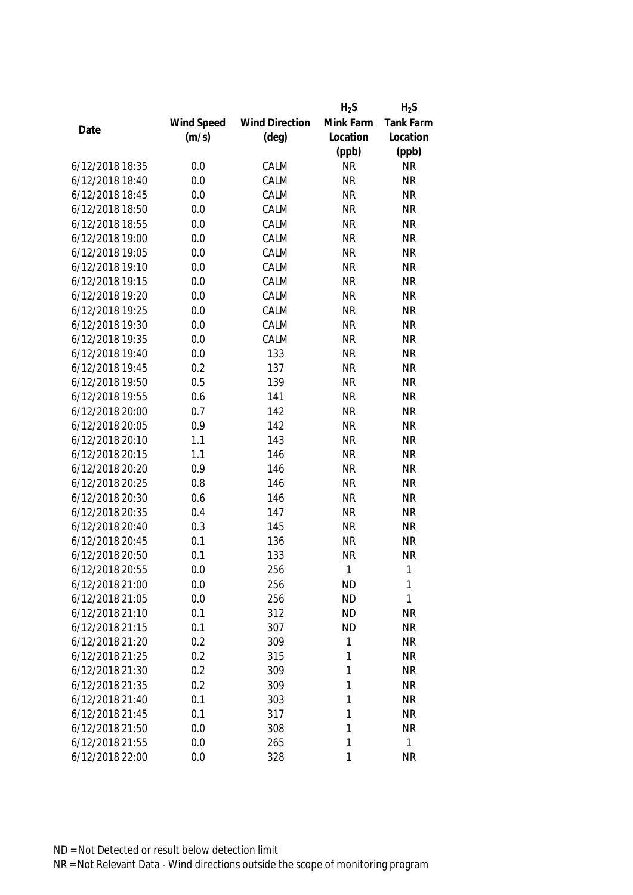|                 |            |                       | $H_2S$    | $H_2S$           |
|-----------------|------------|-----------------------|-----------|------------------|
|                 | Wind Speed | <b>Wind Direction</b> | Mink Farm | <b>Tank Farm</b> |
| Date            | (m/s)      | $(\text{deg})$        | Location  | Location         |
|                 |            |                       | (ppb)     | (ppb)            |
| 6/12/2018 18:35 | 0.0        | CALM                  | <b>NR</b> | <b>NR</b>        |
| 6/12/2018 18:40 | 0.0        | CALM                  | <b>NR</b> | <b>NR</b>        |
| 6/12/2018 18:45 | 0.0        | CALM                  | <b>NR</b> | <b>NR</b>        |
| 6/12/2018 18:50 | 0.0        | CALM                  | <b>NR</b> | <b>NR</b>        |
| 6/12/2018 18:55 | 0.0        | CALM                  | <b>NR</b> | <b>NR</b>        |
| 6/12/2018 19:00 | 0.0        | CALM                  | <b>NR</b> | <b>NR</b>        |
| 6/12/2018 19:05 | 0.0        | CALM                  | <b>NR</b> | <b>NR</b>        |
| 6/12/2018 19:10 | 0.0        | CALM                  | <b>NR</b> | <b>NR</b>        |
| 6/12/2018 19:15 | 0.0        | CALM                  | <b>NR</b> | <b>NR</b>        |
| 6/12/2018 19:20 | 0.0        | CALM                  | <b>NR</b> | <b>NR</b>        |
| 6/12/2018 19:25 | 0.0        | CALM                  | <b>NR</b> | <b>NR</b>        |
| 6/12/2018 19:30 | 0.0        | CALM                  | <b>NR</b> | <b>NR</b>        |
| 6/12/2018 19:35 | 0.0        | CALM                  | <b>NR</b> | <b>NR</b>        |
| 6/12/2018 19:40 | 0.0        | 133                   | <b>NR</b> | <b>NR</b>        |
| 6/12/2018 19:45 | 0.2        | 137                   | <b>NR</b> | <b>NR</b>        |
| 6/12/2018 19:50 | 0.5        | 139                   | <b>NR</b> | <b>NR</b>        |
| 6/12/2018 19:55 | 0.6        | 141                   | <b>NR</b> | <b>NR</b>        |
| 6/12/2018 20:00 | 0.7        | 142                   | <b>NR</b> | <b>NR</b>        |
| 6/12/2018 20:05 | 0.9        | 142                   | <b>NR</b> | <b>NR</b>        |
| 6/12/2018 20:10 | 1.1        | 143                   | <b>NR</b> | <b>NR</b>        |
| 6/12/2018 20:15 | 1.1        | 146                   | <b>NR</b> | <b>NR</b>        |
| 6/12/2018 20:20 | 0.9        | 146                   | <b>NR</b> | <b>NR</b>        |
| 6/12/2018 20:25 | 0.8        | 146                   | <b>NR</b> | <b>NR</b>        |
| 6/12/2018 20:30 | 0.6        | 146                   | <b>NR</b> | <b>NR</b>        |
| 6/12/2018 20:35 | 0.4        | 147                   | <b>NR</b> | <b>NR</b>        |
| 6/12/2018 20:40 | 0.3        | 145                   | <b>NR</b> | <b>NR</b>        |
| 6/12/2018 20:45 | 0.1        | 136                   | <b>NR</b> | <b>NR</b>        |
| 6/12/2018 20:50 | 0.1        | 133                   | <b>NR</b> | <b>NR</b>        |
| 6/12/2018 20:55 | 0.0        | 256                   | 1         | $\mathbf{1}$     |
| 6/12/2018 21:00 | 0.0        | 256                   | <b>ND</b> | 1                |
| 6/12/2018 21:05 | 0.0        | 256                   | <b>ND</b> | $\mathbf{1}$     |
| 6/12/2018 21:10 | 0.1        | 312                   | <b>ND</b> | <b>NR</b>        |
| 6/12/2018 21:15 | 0.1        | 307                   | <b>ND</b> | <b>NR</b>        |
| 6/12/2018 21:20 | 0.2        | 309                   | 1         | <b>NR</b>        |
| 6/12/2018 21:25 | 0.2        | 315                   | 1         | <b>NR</b>        |
| 6/12/2018 21:30 | 0.2        | 309                   | 1         | <b>NR</b>        |
| 6/12/2018 21:35 | 0.2        | 309                   | 1         | <b>NR</b>        |
| 6/12/2018 21:40 | 0.1        | 303                   | 1         | <b>NR</b>        |
| 6/12/2018 21:45 | 0.1        | 317                   | 1         | <b>NR</b>        |
| 6/12/2018 21:50 | 0.0        | 308                   | 1         | <b>NR</b>        |
| 6/12/2018 21:55 | 0.0        | 265                   | 1         | $\mathbf{1}$     |
| 6/12/2018 22:00 | 0.0        | 328                   | 1         | <b>NR</b>        |
|                 |            |                       |           |                  |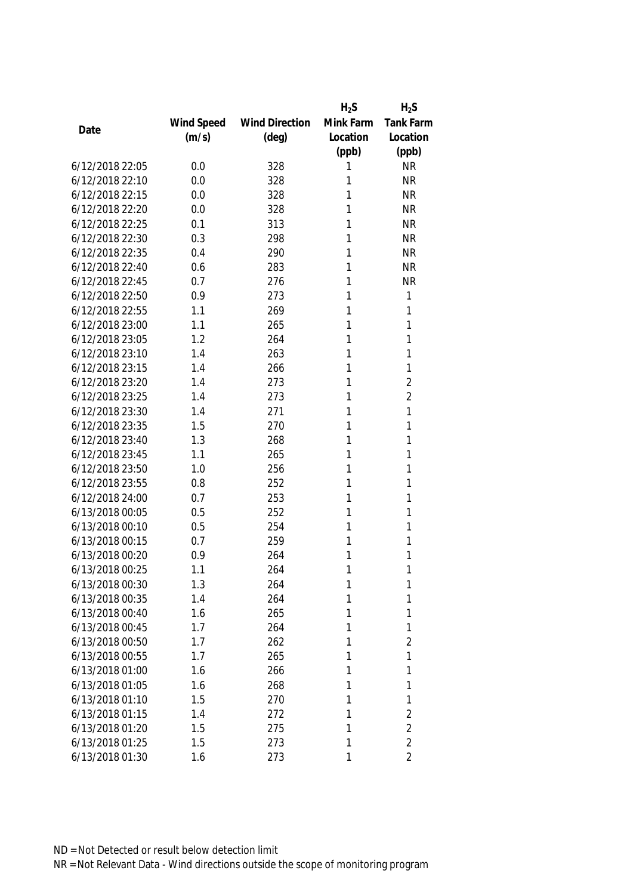|                 |            |                       | $H_2S$    | $H_2S$           |
|-----------------|------------|-----------------------|-----------|------------------|
|                 | Wind Speed | <b>Wind Direction</b> | Mink Farm | <b>Tank Farm</b> |
| Date            | (m/s)      | $(\text{deg})$        | Location  | Location         |
|                 |            |                       | (ppb)     | (ppb)            |
| 6/12/2018 22:05 | 0.0        | 328                   | 1         | <b>NR</b>        |
| 6/12/2018 22:10 | 0.0        | 328                   | 1         | <b>NR</b>        |
| 6/12/2018 22:15 | 0.0        | 328                   | 1         | <b>NR</b>        |
| 6/12/2018 22:20 | 0.0        | 328                   | 1         | <b>NR</b>        |
| 6/12/2018 22:25 | 0.1        | 313                   | 1         | <b>NR</b>        |
| 6/12/2018 22:30 | 0.3        | 298                   | 1         | <b>NR</b>        |
| 6/12/2018 22:35 | 0.4        | 290                   | 1         | <b>NR</b>        |
| 6/12/2018 22:40 | 0.6        | 283                   | 1         | <b>NR</b>        |
| 6/12/2018 22:45 | 0.7        | 276                   | 1         | <b>NR</b>        |
| 6/12/2018 22:50 | 0.9        | 273                   | 1         | 1                |
| 6/12/2018 22:55 | 1.1        | 269                   | 1         | 1                |
| 6/12/2018 23:00 | 1.1        | 265                   | 1         | 1                |
| 6/12/2018 23:05 | 1.2        | 264                   | 1         | 1                |
| 6/12/2018 23:10 | 1.4        | 263                   | 1         | 1                |
| 6/12/2018 23:15 | 1.4        | 266                   | 1         | 1                |
| 6/12/2018 23:20 | 1.4        | 273                   | 1         | $\overline{2}$   |
| 6/12/2018 23:25 | 1.4        | 273                   | 1         | $\overline{2}$   |
| 6/12/2018 23:30 | 1.4        | 271                   | 1         | 1                |
| 6/12/2018 23:35 | 1.5        | 270                   | 1         | 1                |
| 6/12/2018 23:40 | 1.3        | 268                   | 1         | 1                |
| 6/12/2018 23:45 | 1.1        | 265                   | 1         | 1                |
| 6/12/2018 23:50 | 1.0        | 256                   | 1         | 1                |
| 6/12/2018 23:55 | 0.8        | 252                   | 1         | 1                |
| 6/12/2018 24:00 | 0.7        | 253                   | 1         | 1                |
| 6/13/2018 00:05 | 0.5        | 252                   | 1         | 1                |
| 6/13/2018 00:10 | 0.5        | 254                   | 1         | 1                |
| 6/13/2018 00:15 | 0.7        | 259                   | 1         | 1                |
| 6/13/2018 00:20 | 0.9        | 264                   | 1         | 1                |
| 6/13/2018 00:25 | 1.1        | 264                   | 1         | 1                |
| 6/13/2018 00:30 | 1.3        | 264                   | 1         | 1                |
| 6/13/2018 00:35 | 1.4        | 264                   | 1         | 1                |
| 6/13/2018 00:40 | 1.6        | 265                   | 1         | 1                |
| 6/13/2018 00:45 | 1.7        | 264                   | 1         | 1                |
| 6/13/2018 00:50 | 1.7        | 262                   | 1         | $\overline{2}$   |
| 6/13/2018 00:55 | 1.7        | 265                   | 1         | 1                |
| 6/13/2018 01:00 | 1.6        | 266                   | 1         | 1                |
| 6/13/2018 01:05 | 1.6        | 268                   | 1         | 1                |
| 6/13/2018 01:10 | 1.5        | 270                   | 1         | 1                |
| 6/13/2018 01:15 | 1.4        | 272                   | 1         | $\overline{2}$   |
| 6/13/2018 01:20 | 1.5        | 275                   | 1         | $\overline{2}$   |
| 6/13/2018 01:25 | 1.5        | 273                   | 1         | $\overline{2}$   |
| 6/13/2018 01:30 | 1.6        | 273                   | 1         | $\overline{2}$   |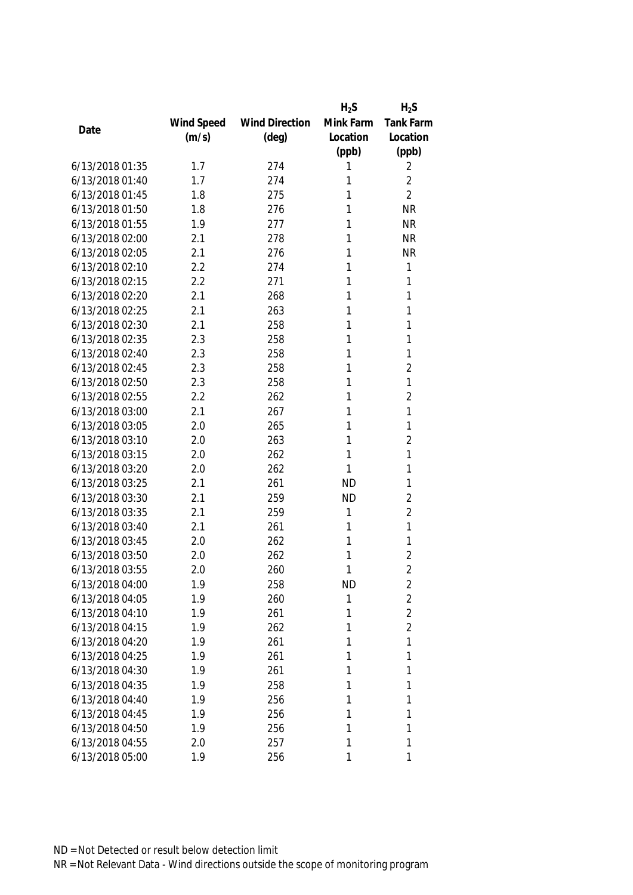|                 |            |                       | $H_2S$    | $H_2S$         |
|-----------------|------------|-----------------------|-----------|----------------|
|                 | Wind Speed | <b>Wind Direction</b> | Mink Farm | Tank Farm      |
| Date            | (m/s)      | $(\text{deg})$        | Location  | Location       |
|                 |            |                       | (ppb)     | (ppb)          |
| 6/13/2018 01:35 | 1.7        | 274                   | 1         | 2              |
| 6/13/2018 01:40 | 1.7        | 274                   | 1         | $\overline{2}$ |
| 6/13/2018 01:45 | 1.8        | 275                   | 1         | $\overline{2}$ |
| 6/13/2018 01:50 | 1.8        | 276                   | 1         | <b>NR</b>      |
| 6/13/2018 01:55 | 1.9        | 277                   | 1         | <b>NR</b>      |
| 6/13/2018 02:00 | 2.1        | 278                   | 1         | <b>NR</b>      |
| 6/13/2018 02:05 | 2.1        | 276                   | 1         | <b>NR</b>      |
| 6/13/2018 02:10 | 2.2        | 274                   | 1         | 1              |
| 6/13/2018 02:15 | 2.2        | 271                   | 1         | 1              |
| 6/13/2018 02:20 | 2.1        | 268                   | 1         | 1              |
| 6/13/2018 02:25 | 2.1        | 263                   | 1         | 1              |
| 6/13/2018 02:30 | 2.1        | 258                   | 1         | 1              |
| 6/13/2018 02:35 | 2.3        | 258                   | 1         | 1              |
| 6/13/2018 02:40 | 2.3        | 258                   | 1         | 1              |
| 6/13/2018 02:45 | 2.3        | 258                   | 1         | $\overline{2}$ |
| 6/13/2018 02:50 | 2.3        | 258                   | 1         | 1              |
| 6/13/2018 02:55 | 2.2        | 262                   | 1         | $\overline{2}$ |
| 6/13/2018 03:00 | 2.1        | 267                   | 1         | 1              |
| 6/13/2018 03:05 | 2.0        | 265                   | 1         | 1              |
| 6/13/2018 03:10 | 2.0        | 263                   | 1         | $\overline{2}$ |
| 6/13/2018 03:15 | 2.0        | 262                   | 1         | 1              |
| 6/13/2018 03:20 | 2.0        | 262                   | 1         | 1              |
| 6/13/2018 03:25 | 2.1        | 261                   | <b>ND</b> | 1              |
| 6/13/2018 03:30 | 2.1        | 259                   | <b>ND</b> | $\overline{2}$ |
| 6/13/2018 03:35 | 2.1        | 259                   | 1         | $\overline{2}$ |
| 6/13/2018 03:40 | 2.1        | 261                   | 1         | 1              |
| 6/13/2018 03:45 | 2.0        | 262                   | 1         | 1              |
| 6/13/2018 03:50 | 2.0        | 262                   | 1         | $\overline{2}$ |
| 6/13/2018 03:55 | 2.0        | 260                   | 1         | $\overline{2}$ |
| 6/13/2018 04:00 | 1.9        | 258                   | <b>ND</b> | 2              |
| 6/13/2018 04:05 | 1.9        | 260                   | 1         | $\overline{2}$ |
| 6/13/2018 04:10 | 1.9        | 261                   | 1         | $\overline{2}$ |
| 6/13/2018 04:15 | 1.9        | 262                   | 1         | $\overline{2}$ |
| 6/13/2018 04:20 | 1.9        | 261                   | 1         | 1              |
| 6/13/2018 04:25 | 1.9        | 261                   | 1         | 1              |
| 6/13/2018 04:30 | 1.9        | 261                   | 1         | 1              |
| 6/13/2018 04:35 | 1.9        | 258                   | 1         | 1              |
| 6/13/2018 04:40 | 1.9        | 256                   | 1         | 1              |
| 6/13/2018 04:45 | 1.9        | 256                   | 1         | 1              |
| 6/13/2018 04:50 | 1.9        | 256                   | 1         | 1              |
| 6/13/2018 04:55 | 2.0        | 257                   | 1         | 1              |
| 6/13/2018 05:00 | 1.9        | 256                   | 1         | 1              |
|                 |            |                       |           |                |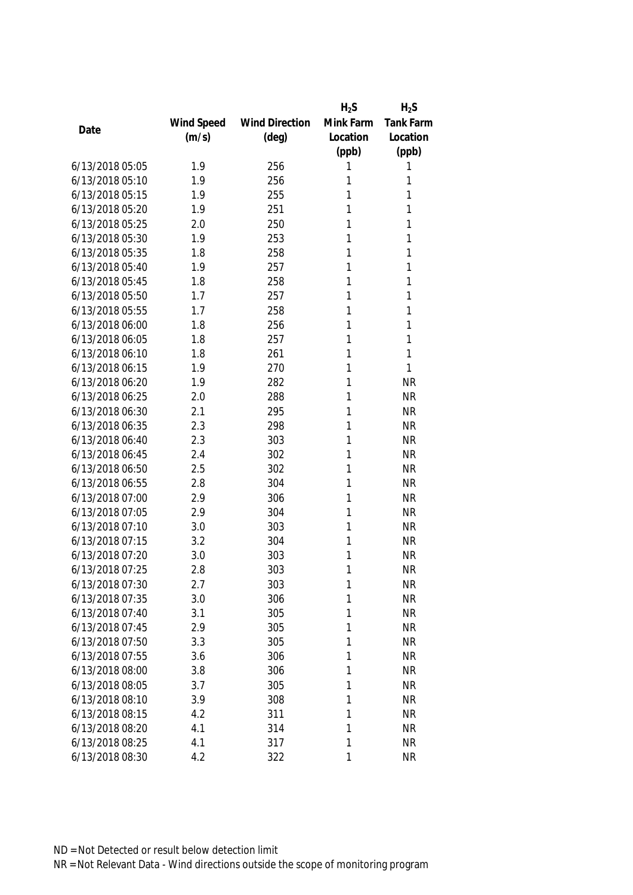|                 |            |                       | $H_2S$    | $H_2S$           |
|-----------------|------------|-----------------------|-----------|------------------|
|                 | Wind Speed | <b>Wind Direction</b> | Mink Farm | <b>Tank Farm</b> |
| Date            | (m/s)      | $(\text{deg})$        | Location  | Location         |
|                 |            |                       | (ppb)     | (ppb)            |
| 6/13/2018 05:05 | 1.9        | 256                   | 1         | 1                |
| 6/13/2018 05:10 | 1.9        | 256                   | 1         | 1                |
| 6/13/2018 05:15 | 1.9        | 255                   | 1         | 1                |
| 6/13/2018 05:20 | 1.9        | 251                   | 1         | 1                |
| 6/13/2018 05:25 | 2.0        | 250                   | 1         | 1                |
| 6/13/2018 05:30 | 1.9        | 253                   | 1         | 1                |
| 6/13/2018 05:35 | 1.8        | 258                   | 1         | 1                |
| 6/13/2018 05:40 | 1.9        | 257                   | 1         | 1                |
| 6/13/2018 05:45 | 1.8        | 258                   | 1         | 1                |
| 6/13/2018 05:50 | 1.7        | 257                   | 1         | 1                |
| 6/13/2018 05:55 | 1.7        | 258                   | 1         | 1                |
| 6/13/2018 06:00 | 1.8        | 256                   | 1         | 1                |
| 6/13/2018 06:05 | 1.8        | 257                   | 1         | 1                |
| 6/13/2018 06:10 | 1.8        | 261                   | 1         | 1                |
| 6/13/2018 06:15 | 1.9        | 270                   | 1         | 1                |
| 6/13/2018 06:20 | 1.9        | 282                   | 1         | <b>NR</b>        |
| 6/13/2018 06:25 | 2.0        | 288                   | 1         | <b>NR</b>        |
| 6/13/2018 06:30 | 2.1        | 295                   | 1         | <b>NR</b>        |
| 6/13/2018 06:35 | 2.3        | 298                   | 1         | <b>NR</b>        |
| 6/13/2018 06:40 | 2.3        | 303                   | 1         | <b>NR</b>        |
| 6/13/2018 06:45 | 2.4        | 302                   | 1         | <b>NR</b>        |
| 6/13/2018 06:50 | 2.5        | 302                   | 1         | <b>NR</b>        |
| 6/13/2018 06:55 | 2.8        | 304                   | 1         | <b>NR</b>        |
| 6/13/2018 07:00 | 2.9        | 306                   | 1         | <b>NR</b>        |
| 6/13/2018 07:05 | 2.9        | 304                   | 1         | <b>NR</b>        |
| 6/13/2018 07:10 | 3.0        | 303                   | 1         | <b>NR</b>        |
| 6/13/2018 07:15 | 3.2        | 304                   | 1         | <b>NR</b>        |
| 6/13/2018 07:20 | 3.0        | 303                   | 1         | <b>NR</b>        |
| 6/13/2018 07:25 | 2.8        | 303                   | 1         | <b>NR</b>        |
| 6/13/2018 07:30 | 2.7        | 303                   | 1         | <b>NR</b>        |
| 6/13/2018 07:35 | 3.0        | 306                   | 1         | <b>NR</b>        |
| 6/13/2018 07:40 | 3.1        | 305                   | 1         | <b>NR</b>        |
| 6/13/2018 07:45 | 2.9        | 305                   | 1         | <b>NR</b>        |
| 6/13/2018 07:50 | 3.3        | 305                   | 1         | <b>NR</b>        |
| 6/13/2018 07:55 | 3.6        | 306                   | 1         | <b>NR</b>        |
| 6/13/2018 08:00 | 3.8        | 306                   | 1         | <b>NR</b>        |
| 6/13/2018 08:05 | 3.7        | 305                   | 1         | <b>NR</b>        |
| 6/13/2018 08:10 | 3.9        | 308                   | 1         | <b>NR</b>        |
| 6/13/2018 08:15 | 4.2        | 311                   | 1         | <b>NR</b>        |
| 6/13/2018 08:20 | 4.1        | 314                   | 1         | <b>NR</b>        |
| 6/13/2018 08:25 | 4.1        | 317                   | 1         | <b>NR</b>        |
| 6/13/2018 08:30 | 4.2        | 322                   | 1         | <b>NR</b>        |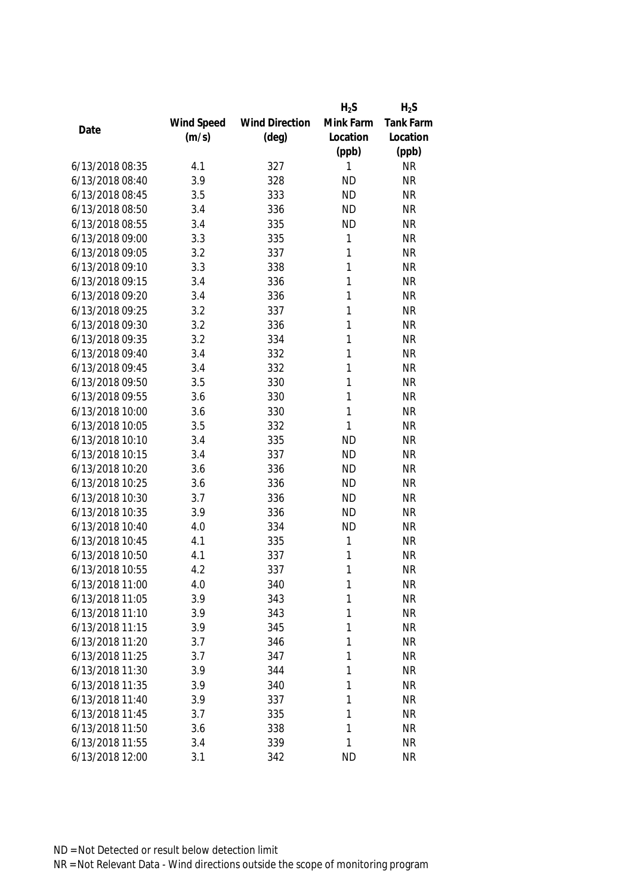|                 |            |                       | $H_2S$       | $H_2S$    |
|-----------------|------------|-----------------------|--------------|-----------|
|                 | Wind Speed | <b>Wind Direction</b> | Mink Farm    | Tank Farm |
| Date            | (m/s)      | $(\text{deg})$        | Location     | Location  |
|                 |            |                       | (ppb)        | (ppb)     |
| 6/13/2018 08:35 | 4.1        | 327                   | 1            | <b>NR</b> |
| 6/13/2018 08:40 | 3.9        | 328                   | <b>ND</b>    | <b>NR</b> |
| 6/13/2018 08:45 | 3.5        | 333                   | <b>ND</b>    | <b>NR</b> |
| 6/13/2018 08:50 | 3.4        | 336                   | <b>ND</b>    | <b>NR</b> |
| 6/13/2018 08:55 | 3.4        | 335                   | <b>ND</b>    | <b>NR</b> |
| 6/13/2018 09:00 | 3.3        | 335                   | 1            | <b>NR</b> |
| 6/13/2018 09:05 | 3.2        | 337                   | 1            | <b>NR</b> |
| 6/13/2018 09:10 | 3.3        | 338                   | $\mathbf{1}$ | <b>NR</b> |
| 6/13/2018 09:15 | 3.4        | 336                   | 1            | <b>NR</b> |
| 6/13/2018 09:20 | 3.4        | 336                   | 1            | <b>NR</b> |
| 6/13/2018 09:25 | 3.2        | 337                   | 1            | <b>NR</b> |
| 6/13/2018 09:30 | 3.2        | 336                   | 1            | <b>NR</b> |
| 6/13/2018 09:35 | 3.2        | 334                   | 1            | <b>NR</b> |
| 6/13/2018 09:40 | 3.4        | 332                   | 1            | <b>NR</b> |
| 6/13/2018 09:45 | 3.4        | 332                   | 1            | <b>NR</b> |
| 6/13/2018 09:50 | 3.5        | 330                   | $\mathbf{1}$ | <b>NR</b> |
| 6/13/2018 09:55 | 3.6        | 330                   | 1            | <b>NR</b> |
| 6/13/2018 10:00 | 3.6        | 330                   | 1            | <b>NR</b> |
| 6/13/2018 10:05 | 3.5        | 332                   | 1            | <b>NR</b> |
| 6/13/2018 10:10 | 3.4        | 335                   | <b>ND</b>    | <b>NR</b> |
| 6/13/2018 10:15 | 3.4        | 337                   | <b>ND</b>    | <b>NR</b> |
| 6/13/2018 10:20 | 3.6        | 336                   | <b>ND</b>    | <b>NR</b> |
| 6/13/2018 10:25 | 3.6        | 336                   | <b>ND</b>    | <b>NR</b> |
| 6/13/2018 10:30 | 3.7        | 336                   | <b>ND</b>    | <b>NR</b> |
| 6/13/2018 10:35 | 3.9        | 336                   | <b>ND</b>    | <b>NR</b> |
| 6/13/2018 10:40 | 4.0        | 334                   | <b>ND</b>    | <b>NR</b> |
| 6/13/2018 10:45 | 4.1        | 335                   | 1            | <b>NR</b> |
| 6/13/2018 10:50 | 4.1        | 337                   | 1            | <b>NR</b> |
| 6/13/2018 10:55 | 4.2        | 337                   | 1            | <b>NR</b> |
| 6/13/2018 11:00 | 4.0        | 340                   | 1            | <b>NR</b> |
| 6/13/2018 11:05 | 3.9        | 343                   | 1            | <b>NR</b> |
| 6/13/2018 11:10 | 3.9        | 343                   | 1            | <b>NR</b> |
| 6/13/2018 11:15 | 3.9        | 345                   | 1            | <b>NR</b> |
| 6/13/2018 11:20 | 3.7        | 346                   | 1            | <b>NR</b> |
| 6/13/2018 11:25 | 3.7        | 347                   | 1            | <b>NR</b> |
| 6/13/2018 11:30 | 3.9        | 344                   | 1            | <b>NR</b> |
| 6/13/2018 11:35 | 3.9        | 340                   | 1            | <b>NR</b> |
| 6/13/2018 11:40 | 3.9        | 337                   | 1            | <b>NR</b> |
| 6/13/2018 11:45 | 3.7        | 335                   | 1            | <b>NR</b> |
| 6/13/2018 11:50 | 3.6        | 338                   | 1            | <b>NR</b> |
| 6/13/2018 11:55 | 3.4        | 339                   | 1            | <b>NR</b> |
|                 |            |                       |              |           |
| 6/13/2018 12:00 | 3.1        | 342                   | <b>ND</b>    | <b>NR</b> |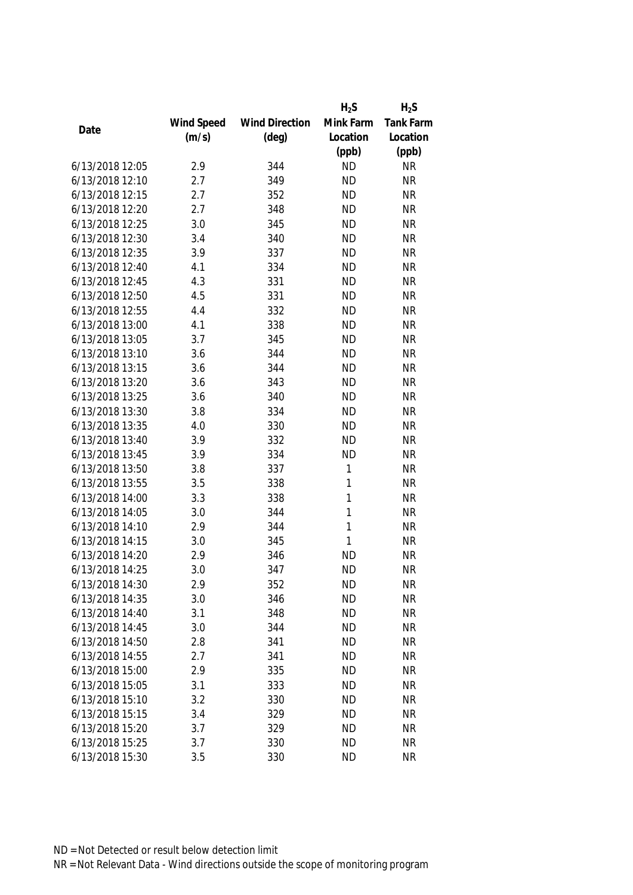|                 |            |                       | $H_2S$       | $H_2S$           |
|-----------------|------------|-----------------------|--------------|------------------|
|                 | Wind Speed | <b>Wind Direction</b> | Mink Farm    | <b>Tank Farm</b> |
| Date            | (m/s)      | $(\text{deg})$        | Location     | Location         |
|                 |            |                       | (ppb)        | (ppb)            |
| 6/13/2018 12:05 | 2.9        | 344                   | <b>ND</b>    | <b>NR</b>        |
| 6/13/2018 12:10 | 2.7        | 349                   | <b>ND</b>    | <b>NR</b>        |
| 6/13/2018 12:15 | 2.7        | 352                   | <b>ND</b>    | <b>NR</b>        |
| 6/13/2018 12:20 | 2.7        | 348                   | <b>ND</b>    | <b>NR</b>        |
| 6/13/2018 12:25 | 3.0        | 345                   | <b>ND</b>    | <b>NR</b>        |
| 6/13/2018 12:30 | 3.4        | 340                   | <b>ND</b>    | <b>NR</b>        |
| 6/13/2018 12:35 | 3.9        | 337                   | <b>ND</b>    | <b>NR</b>        |
| 6/13/2018 12:40 | 4.1        | 334                   | <b>ND</b>    | <b>NR</b>        |
| 6/13/2018 12:45 | 4.3        | 331                   | <b>ND</b>    | <b>NR</b>        |
| 6/13/2018 12:50 | 4.5        | 331                   | <b>ND</b>    | <b>NR</b>        |
| 6/13/2018 12:55 | 4.4        | 332                   | <b>ND</b>    | <b>NR</b>        |
| 6/13/2018 13:00 | 4.1        | 338                   | <b>ND</b>    | <b>NR</b>        |
| 6/13/2018 13:05 | 3.7        | 345                   | <b>ND</b>    | <b>NR</b>        |
| 6/13/2018 13:10 | 3.6        | 344                   | <b>ND</b>    | <b>NR</b>        |
| 6/13/2018 13:15 | 3.6        | 344                   | <b>ND</b>    | <b>NR</b>        |
| 6/13/2018 13:20 | 3.6        | 343                   | <b>ND</b>    | <b>NR</b>        |
| 6/13/2018 13:25 | 3.6        | 340                   | <b>ND</b>    | <b>NR</b>        |
| 6/13/2018 13:30 | 3.8        | 334                   | <b>ND</b>    | <b>NR</b>        |
| 6/13/2018 13:35 | 4.0        | 330                   | <b>ND</b>    | <b>NR</b>        |
| 6/13/2018 13:40 | 3.9        | 332                   | <b>ND</b>    | <b>NR</b>        |
| 6/13/2018 13:45 | 3.9        | 334                   | <b>ND</b>    | <b>NR</b>        |
| 6/13/2018 13:50 | 3.8        | 337                   | 1            | <b>NR</b>        |
| 6/13/2018 13:55 | 3.5        | 338                   | $\mathbf{1}$ | <b>NR</b>        |
| 6/13/2018 14:00 | 3.3        | 338                   | $\mathbf{1}$ | <b>NR</b>        |
| 6/13/2018 14:05 | 3.0        | 344                   | $\mathbf{1}$ | <b>NR</b>        |
| 6/13/2018 14:10 | 2.9        | 344                   | 1            | <b>NR</b>        |
| 6/13/2018 14:15 | 3.0        | 345                   | 1            | <b>NR</b>        |
| 6/13/2018 14:20 | 2.9        | 346                   | <b>ND</b>    | <b>NR</b>        |
| 6/13/2018 14:25 | 3.0        | 347                   | <b>ND</b>    | <b>NR</b>        |
| 6/13/2018 14:30 | 2.9        | 352                   | <b>ND</b>    | <b>NR</b>        |
| 6/13/2018 14:35 | 3.0        | 346                   | <b>ND</b>    | <b>NR</b>        |
| 6/13/2018 14:40 | 3.1        | 348                   | <b>ND</b>    | <b>NR</b>        |
| 6/13/2018 14:45 | 3.0        | 344                   | <b>ND</b>    | <b>NR</b>        |
| 6/13/2018 14:50 | 2.8        | 341                   | <b>ND</b>    | <b>NR</b>        |
| 6/13/2018 14:55 | 2.7        | 341                   | <b>ND</b>    | <b>NR</b>        |
| 6/13/2018 15:00 | 2.9        | 335                   | <b>ND</b>    | <b>NR</b>        |
| 6/13/2018 15:05 | 3.1        | 333                   | <b>ND</b>    | <b>NR</b>        |
| 6/13/2018 15:10 | 3.2        | 330                   | <b>ND</b>    | <b>NR</b>        |
| 6/13/2018 15:15 | 3.4        | 329                   | <b>ND</b>    | <b>NR</b>        |
| 6/13/2018 15:20 | 3.7        | 329                   | <b>ND</b>    | <b>NR</b>        |
| 6/13/2018 15:25 | 3.7        | 330                   | <b>ND</b>    | <b>NR</b>        |
| 6/13/2018 15:30 | 3.5        | 330                   | <b>ND</b>    | <b>NR</b>        |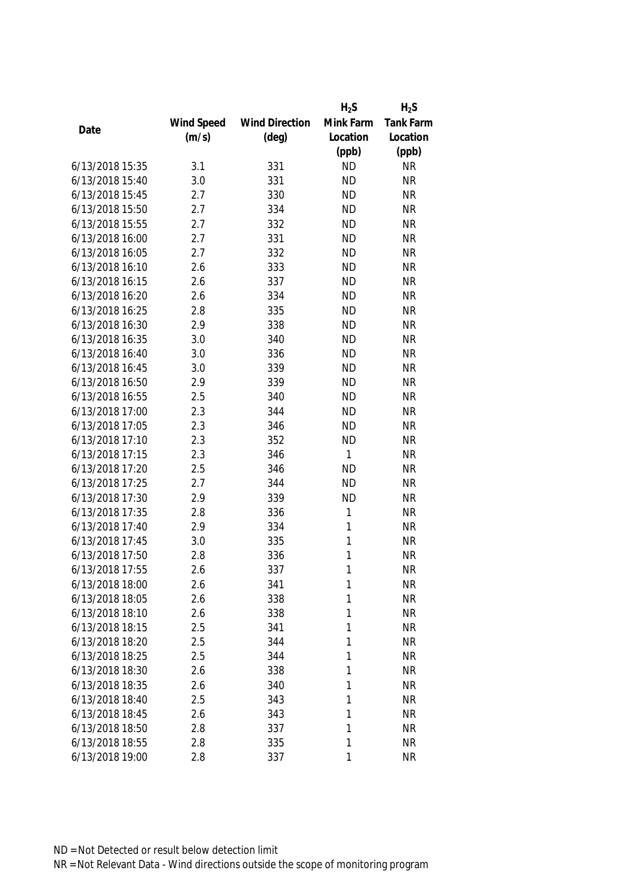|                 |            |                       | $H_2S$    | $H_2S$           |
|-----------------|------------|-----------------------|-----------|------------------|
|                 | Wind Speed | <b>Wind Direction</b> | Mink Farm | <b>Tank Farm</b> |
| Date            | (m/s)      | $(\text{deg})$        | Location  | Location         |
|                 |            |                       | (ppb)     | (ppb)            |
| 6/13/2018 15:35 | 3.1        | 331                   | <b>ND</b> | <b>NR</b>        |
| 6/13/2018 15:40 | 3.0        | 331                   | <b>ND</b> | <b>NR</b>        |
| 6/13/2018 15:45 | 2.7        | 330                   | <b>ND</b> | <b>NR</b>        |
| 6/13/2018 15:50 | 2.7        | 334                   | <b>ND</b> | <b>NR</b>        |
| 6/13/2018 15:55 | 2.7        | 332                   | <b>ND</b> | <b>NR</b>        |
| 6/13/2018 16:00 | 2.7        | 331                   | <b>ND</b> | <b>NR</b>        |
| 6/13/2018 16:05 | 2.7        | 332                   | <b>ND</b> | <b>NR</b>        |
| 6/13/2018 16:10 | 2.6        | 333                   | <b>ND</b> | <b>NR</b>        |
| 6/13/2018 16:15 | 2.6        | 337                   | <b>ND</b> | <b>NR</b>        |
| 6/13/2018 16:20 | 2.6        | 334                   | <b>ND</b> | <b>NR</b>        |
| 6/13/2018 16:25 | 2.8        | 335                   | <b>ND</b> | <b>NR</b>        |
| 6/13/2018 16:30 | 2.9        | 338                   | <b>ND</b> | <b>NR</b>        |
| 6/13/2018 16:35 | 3.0        | 340                   | <b>ND</b> | <b>NR</b>        |
| 6/13/2018 16:40 | 3.0        | 336                   | <b>ND</b> | <b>NR</b>        |
| 6/13/2018 16:45 | 3.0        | 339                   | <b>ND</b> | <b>NR</b>        |
| 6/13/2018 16:50 | 2.9        | 339                   | <b>ND</b> | <b>NR</b>        |
| 6/13/2018 16:55 | 2.5        | 340                   | <b>ND</b> | <b>NR</b>        |
| 6/13/2018 17:00 | 2.3        | 344                   | <b>ND</b> | <b>NR</b>        |
| 6/13/2018 17:05 | 2.3        | 346                   | <b>ND</b> | <b>NR</b>        |
| 6/13/2018 17:10 | 2.3        | 352                   | <b>ND</b> | <b>NR</b>        |
| 6/13/2018 17:15 | 2.3        | 346                   | 1         | <b>NR</b>        |
| 6/13/2018 17:20 | 2.5        | 346                   | <b>ND</b> | <b>NR</b>        |
| 6/13/2018 17:25 | 2.7        | 344                   | <b>ND</b> | <b>NR</b>        |
| 6/13/2018 17:30 | 2.9        | 339                   | <b>ND</b> | <b>NR</b>        |
| 6/13/2018 17:35 | 2.8        | 336                   | 1         | <b>NR</b>        |
| 6/13/2018 17:40 | 2.9        | 334                   | 1         | <b>NR</b>        |
| 6/13/2018 17:45 | 3.0        | 335                   | 1         | <b>NR</b>        |
| 6/13/2018 17:50 | 2.8        | 336                   | 1         | <b>NR</b>        |
| 6/13/2018 17:55 | 2.6        | 337                   | 1         | <b>NR</b>        |
| 6/13/2018 18:00 | 2.6        | 341                   | 1         | <b>NR</b>        |
| 6/13/2018 18:05 | 2.6        | 338                   | 1         | <b>NR</b>        |
| 6/13/2018 18:10 | 2.6        | 338                   | 1         | <b>NR</b>        |
| 6/13/2018 18:15 | 2.5        | 341                   | 1         | <b>NR</b>        |
| 6/13/2018 18:20 | 2.5        | 344                   | 1         | <b>NR</b>        |
| 6/13/2018 18:25 | 2.5        | 344                   | 1         | <b>NR</b>        |
| 6/13/2018 18:30 | 2.6        | 338                   | 1         | <b>NR</b>        |
| 6/13/2018 18:35 | 2.6        | 340                   | 1         | <b>NR</b>        |
| 6/13/2018 18:40 | 2.5        | 343                   | 1         | <b>NR</b>        |
| 6/13/2018 18:45 | 2.6        | 343                   | 1         | <b>NR</b>        |
| 6/13/2018 18:50 | 2.8        | 337                   | 1         | <b>NR</b>        |
| 6/13/2018 18:55 | 2.8        | 335                   | 1         | <b>NR</b>        |
| 6/13/2018 19:00 | 2.8        | 337                   | 1         | <b>NR</b>        |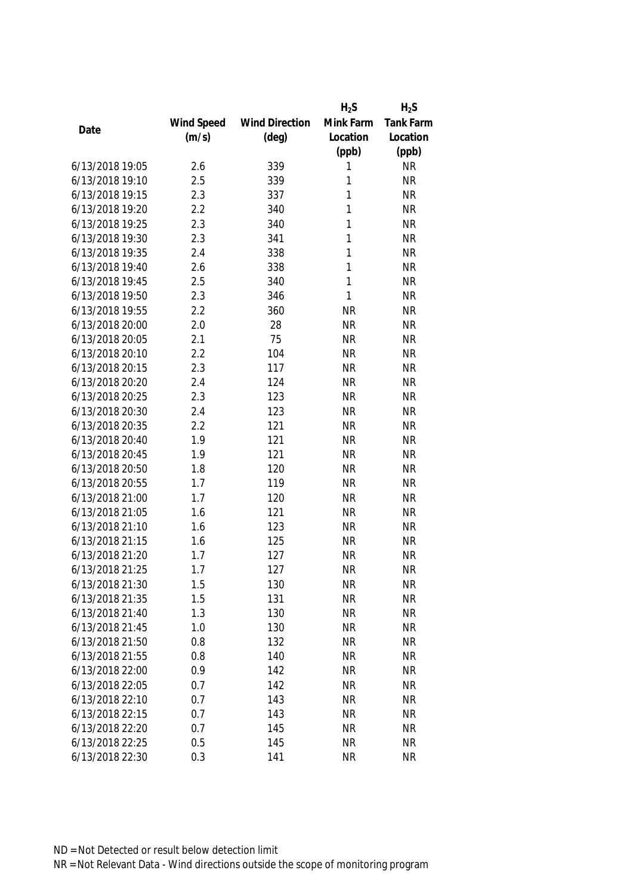|                 |            |                       | $H_2S$    | $H_2S$           |
|-----------------|------------|-----------------------|-----------|------------------|
|                 | Wind Speed | <b>Wind Direction</b> | Mink Farm | <b>Tank Farm</b> |
| Date            | (m/s)      | $(\text{deg})$        | Location  | Location         |
|                 |            |                       | (ppb)     | (ppb)            |
| 6/13/2018 19:05 | 2.6        | 339                   | 1         | <b>NR</b>        |
| 6/13/2018 19:10 | 2.5        | 339                   | 1         | <b>NR</b>        |
| 6/13/2018 19:15 | 2.3        | 337                   | 1         | <b>NR</b>        |
| 6/13/2018 19:20 | 2.2        | 340                   | 1         | <b>NR</b>        |
| 6/13/2018 19:25 | 2.3        | 340                   | 1         | <b>NR</b>        |
| 6/13/2018 19:30 | 2.3        | 341                   | 1         | <b>NR</b>        |
| 6/13/2018 19:35 | 2.4        | 338                   | 1         | <b>NR</b>        |
| 6/13/2018 19:40 | 2.6        | 338                   | 1         | <b>NR</b>        |
| 6/13/2018 19:45 | 2.5        | 340                   | 1         | <b>NR</b>        |
| 6/13/2018 19:50 | 2.3        | 346                   | 1         | <b>NR</b>        |
| 6/13/2018 19:55 | 2.2        | 360                   | <b>NR</b> | <b>NR</b>        |
| 6/13/2018 20:00 | 2.0        | 28                    | <b>NR</b> | <b>NR</b>        |
| 6/13/2018 20:05 | 2.1        | 75                    | <b>NR</b> | <b>NR</b>        |
| 6/13/2018 20:10 | 2.2        | 104                   | <b>NR</b> | <b>NR</b>        |
| 6/13/2018 20:15 | 2.3        | 117                   | <b>NR</b> | <b>NR</b>        |
| 6/13/2018 20:20 | 2.4        | 124                   | <b>NR</b> | <b>NR</b>        |
| 6/13/2018 20:25 | 2.3        | 123                   | <b>NR</b> | <b>NR</b>        |
| 6/13/2018 20:30 | 2.4        | 123                   | <b>NR</b> | <b>NR</b>        |
| 6/13/2018 20:35 | 2.2        | 121                   | <b>NR</b> | <b>NR</b>        |
| 6/13/2018 20:40 | 1.9        | 121                   | <b>NR</b> | <b>NR</b>        |
| 6/13/2018 20:45 | 1.9        | 121                   | <b>NR</b> | <b>NR</b>        |
| 6/13/2018 20:50 | 1.8        | 120                   | <b>NR</b> | <b>NR</b>        |
| 6/13/2018 20:55 | 1.7        | 119                   | <b>NR</b> | <b>NR</b>        |
| 6/13/2018 21:00 | 1.7        | 120                   | <b>NR</b> | <b>NR</b>        |
| 6/13/2018 21:05 | 1.6        | 121                   | <b>NR</b> | <b>NR</b>        |
| 6/13/2018 21:10 | 1.6        | 123                   | <b>NR</b> | <b>NR</b>        |
| 6/13/2018 21:15 | 1.6        | 125                   | <b>NR</b> | <b>NR</b>        |
| 6/13/2018 21:20 | 1.7        | 127                   | <b>NR</b> | <b>NR</b>        |
| 6/13/2018 21:25 | 1.7        | 127                   | <b>NR</b> | <b>NR</b>        |
| 6/13/2018 21:30 | 1.5        | 130                   | <b>NR</b> | <b>NR</b>        |
| 6/13/2018 21:35 | 1.5        | 131                   | <b>NR</b> | <b>NR</b>        |
| 6/13/2018 21:40 | 1.3        | 130                   | <b>NR</b> | <b>NR</b>        |
| 6/13/2018 21:45 | 1.0        | 130                   | <b>NR</b> | <b>NR</b>        |
| 6/13/2018 21:50 | 0.8        | 132                   | <b>NR</b> | <b>NR</b>        |
| 6/13/2018 21:55 | 0.8        | 140                   | <b>NR</b> | <b>NR</b>        |
| 6/13/2018 22:00 | 0.9        | 142                   | <b>NR</b> | <b>NR</b>        |
| 6/13/2018 22:05 | 0.7        | 142                   | <b>NR</b> | <b>NR</b>        |
| 6/13/2018 22:10 | 0.7        | 143                   | <b>NR</b> | <b>NR</b>        |
| 6/13/2018 22:15 | 0.7        | 143                   | <b>NR</b> | <b>NR</b>        |
| 6/13/2018 22:20 | 0.7        | 145                   | <b>NR</b> | <b>NR</b>        |
| 6/13/2018 22:25 | 0.5        | 145                   | <b>NR</b> | <b>NR</b>        |
| 6/13/2018 22:30 | 0.3        | 141                   | <b>NR</b> | <b>NR</b>        |
|                 |            |                       |           |                  |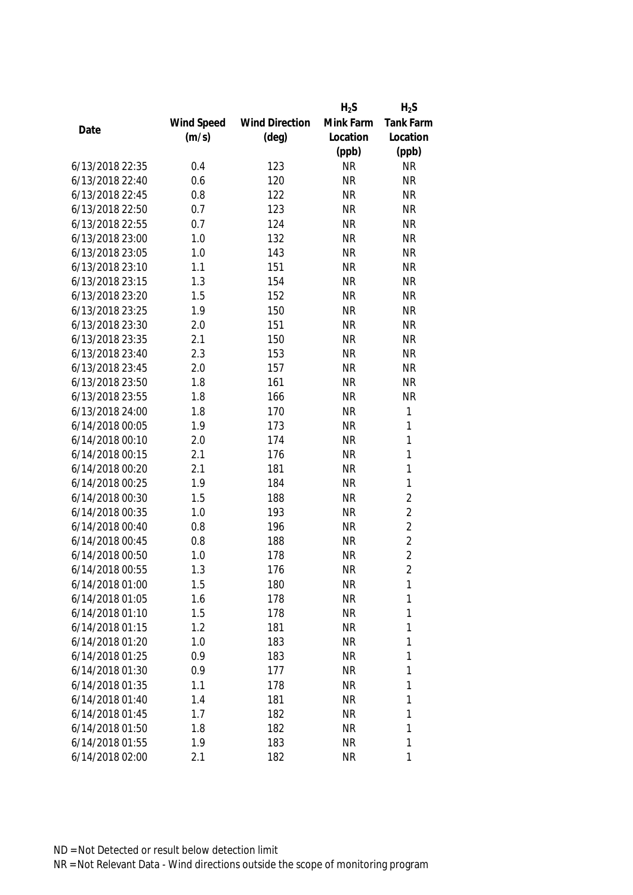|                 |            |                       | $H_2S$    | $H_2S$           |
|-----------------|------------|-----------------------|-----------|------------------|
|                 | Wind Speed | <b>Wind Direction</b> | Mink Farm | <b>Tank Farm</b> |
| Date            | (m/s)      | $(\text{deg})$        | Location  | Location         |
|                 |            |                       | (ppb)     | (ppb)            |
| 6/13/2018 22:35 | 0.4        | 123                   | <b>NR</b> | <b>NR</b>        |
| 6/13/2018 22:40 | 0.6        | 120                   | <b>NR</b> | <b>NR</b>        |
| 6/13/2018 22:45 | 0.8        | 122                   | <b>NR</b> | <b>NR</b>        |
| 6/13/2018 22:50 | 0.7        | 123                   | <b>NR</b> | <b>NR</b>        |
| 6/13/2018 22:55 | 0.7        | 124                   | <b>NR</b> | <b>NR</b>        |
| 6/13/2018 23:00 | 1.0        | 132                   | <b>NR</b> | <b>NR</b>        |
| 6/13/2018 23:05 | 1.0        | 143                   | <b>NR</b> | <b>NR</b>        |
| 6/13/2018 23:10 | 1.1        | 151                   | <b>NR</b> | <b>NR</b>        |
| 6/13/2018 23:15 | 1.3        | 154                   | <b>NR</b> | <b>NR</b>        |
| 6/13/2018 23:20 | 1.5        | 152                   | <b>NR</b> | <b>NR</b>        |
| 6/13/2018 23:25 | 1.9        | 150                   | <b>NR</b> | <b>NR</b>        |
| 6/13/2018 23:30 | 2.0        | 151                   | <b>NR</b> | <b>NR</b>        |
| 6/13/2018 23:35 | 2.1        | 150                   | <b>NR</b> | <b>NR</b>        |
| 6/13/2018 23:40 | 2.3        | 153                   | <b>NR</b> | <b>NR</b>        |
| 6/13/2018 23:45 | 2.0        | 157                   | <b>NR</b> | <b>NR</b>        |
| 6/13/2018 23:50 | 1.8        | 161                   | <b>NR</b> | <b>NR</b>        |
| 6/13/2018 23:55 | 1.8        | 166                   | <b>NR</b> | <b>NR</b>        |
| 6/13/2018 24:00 | 1.8        | 170                   | <b>NR</b> | $\mathbf{1}$     |
| 6/14/2018 00:05 | 1.9        | 173                   | <b>NR</b> | 1                |
| 6/14/2018 00:10 | 2.0        | 174                   | <b>NR</b> | $\mathbf{1}$     |
| 6/14/2018 00:15 | 2.1        | 176                   | <b>NR</b> | $\mathbf{1}$     |
| 6/14/2018 00:20 | 2.1        | 181                   | <b>NR</b> | $\mathbf{1}$     |
| 6/14/2018 00:25 | 1.9        | 184                   | <b>NR</b> | $\mathbf{1}$     |
| 6/14/2018 00:30 | 1.5        | 188                   | <b>NR</b> | $\overline{2}$   |
| 6/14/2018 00:35 | 1.0        | 193                   | <b>NR</b> | $\overline{2}$   |
| 6/14/2018 00:40 | 0.8        | 196                   | <b>NR</b> | $\overline{2}$   |
| 6/14/2018 00:45 | 0.8        | 188                   | <b>NR</b> | $\overline{2}$   |
| 6/14/2018 00:50 | 1.0        | 178                   | <b>NR</b> | $\overline{2}$   |
| 6/14/2018 00:55 | 1.3        | 176                   | <b>NR</b> | $\overline{2}$   |
| 6/14/2018 01:00 | 1.5        | 180                   | <b>NR</b> | 1                |
| 6/14/2018 01:05 | 1.6        | 178                   | <b>NR</b> | 1                |
| 6/14/2018 01:10 | 1.5        | 178                   | <b>NR</b> | 1                |
| 6/14/2018 01:15 | 1.2        | 181                   | <b>NR</b> | 1                |
| 6/14/2018 01:20 | 1.0        | 183                   | <b>NR</b> | 1                |
| 6/14/2018 01:25 | 0.9        | 183                   | <b>NR</b> | 1                |
| 6/14/2018 01:30 | 0.9        | 177                   | <b>NR</b> | 1                |
| 6/14/2018 01:35 | 1.1        | 178                   | <b>NR</b> | 1                |
| 6/14/2018 01:40 | 1.4        | 181                   | <b>NR</b> | 1                |
| 6/14/2018 01:45 | 1.7        | 182                   | <b>NR</b> | 1                |
| 6/14/2018 01:50 | 1.8        | 182                   | <b>NR</b> | 1                |
| 6/14/2018 01:55 | 1.9        | 183                   | <b>NR</b> | 1                |
| 6/14/2018 02:00 | 2.1        | 182                   | <b>NR</b> | 1                |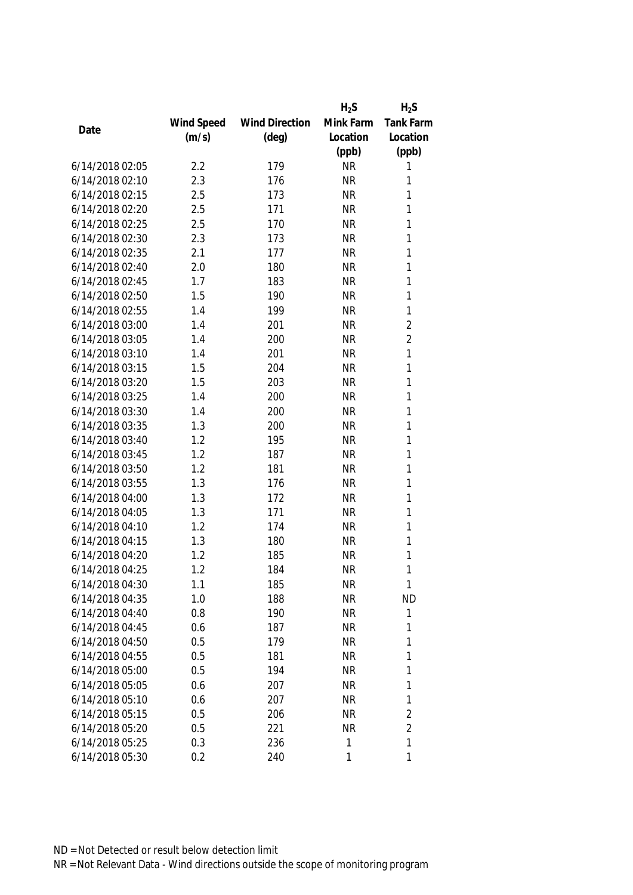|                 |            |                       | $H_2S$    | $H_2S$           |
|-----------------|------------|-----------------------|-----------|------------------|
|                 | Wind Speed | <b>Wind Direction</b> | Mink Farm | <b>Tank Farm</b> |
| Date            | (m/s)      | $(\text{deg})$        | Location  | Location         |
|                 |            |                       | (ppb)     | (ppb)            |
| 6/14/2018 02:05 | 2.2        | 179                   | <b>NR</b> | 1                |
| 6/14/2018 02:10 | 2.3        | 176                   | <b>NR</b> | 1                |
| 6/14/2018 02:15 | 2.5        | 173                   | <b>NR</b> | 1                |
| 6/14/2018 02:20 | 2.5        | 171                   | <b>NR</b> | 1                |
| 6/14/2018 02:25 | 2.5        | 170                   | <b>NR</b> | 1                |
| 6/14/2018 02:30 | 2.3        | 173                   | <b>NR</b> | 1                |
| 6/14/2018 02:35 | 2.1        | 177                   | <b>NR</b> | 1                |
| 6/14/2018 02:40 | 2.0        | 180                   | <b>NR</b> | 1                |
| 6/14/2018 02:45 | 1.7        | 183                   | <b>NR</b> | 1                |
| 6/14/2018 02:50 | 1.5        | 190                   | <b>NR</b> | 1                |
| 6/14/2018 02:55 | 1.4        | 199                   | <b>NR</b> | $\mathbf{1}$     |
| 6/14/2018 03:00 | 1.4        | 201                   | <b>NR</b> | $\overline{c}$   |
| 6/14/2018 03:05 | 1.4        | 200                   | <b>NR</b> | $\overline{2}$   |
| 6/14/2018 03:10 | 1.4        | 201                   | <b>NR</b> | 1                |
| 6/14/2018 03:15 | 1.5        | 204                   | <b>NR</b> | $\mathbf{1}$     |
| 6/14/2018 03:20 | 1.5        | 203                   | <b>NR</b> | $\mathbf{1}$     |
| 6/14/2018 03:25 | 1.4        | 200                   | <b>NR</b> | $\mathbf{1}$     |
| 6/14/2018 03:30 | 1.4        | 200                   | <b>NR</b> | 1                |
| 6/14/2018 03:35 | 1.3        | 200                   | <b>NR</b> | 1                |
| 6/14/2018 03:40 | 1.2        | 195                   | <b>NR</b> | 1                |
| 6/14/2018 03:45 | 1.2        | 187                   | <b>NR</b> | 1                |
| 6/14/2018 03:50 | 1.2        | 181                   | <b>NR</b> | 1                |
| 6/14/2018 03:55 | 1.3        | 176                   | <b>NR</b> | 1                |
| 6/14/2018 04:00 | 1.3        | 172                   | <b>NR</b> | 1                |
| 6/14/2018 04:05 | 1.3        | 171                   | <b>NR</b> | 1                |
| 6/14/2018 04:10 | 1.2        | 174                   | <b>NR</b> | 1                |
| 6/14/2018 04:15 | 1.3        | 180                   | <b>NR</b> | 1                |
| 6/14/2018 04:20 | 1.2        | 185                   | <b>NR</b> | 1                |
| 6/14/2018 04:25 | 1.2        | 184                   | <b>NR</b> | 1                |
| 6/14/2018 04:30 | 1.1        | 185                   | <b>NR</b> | 1                |
| 6/14/2018 04:35 | 1.0        | 188                   | <b>NR</b> | <b>ND</b>        |
| 6/14/2018 04:40 | 0.8        | 190                   | <b>NR</b> | 1                |
| 6/14/2018 04:45 | 0.6        | 187                   | <b>NR</b> | 1                |
| 6/14/2018 04:50 | 0.5        | 179                   | <b>NR</b> | 1                |
| 6/14/2018 04:55 | 0.5        | 181                   | <b>NR</b> | 1                |
| 6/14/2018 05:00 | 0.5        | 194                   | <b>NR</b> | 1                |
| 6/14/2018 05:05 | 0.6        | 207                   | <b>NR</b> | 1                |
| 6/14/2018 05:10 | 0.6        | 207                   | <b>NR</b> | 1                |
| 6/14/2018 05:15 | 0.5        | 206                   | <b>NR</b> | $\overline{2}$   |
| 6/14/2018 05:20 | 0.5        | 221                   | <b>NR</b> | $\overline{2}$   |
| 6/14/2018 05:25 | 0.3        | 236                   | 1         | 1                |
| 6/14/2018 05:30 | 0.2        | 240                   | 1         | 1                |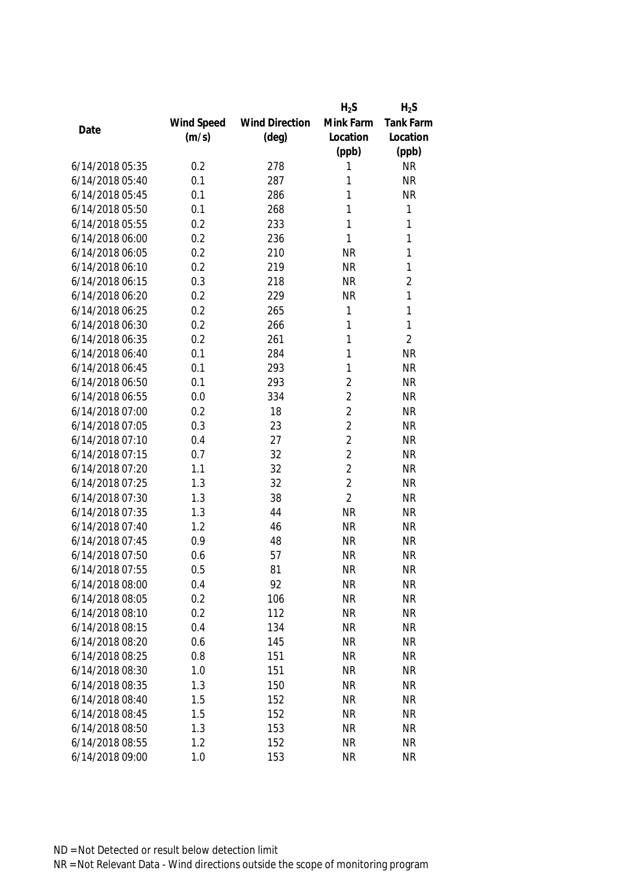|                 |            |                       | $H_2S$         | $H_2S$         |
|-----------------|------------|-----------------------|----------------|----------------|
|                 | Wind Speed | <b>Wind Direction</b> | Mink Farm      | Tank Farm      |
| Date            | (m/s)      | $(\text{deg})$        | Location       | Location       |
|                 |            |                       | (ppb)          | (ppb)          |
| 6/14/2018 05:35 | 0.2        | 278                   | 1              | <b>NR</b>      |
| 6/14/2018 05:40 | 0.1        | 287                   | 1              | <b>NR</b>      |
| 6/14/2018 05:45 | 0.1        | 286                   | 1              | <b>NR</b>      |
| 6/14/2018 05:50 | 0.1        | 268                   | 1              | 1              |
| 6/14/2018 05:55 | 0.2        | 233                   | 1              | 1              |
| 6/14/2018 06:00 | 0.2        | 236                   | 1              | 1              |
| 6/14/2018 06:05 | 0.2        | 210                   | <b>NR</b>      | 1              |
| 6/14/2018 06:10 | 0.2        | 219                   | <b>NR</b>      | 1              |
| 6/14/2018 06:15 | 0.3        | 218                   | <b>NR</b>      | $\overline{2}$ |
| 6/14/2018 06:20 | 0.2        | 229                   | <b>NR</b>      | 1              |
| 6/14/2018 06:25 | 0.2        | 265                   | $\mathbf{1}$   | 1              |
| 6/14/2018 06:30 | 0.2        | 266                   | 1              | 1              |
| 6/14/2018 06:35 | 0.2        | 261                   | 1              | $\overline{2}$ |
| 6/14/2018 06:40 | 0.1        | 284                   | 1              | <b>NR</b>      |
| 6/14/2018 06:45 | 0.1        | 293                   | 1              | <b>NR</b>      |
| 6/14/2018 06:50 | 0.1        | 293                   | $\overline{2}$ | <b>NR</b>      |
| 6/14/2018 06:55 | 0.0        | 334                   | $\overline{2}$ | <b>NR</b>      |
| 6/14/2018 07:00 | 0.2        | 18                    | $\overline{2}$ | <b>NR</b>      |
| 6/14/2018 07:05 | 0.3        | 23                    | $\overline{2}$ | <b>NR</b>      |
| 6/14/2018 07:10 | 0.4        | 27                    | $\overline{2}$ | <b>NR</b>      |
| 6/14/2018 07:15 | 0.7        | 32                    | $\overline{2}$ | <b>NR</b>      |
| 6/14/2018 07:20 | 1.1        | 32                    | $\overline{2}$ | <b>NR</b>      |
| 6/14/2018 07:25 | 1.3        | 32                    | $\overline{2}$ | <b>NR</b>      |
| 6/14/2018 07:30 | 1.3        | 38                    | $\overline{2}$ | <b>NR</b>      |
| 6/14/2018 07:35 | 1.3        | 44                    | <b>NR</b>      | <b>NR</b>      |
| 6/14/2018 07:40 | 1.2        | 46                    | <b>NR</b>      | <b>NR</b>      |
| 6/14/2018 07:45 | 0.9        | 48                    | <b>NR</b>      | <b>NR</b>      |
| 6/14/2018 07:50 | 0.6        | 57                    | <b>NR</b>      | <b>NR</b>      |
| 6/14/2018 07:55 | 0.5        | 81                    | <b>NR</b>      | <b>NR</b>      |
| 6/14/2018 08:00 | 0.4        | 92                    | <b>NR</b>      | <b>NR</b>      |
| 6/14/2018 08:05 | 0.2        | 106                   | <b>NR</b>      | <b>NR</b>      |
| 6/14/2018 08:10 | 0.2        | 112                   | <b>NR</b>      | <b>NR</b>      |
| 6/14/2018 08:15 | 0.4        | 134                   | <b>NR</b>      | <b>NR</b>      |
| 6/14/2018 08:20 | 0.6        | 145                   | <b>NR</b>      | <b>NR</b>      |
| 6/14/2018 08:25 | 0.8        | 151                   | <b>NR</b>      | <b>NR</b>      |
| 6/14/2018 08:30 | 1.0        | 151                   | <b>NR</b>      | <b>NR</b>      |
| 6/14/2018 08:35 | 1.3        | 150                   | <b>NR</b>      | <b>NR</b>      |
| 6/14/2018 08:40 | 1.5        | 152                   | <b>NR</b>      | <b>NR</b>      |
| 6/14/2018 08:45 | 1.5        | 152                   | <b>NR</b>      | <b>NR</b>      |
| 6/14/2018 08:50 | 1.3        | 153                   | <b>NR</b>      | <b>NR</b>      |
| 6/14/2018 08:55 | 1.2        | 152                   | <b>NR</b>      | <b>NR</b>      |
| 6/14/2018 09:00 | 1.0        | 153                   | <b>NR</b>      | <b>NR</b>      |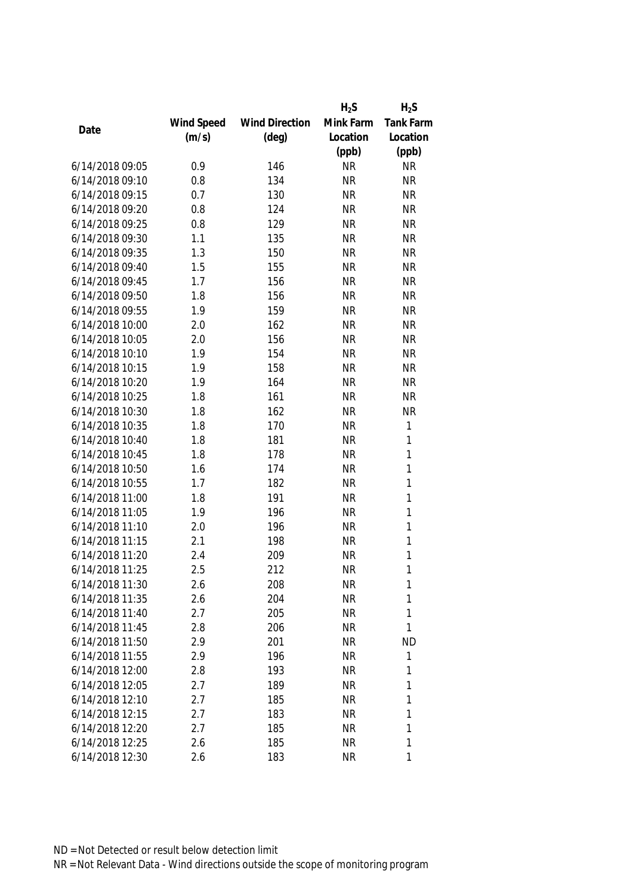|                 |            |                       | $H_2S$    | $H_2S$           |
|-----------------|------------|-----------------------|-----------|------------------|
|                 | Wind Speed | <b>Wind Direction</b> | Mink Farm | <b>Tank Farm</b> |
| Date            | (m/s)      | $(\text{deg})$        | Location  | Location         |
|                 |            |                       | (ppb)     | (ppb)            |
| 6/14/2018 09:05 | 0.9        | 146                   | <b>NR</b> | <b>NR</b>        |
| 6/14/2018 09:10 | 0.8        | 134                   | <b>NR</b> | <b>NR</b>        |
| 6/14/2018 09:15 | 0.7        | 130                   | <b>NR</b> | <b>NR</b>        |
| 6/14/2018 09:20 | 0.8        | 124                   | <b>NR</b> | <b>NR</b>        |
| 6/14/2018 09:25 | 0.8        | 129                   | <b>NR</b> | <b>NR</b>        |
| 6/14/2018 09:30 | 1.1        | 135                   | <b>NR</b> | <b>NR</b>        |
| 6/14/2018 09:35 | 1.3        | 150                   | <b>NR</b> | <b>NR</b>        |
| 6/14/2018 09:40 | 1.5        | 155                   | <b>NR</b> | <b>NR</b>        |
| 6/14/2018 09:45 | 1.7        | 156                   | <b>NR</b> | <b>NR</b>        |
| 6/14/2018 09:50 | 1.8        | 156                   | <b>NR</b> | <b>NR</b>        |
| 6/14/2018 09:55 | 1.9        | 159                   | <b>NR</b> | <b>NR</b>        |
| 6/14/2018 10:00 | 2.0        | 162                   | <b>NR</b> | <b>NR</b>        |
| 6/14/2018 10:05 | 2.0        | 156                   | <b>NR</b> | <b>NR</b>        |
| 6/14/2018 10:10 | 1.9        | 154                   | <b>NR</b> | <b>NR</b>        |
| 6/14/2018 10:15 | 1.9        | 158                   | <b>NR</b> | <b>NR</b>        |
| 6/14/2018 10:20 | 1.9        | 164                   | <b>NR</b> | <b>NR</b>        |
| 6/14/2018 10:25 | 1.8        | 161                   | <b>NR</b> | <b>NR</b>        |
| 6/14/2018 10:30 | 1.8        | 162                   | <b>NR</b> | <b>NR</b>        |
| 6/14/2018 10:35 | 1.8        | 170                   | <b>NR</b> | $\mathbf{1}$     |
| 6/14/2018 10:40 | 1.8        | 181                   | <b>NR</b> | $\mathbf{1}$     |
| 6/14/2018 10:45 | 1.8        | 178                   | <b>NR</b> | $\mathbf{1}$     |
| 6/14/2018 10:50 | 1.6        | 174                   | <b>NR</b> | $\mathbf{1}$     |
| 6/14/2018 10:55 | 1.7        | 182                   | <b>NR</b> | $\mathbf{1}$     |
| 6/14/2018 11:00 | 1.8        | 191                   | <b>NR</b> | $\mathbf{1}$     |
| 6/14/2018 11:05 | 1.9        | 196                   | <b>NR</b> | $\mathbf{1}$     |
| 6/14/2018 11:10 | 2.0        | 196                   | <b>NR</b> | $\mathbf{1}$     |
| 6/14/2018 11:15 | 2.1        | 198                   | <b>NR</b> | 1                |
| 6/14/2018 11:20 | 2.4        | 209                   | <b>NR</b> | 1                |
| 6/14/2018 11:25 | 2.5        | 212                   | <b>NR</b> | 1                |
| 6/14/2018 11:30 | 2.6        | 208                   | <b>NR</b> | 1                |
| 6/14/2018 11:35 | 2.6        | 204                   | <b>NR</b> | 1                |
| 6/14/2018 11:40 | 2.7        | 205                   | <b>NR</b> | 1                |
| 6/14/2018 11:45 | 2.8        | 206                   | <b>NR</b> | 1                |
| 6/14/2018 11:50 | 2.9        | 201                   | NR        | <b>ND</b>        |
| 6/14/2018 11:55 | 2.9        | 196                   | <b>NR</b> | 1                |
| 6/14/2018 12:00 | 2.8        | 193                   | <b>NR</b> | 1                |
| 6/14/2018 12:05 | 2.7        | 189                   | <b>NR</b> | 1                |
| 6/14/2018 12:10 | 2.7        | 185                   | <b>NR</b> | 1                |
| 6/14/2018 12:15 | 2.7        | 183                   | <b>NR</b> | 1                |
| 6/14/2018 12:20 | 2.7        | 185                   | <b>NR</b> | 1                |
| 6/14/2018 12:25 |            | 185                   | <b>NR</b> | 1                |
|                 | 2.6        |                       |           |                  |
| 6/14/2018 12:30 | 2.6        | 183                   | <b>NR</b> | 1                |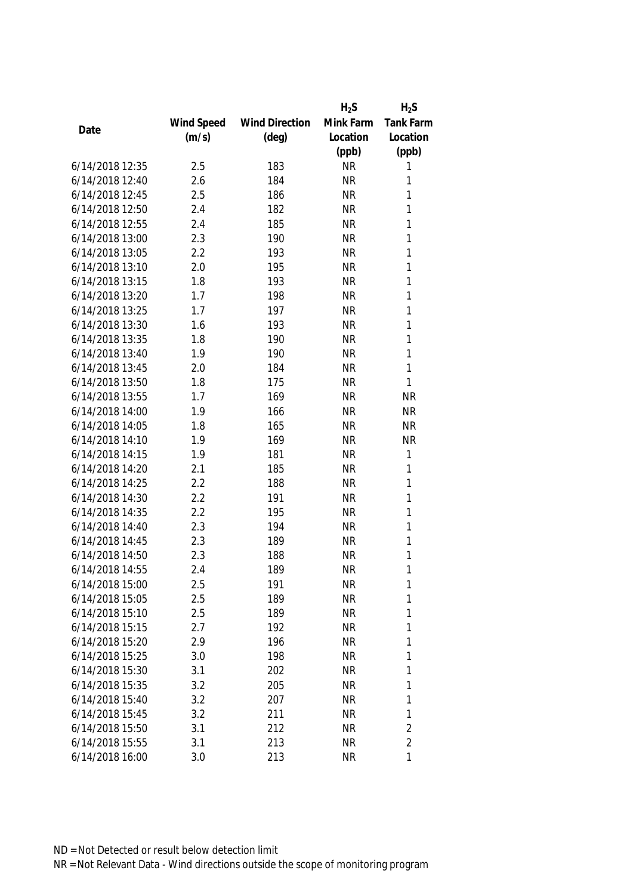|                 |            |                       | $H_2S$    | $H_2S$           |
|-----------------|------------|-----------------------|-----------|------------------|
|                 | Wind Speed | <b>Wind Direction</b> | Mink Farm | <b>Tank Farm</b> |
| Date            | (m/s)      | $(\text{deg})$        | Location  | Location         |
|                 |            |                       | (ppb)     | (ppb)            |
| 6/14/2018 12:35 | 2.5        | 183                   | <b>NR</b> | 1                |
| 6/14/2018 12:40 | 2.6        | 184                   | <b>NR</b> | 1                |
| 6/14/2018 12:45 | 2.5        | 186                   | <b>NR</b> | 1                |
| 6/14/2018 12:50 | 2.4        | 182                   | <b>NR</b> | 1                |
| 6/14/2018 12:55 | 2.4        | 185                   | <b>NR</b> | 1                |
| 6/14/2018 13:00 | 2.3        | 190                   | <b>NR</b> | $\mathbf{1}$     |
| 6/14/2018 13:05 | 2.2        | 193                   | <b>NR</b> | $\mathbf{1}$     |
| 6/14/2018 13:10 | 2.0        | 195                   | <b>NR</b> | $\mathbf{1}$     |
| 6/14/2018 13:15 | 1.8        | 193                   | <b>NR</b> | $\mathbf{1}$     |
| 6/14/2018 13:20 | 1.7        | 198                   | <b>NR</b> | $\mathbf{1}$     |
| 6/14/2018 13:25 | 1.7        | 197                   | <b>NR</b> | 1                |
| 6/14/2018 13:30 | 1.6        | 193                   | <b>NR</b> | 1                |
| 6/14/2018 13:35 | 1.8        | 190                   | <b>NR</b> | 1                |
| 6/14/2018 13:40 | 1.9        | 190                   | <b>NR</b> | 1                |
| 6/14/2018 13:45 | 2.0        | 184                   | <b>NR</b> | 1                |
| 6/14/2018 13:50 | 1.8        | 175                   | <b>NR</b> | $\mathbf{1}$     |
| 6/14/2018 13:55 | 1.7        | 169                   | <b>NR</b> | <b>NR</b>        |
| 6/14/2018 14:00 | 1.9        | 166                   | <b>NR</b> | <b>NR</b>        |
| 6/14/2018 14:05 | 1.8        | 165                   | <b>NR</b> | <b>NR</b>        |
| 6/14/2018 14:10 | 1.9        | 169                   | <b>NR</b> | <b>NR</b>        |
| 6/14/2018 14:15 | 1.9        | 181                   | <b>NR</b> | 1                |
| 6/14/2018 14:20 | 2.1        | 185                   | <b>NR</b> | $\mathbf{1}$     |
| 6/14/2018 14:25 | 2.2        | 188                   | <b>NR</b> | $\mathbf{1}$     |
| 6/14/2018 14:30 | 2.2        | 191                   | <b>NR</b> | $\mathbf{1}$     |
| 6/14/2018 14:35 | 2.2        | 195                   | <b>NR</b> | $\mathbf{1}$     |
| 6/14/2018 14:40 | 2.3        | 194                   | <b>NR</b> | 1                |
| 6/14/2018 14:45 | 2.3        | 189                   | <b>NR</b> | 1                |
| 6/14/2018 14:50 | 2.3        | 188                   | <b>NR</b> | 1                |
| 6/14/2018 14:55 | 2.4        | 189                   | <b>NR</b> | 1                |
| 6/14/2018 15:00 | 2.5        | 191                   | <b>NR</b> | 1                |
| 6/14/2018 15:05 | 2.5        | 189                   | <b>NR</b> | 1                |
| 6/14/2018 15:10 | 2.5        | 189                   | <b>NR</b> | 1                |
| 6/14/2018 15:15 | 2.7        | 192                   | <b>NR</b> | 1                |
| 6/14/2018 15:20 | 2.9        | 196                   | NR        | 1                |
| 6/14/2018 15:25 | 3.0        | 198                   | <b>NR</b> | 1                |
| 6/14/2018 15:30 | 3.1        | 202                   | <b>NR</b> | 1                |
| 6/14/2018 15:35 | 3.2        | 205                   | <b>NR</b> | 1                |
| 6/14/2018 15:40 | 3.2        | 207                   | <b>NR</b> | 1                |
| 6/14/2018 15:45 | 3.2        | 211                   | <b>NR</b> | 1                |
| 6/14/2018 15:50 | 3.1        | 212                   | <b>NR</b> | $\overline{2}$   |
| 6/14/2018 15:55 | 3.1        | 213                   | <b>NR</b> | $\overline{2}$   |
| 6/14/2018 16:00 | 3.0        | 213                   | <b>NR</b> | 1                |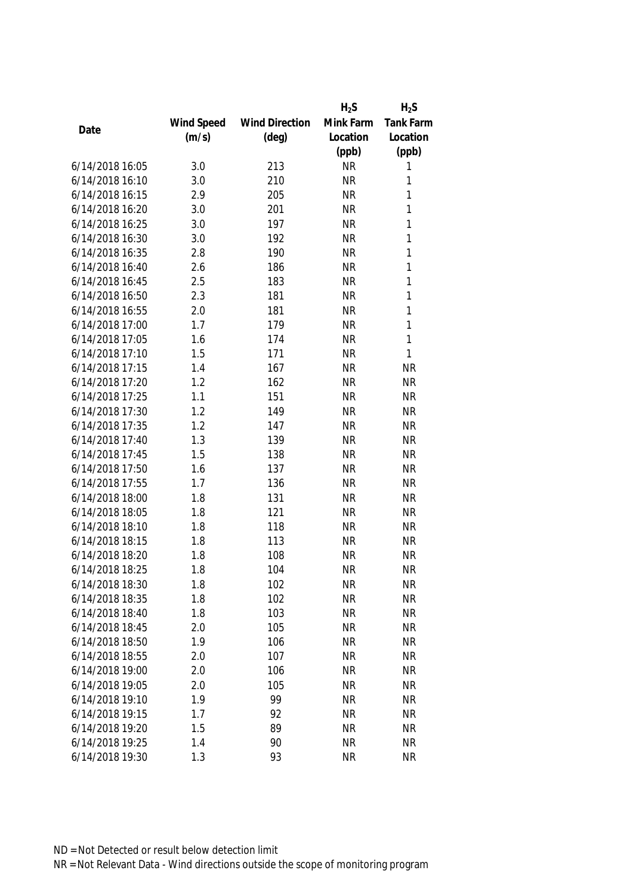|                 |            |                       | $H_2S$    | $H_2S$    |
|-----------------|------------|-----------------------|-----------|-----------|
|                 | Wind Speed | <b>Wind Direction</b> | Mink Farm | Tank Farm |
| Date            | (m/s)      | $(\text{deg})$        | Location  | Location  |
|                 |            |                       | (ppb)     | (ppb)     |
| 6/14/2018 16:05 | 3.0        | 213                   | <b>NR</b> | 1         |
| 6/14/2018 16:10 | 3.0        | 210                   | <b>NR</b> | 1         |
| 6/14/2018 16:15 | 2.9        | 205                   | <b>NR</b> | 1         |
| 6/14/2018 16:20 | 3.0        | 201                   | <b>NR</b> | 1         |
| 6/14/2018 16:25 | 3.0        | 197                   | <b>NR</b> | 1         |
| 6/14/2018 16:30 | 3.0        | 192                   | <b>NR</b> | 1         |
| 6/14/2018 16:35 | 2.8        | 190                   | <b>NR</b> | 1         |
| 6/14/2018 16:40 | 2.6        | 186                   | <b>NR</b> | 1         |
| 6/14/2018 16:45 | 2.5        | 183                   | <b>NR</b> | 1         |
| 6/14/2018 16:50 | 2.3        | 181                   | <b>NR</b> | 1         |
| 6/14/2018 16:55 | 2.0        | 181                   | <b>NR</b> | 1         |
| 6/14/2018 17:00 | 1.7        | 179                   | <b>NR</b> | 1         |
| 6/14/2018 17:05 | 1.6        | 174                   | <b>NR</b> | 1         |
| 6/14/2018 17:10 | 1.5        | 171                   | <b>NR</b> | 1         |
| 6/14/2018 17:15 | 1.4        | 167                   | <b>NR</b> | <b>NR</b> |
| 6/14/2018 17:20 | 1.2        | 162                   | <b>NR</b> | <b>NR</b> |
| 6/14/2018 17:25 | 1.1        | 151                   | <b>NR</b> | <b>NR</b> |
| 6/14/2018 17:30 | 1.2        | 149                   | <b>NR</b> | <b>NR</b> |
| 6/14/2018 17:35 | 1.2        | 147                   | <b>NR</b> | <b>NR</b> |
| 6/14/2018 17:40 | 1.3        | 139                   | <b>NR</b> | <b>NR</b> |
| 6/14/2018 17:45 | 1.5        | 138                   | <b>NR</b> | <b>NR</b> |
| 6/14/2018 17:50 | 1.6        | 137                   | <b>NR</b> | <b>NR</b> |
| 6/14/2018 17:55 | 1.7        | 136                   | <b>NR</b> | <b>NR</b> |
| 6/14/2018 18:00 | 1.8        | 131                   | <b>NR</b> | <b>NR</b> |
| 6/14/2018 18:05 | 1.8        | 121                   | <b>NR</b> | <b>NR</b> |
| 6/14/2018 18:10 | 1.8        | 118                   | <b>NR</b> | <b>NR</b> |
| 6/14/2018 18:15 | 1.8        | 113                   | <b>NR</b> | <b>NR</b> |
| 6/14/2018 18:20 | 1.8        | 108                   | <b>NR</b> | <b>NR</b> |
| 6/14/2018 18:25 | 1.8        | 104                   | <b>NR</b> | <b>NR</b> |
| 6/14/2018 18:30 | 1.8        | 102                   | <b>NR</b> | <b>NR</b> |
| 6/14/2018 18:35 | 1.8        | 102                   | <b>NR</b> | <b>NR</b> |
| 6/14/2018 18:40 | 1.8        | 103                   | <b>NR</b> | <b>NR</b> |
| 6/14/2018 18:45 | 2.0        | 105                   | <b>NR</b> | <b>NR</b> |
| 6/14/2018 18:50 | 1.9        | 106                   | <b>NR</b> | <b>NR</b> |
| 6/14/2018 18:55 | 2.0        | 107                   | <b>NR</b> | <b>NR</b> |
| 6/14/2018 19:00 | 2.0        | 106                   | <b>NR</b> | <b>NR</b> |
| 6/14/2018 19:05 | 2.0        | 105                   | <b>NR</b> | <b>NR</b> |
| 6/14/2018 19:10 | 1.9        | 99                    | <b>NR</b> | <b>NR</b> |
| 6/14/2018 19:15 | 1.7        | 92                    | <b>NR</b> | <b>NR</b> |
| 6/14/2018 19:20 | 1.5        | 89                    | <b>NR</b> | <b>NR</b> |
| 6/14/2018 19:25 | 1.4        | 90                    | <b>NR</b> | <b>NR</b> |
| 6/14/2018 19:30 | 1.3        | 93                    | <b>NR</b> | <b>NR</b> |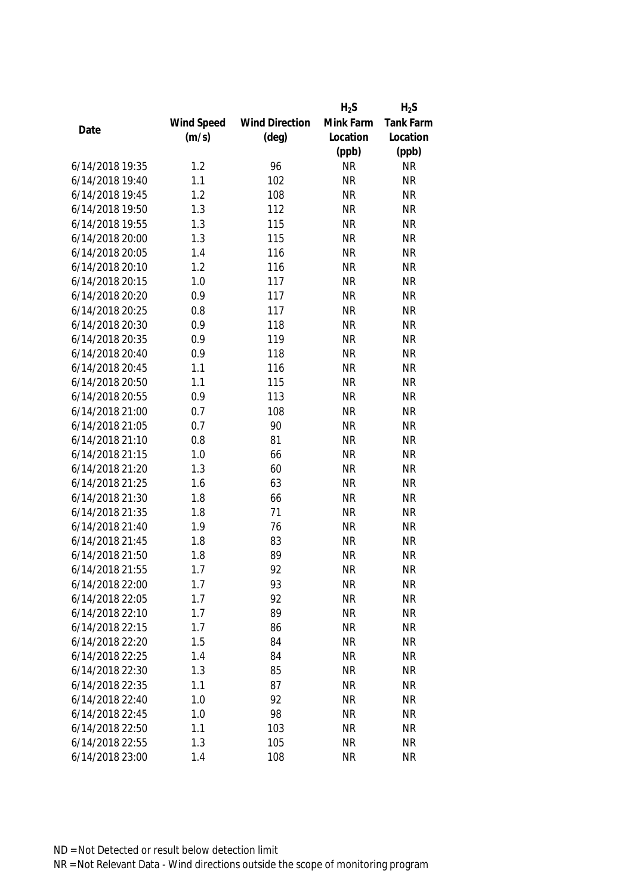|                 |            |                       | $H_2S$    | $H_2S$    |
|-----------------|------------|-----------------------|-----------|-----------|
|                 | Wind Speed | <b>Wind Direction</b> | Mink Farm | Tank Farm |
| Date            | (m/s)      | $(\text{deg})$        | Location  | Location  |
|                 |            |                       | (ppb)     | (ppb)     |
| 6/14/2018 19:35 | 1.2        | 96                    | <b>NR</b> | <b>NR</b> |
| 6/14/2018 19:40 | 1.1        | 102                   | <b>NR</b> | <b>NR</b> |
| 6/14/2018 19:45 | 1.2        | 108                   | <b>NR</b> | <b>NR</b> |
| 6/14/2018 19:50 | 1.3        | 112                   | <b>NR</b> | <b>NR</b> |
| 6/14/2018 19:55 | 1.3        | 115                   | <b>NR</b> | <b>NR</b> |
| 6/14/2018 20:00 | 1.3        | 115                   | <b>NR</b> | <b>NR</b> |
| 6/14/2018 20:05 | 1.4        | 116                   | <b>NR</b> | <b>NR</b> |
| 6/14/2018 20:10 | 1.2        | 116                   | <b>NR</b> | <b>NR</b> |
| 6/14/2018 20:15 | 1.0        | 117                   | <b>NR</b> | <b>NR</b> |
| 6/14/2018 20:20 | 0.9        | 117                   | <b>NR</b> | <b>NR</b> |
| 6/14/2018 20:25 | 0.8        | 117                   | <b>NR</b> | <b>NR</b> |
| 6/14/2018 20:30 | 0.9        | 118                   | <b>NR</b> | <b>NR</b> |
| 6/14/2018 20:35 | 0.9        | 119                   | <b>NR</b> | <b>NR</b> |
| 6/14/2018 20:40 | 0.9        | 118                   | <b>NR</b> | <b>NR</b> |
| 6/14/2018 20:45 | 1.1        | 116                   | <b>NR</b> | <b>NR</b> |
| 6/14/2018 20:50 | 1.1        | 115                   | <b>NR</b> | <b>NR</b> |
| 6/14/2018 20:55 | 0.9        | 113                   | <b>NR</b> | <b>NR</b> |
| 6/14/2018 21:00 | 0.7        | 108                   | <b>NR</b> | <b>NR</b> |
| 6/14/2018 21:05 | 0.7        | 90                    | <b>NR</b> | <b>NR</b> |
| 6/14/2018 21:10 | 0.8        | 81                    | <b>NR</b> | <b>NR</b> |
| 6/14/2018 21:15 | 1.0        | 66                    | <b>NR</b> | <b>NR</b> |
| 6/14/2018 21:20 | 1.3        | 60                    | <b>NR</b> | <b>NR</b> |
| 6/14/2018 21:25 | 1.6        | 63                    | <b>NR</b> | <b>NR</b> |
| 6/14/2018 21:30 | 1.8        | 66                    | <b>NR</b> | <b>NR</b> |
| 6/14/2018 21:35 | 1.8        | 71                    | <b>NR</b> | <b>NR</b> |
| 6/14/2018 21:40 | 1.9        | 76                    | <b>NR</b> | <b>NR</b> |
| 6/14/2018 21:45 | 1.8        | 83                    | <b>NR</b> | <b>NR</b> |
| 6/14/2018 21:50 | 1.8        | 89                    | <b>NR</b> | <b>NR</b> |
| 6/14/2018 21:55 | 1.7        | 92                    | <b>NR</b> | <b>NR</b> |
| 6/14/2018 22:00 | 1.7        | 93                    | <b>NR</b> | <b>NR</b> |
| 6/14/2018 22:05 | 1.7        | 92                    | <b>NR</b> | <b>NR</b> |
| 6/14/2018 22:10 | 1.7        | 89                    | <b>NR</b> | <b>NR</b> |
| 6/14/2018 22:15 | 1.7        | 86                    | <b>NR</b> | <b>NR</b> |
| 6/14/2018 22:20 | 1.5        | 84                    | <b>NR</b> | <b>NR</b> |
| 6/14/2018 22:25 | 1.4        | 84                    | <b>NR</b> | <b>NR</b> |
| 6/14/2018 22:30 | 1.3        | 85                    | <b>NR</b> | <b>NR</b> |
| 6/14/2018 22:35 | 1.1        | 87                    | <b>NR</b> | <b>NR</b> |
| 6/14/2018 22:40 | 1.0        | 92                    | <b>NR</b> | <b>NR</b> |
| 6/14/2018 22:45 | 1.0        | 98                    | <b>NR</b> | <b>NR</b> |
| 6/14/2018 22:50 | 1.1        | 103                   | <b>NR</b> | <b>NR</b> |
| 6/14/2018 22:55 | 1.3        | 105                   | <b>NR</b> | <b>NR</b> |
| 6/14/2018 23:00 | 1.4        | 108                   | <b>NR</b> | <b>NR</b> |
|                 |            |                       |           |           |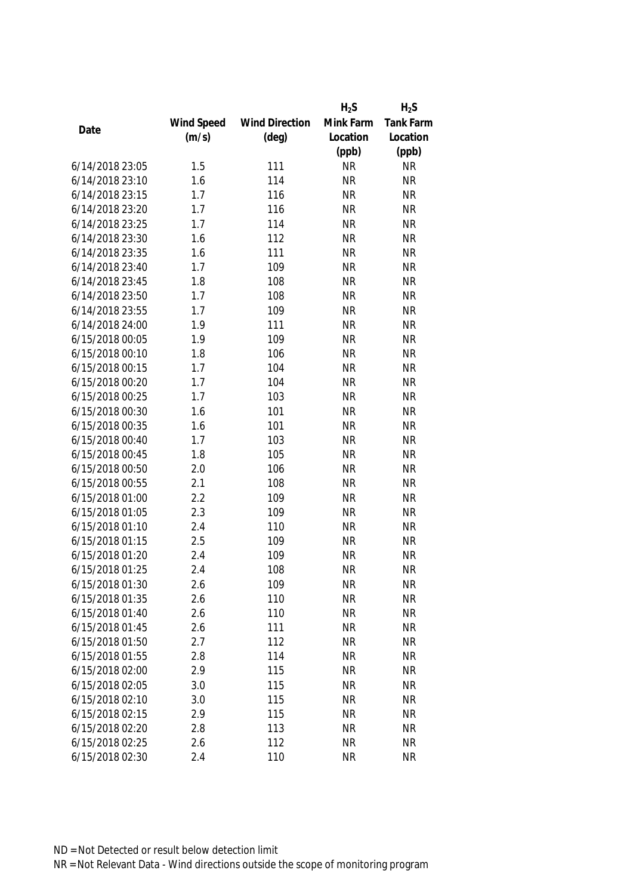|                 |            |                       | $H_2S$    | $H_2S$    |
|-----------------|------------|-----------------------|-----------|-----------|
|                 | Wind Speed | <b>Wind Direction</b> | Mink Farm | Tank Farm |
| Date            | (m/s)      | $(\text{deg})$        | Location  | Location  |
|                 |            |                       | (ppb)     | (ppb)     |
| 6/14/2018 23:05 | 1.5        | 111                   | <b>NR</b> | <b>NR</b> |
| 6/14/2018 23:10 | 1.6        | 114                   | <b>NR</b> | <b>NR</b> |
| 6/14/2018 23:15 | 1.7        | 116                   | <b>NR</b> | <b>NR</b> |
| 6/14/2018 23:20 | 1.7        | 116                   | <b>NR</b> | <b>NR</b> |
| 6/14/2018 23:25 | 1.7        | 114                   | <b>NR</b> | <b>NR</b> |
| 6/14/2018 23:30 | 1.6        | 112                   | <b>NR</b> | <b>NR</b> |
| 6/14/2018 23:35 | 1.6        | 111                   | <b>NR</b> | <b>NR</b> |
| 6/14/2018 23:40 | 1.7        | 109                   | <b>NR</b> | <b>NR</b> |
| 6/14/2018 23:45 | 1.8        | 108                   | <b>NR</b> | <b>NR</b> |
| 6/14/2018 23:50 | 1.7        | 108                   | <b>NR</b> | <b>NR</b> |
| 6/14/2018 23:55 | 1.7        | 109                   | <b>NR</b> | <b>NR</b> |
| 6/14/2018 24:00 | 1.9        | 111                   | <b>NR</b> | <b>NR</b> |
| 6/15/2018 00:05 | 1.9        | 109                   | <b>NR</b> | <b>NR</b> |
| 6/15/2018 00:10 | 1.8        | 106                   | <b>NR</b> | <b>NR</b> |
| 6/15/2018 00:15 | 1.7        | 104                   | <b>NR</b> | <b>NR</b> |
| 6/15/2018 00:20 | 1.7        | 104                   | <b>NR</b> | <b>NR</b> |
| 6/15/2018 00:25 | 1.7        | 103                   | <b>NR</b> | <b>NR</b> |
| 6/15/2018 00:30 | 1.6        | 101                   | <b>NR</b> | <b>NR</b> |
| 6/15/2018 00:35 | 1.6        | 101                   | <b>NR</b> | <b>NR</b> |
| 6/15/2018 00:40 | 1.7        | 103                   | <b>NR</b> | <b>NR</b> |
| 6/15/2018 00:45 | 1.8        | 105                   | <b>NR</b> | <b>NR</b> |
| 6/15/2018 00:50 | 2.0        | 106                   | <b>NR</b> | <b>NR</b> |
| 6/15/2018 00:55 | 2.1        | 108                   | <b>NR</b> | <b>NR</b> |
| 6/15/2018 01:00 | 2.2        | 109                   | <b>NR</b> | <b>NR</b> |
| 6/15/2018 01:05 | 2.3        | 109                   | <b>NR</b> | <b>NR</b> |
| 6/15/2018 01:10 | 2.4        | 110                   | <b>NR</b> | <b>NR</b> |
| 6/15/2018 01:15 | 2.5        | 109                   | <b>NR</b> | <b>NR</b> |
| 6/15/2018 01:20 | 2.4        | 109                   | <b>NR</b> | <b>NR</b> |
| 6/15/2018 01:25 | 2.4        | 108                   | <b>NR</b> | <b>NR</b> |
| 6/15/2018 01:30 | 2.6        | 109                   | <b>NR</b> | <b>NR</b> |
| 6/15/2018 01:35 | 2.6        | 110                   | <b>NR</b> | <b>NR</b> |
| 6/15/2018 01:40 | 2.6        | 110                   | <b>NR</b> | <b>NR</b> |
| 6/15/2018 01:45 | 2.6        | 111                   | <b>NR</b> | <b>NR</b> |
| 6/15/2018 01:50 | 2.7        | 112                   | <b>NR</b> | <b>NR</b> |
| 6/15/2018 01:55 | 2.8        | 114                   | <b>NR</b> | <b>NR</b> |
| 6/15/2018 02:00 | 2.9        | 115                   | <b>NR</b> | <b>NR</b> |
| 6/15/2018 02:05 | 3.0        | 115                   | <b>NR</b> | <b>NR</b> |
| 6/15/2018 02:10 | 3.0        | 115                   | <b>NR</b> | <b>NR</b> |
| 6/15/2018 02:15 | 2.9        | 115                   | <b>NR</b> | <b>NR</b> |
| 6/15/2018 02:20 | 2.8        | 113                   | <b>NR</b> | <b>NR</b> |
| 6/15/2018 02:25 | 2.6        | 112                   | <b>NR</b> | <b>NR</b> |
|                 |            |                       |           |           |
| 6/15/2018 02:30 | 2.4        | 110                   | <b>NR</b> | <b>NR</b> |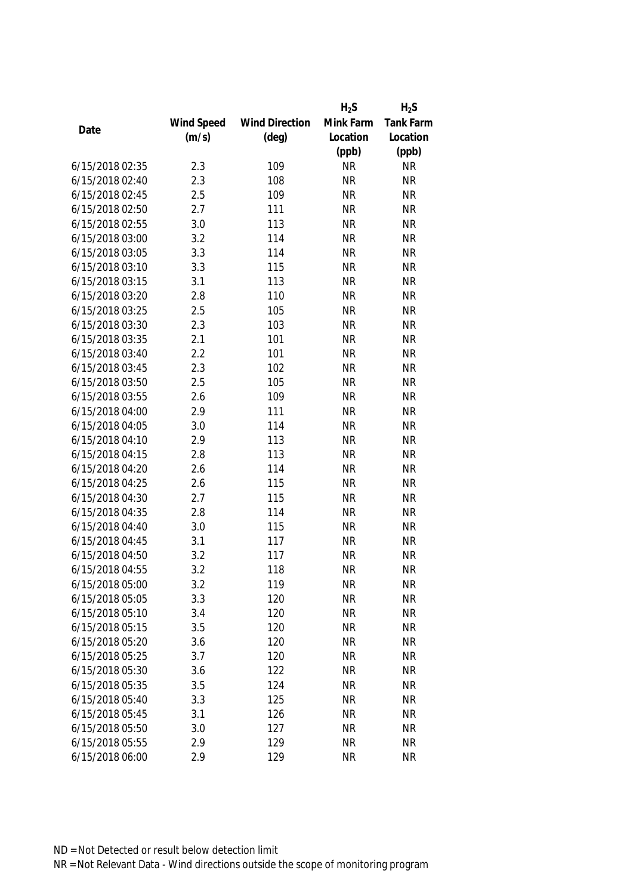| Mink Farm<br>Wind Speed<br><b>Wind Direction</b><br>Date<br>(m/s)<br>$(\text{deg})$<br>Location<br>(ppb)<br>6/15/2018 02:35<br>2.3<br>109<br><b>NR</b><br>6/15/2018 02:40<br>2.3<br>108<br><b>NR</b> | Tank Farm<br>Location<br>(ppb)<br><b>NR</b><br><b>NR</b><br><b>NR</b><br><b>NR</b><br><b>NR</b> |
|------------------------------------------------------------------------------------------------------------------------------------------------------------------------------------------------------|-------------------------------------------------------------------------------------------------|
|                                                                                                                                                                                                      |                                                                                                 |
|                                                                                                                                                                                                      |                                                                                                 |
|                                                                                                                                                                                                      |                                                                                                 |
|                                                                                                                                                                                                      |                                                                                                 |
|                                                                                                                                                                                                      |                                                                                                 |
| 2.5<br>6/15/2018 02:45<br>109<br><b>NR</b>                                                                                                                                                           |                                                                                                 |
| 6/15/2018 02:50<br>2.7<br><b>NR</b><br>111                                                                                                                                                           |                                                                                                 |
| 3.0<br><b>NR</b><br>6/15/2018 02:55<br>113                                                                                                                                                           |                                                                                                 |
| 3.2<br>114<br><b>NR</b><br>6/15/2018 03:00                                                                                                                                                           | <b>NR</b>                                                                                       |
| 3.3<br>114<br><b>NR</b><br>6/15/2018 03:05                                                                                                                                                           | <b>NR</b>                                                                                       |
| 6/15/2018 03:10<br>115<br>3.3<br><b>NR</b>                                                                                                                                                           | <b>NR</b>                                                                                       |
| 6/15/2018 03:15<br><b>NR</b><br>3.1<br>113                                                                                                                                                           | <b>NR</b>                                                                                       |
| 6/15/2018 03:20<br>2.8<br>110<br><b>NR</b>                                                                                                                                                           | <b>NR</b>                                                                                       |
| 2.5<br>105<br>6/15/2018 03:25<br><b>NR</b>                                                                                                                                                           | <b>NR</b>                                                                                       |
| 6/15/2018 03:30<br>103<br><b>NR</b><br>2.3                                                                                                                                                           | <b>NR</b>                                                                                       |
| 101<br>6/15/2018 03:35<br>2.1<br><b>NR</b>                                                                                                                                                           | <b>NR</b>                                                                                       |
| 101<br>2.2<br><b>NR</b><br>6/15/2018 03:40                                                                                                                                                           | <b>NR</b>                                                                                       |
| 2.3<br>102<br>6/15/2018 03:45<br><b>NR</b>                                                                                                                                                           | <b>NR</b>                                                                                       |
| 6/15/2018 03:50<br>2.5<br>105<br><b>NR</b>                                                                                                                                                           | <b>NR</b>                                                                                       |
| 109<br><b>NR</b><br>6/15/2018 03:55<br>2.6                                                                                                                                                           | <b>NR</b>                                                                                       |
| 2.9<br>111<br><b>NR</b><br>6/15/2018 04:00                                                                                                                                                           | <b>NR</b>                                                                                       |
| 6/15/2018 04:05<br>3.0<br><b>NR</b><br>114                                                                                                                                                           | <b>NR</b>                                                                                       |
| 6/15/2018 04:10<br><b>NR</b><br>2.9<br>113                                                                                                                                                           | <b>NR</b>                                                                                       |
| 113<br><b>NR</b><br>6/15/2018 04:15<br>2.8                                                                                                                                                           | <b>NR</b>                                                                                       |
| 2.6<br>114<br><b>NR</b><br>6/15/2018 04:20                                                                                                                                                           | <b>NR</b>                                                                                       |
| 2.6<br><b>NR</b><br>6/15/2018 04:25<br>115                                                                                                                                                           | <b>NR</b>                                                                                       |
| 6/15/2018 04:30<br>2.7<br><b>NR</b><br>115                                                                                                                                                           | <b>NR</b>                                                                                       |
| 6/15/2018 04:35<br>2.8<br>114<br><b>NR</b>                                                                                                                                                           | <b>NR</b>                                                                                       |
| 6/15/2018 04:40<br>3.0<br>115<br><b>NR</b>                                                                                                                                                           | <b>NR</b>                                                                                       |
| 6/15/2018 04:45<br>3.1<br>117<br><b>NR</b>                                                                                                                                                           | <b>NR</b>                                                                                       |
| 6/15/2018 04:50<br>3.2<br>117<br><b>NR</b>                                                                                                                                                           | <b>NR</b>                                                                                       |
| 3.2<br>118<br><b>NR</b><br>6/15/2018 04:55                                                                                                                                                           | <b>NR</b>                                                                                       |
| 3.2<br><b>NR</b><br>6/15/2018 05:00<br>119                                                                                                                                                           | <b>NR</b>                                                                                       |
| 6/15/2018 05:05<br>3.3<br>120<br><b>NR</b>                                                                                                                                                           | <b>NR</b>                                                                                       |
| 6/15/2018 05:10<br>120<br><b>NR</b><br>3.4                                                                                                                                                           | <b>NR</b>                                                                                       |
| 6/15/2018 05:15<br>3.5<br>120<br><b>NR</b>                                                                                                                                                           | <b>NR</b>                                                                                       |
| 6/15/2018 05:20<br><b>NR</b><br>3.6<br>120                                                                                                                                                           | <b>NR</b>                                                                                       |
| 6/15/2018 05:25<br>3.7<br>120<br><b>NR</b>                                                                                                                                                           | <b>NR</b>                                                                                       |
| 6/15/2018 05:30<br>122<br><b>NR</b><br>3.6                                                                                                                                                           | <b>NR</b>                                                                                       |
| 6/15/2018 05:35<br>3.5<br>124<br><b>NR</b>                                                                                                                                                           | <b>NR</b>                                                                                       |
| 6/15/2018 05:40<br>3.3<br>125<br><b>NR</b>                                                                                                                                                           | <b>NR</b>                                                                                       |
| 6/15/2018 05:45<br>3.1<br>126<br><b>NR</b>                                                                                                                                                           | <b>NR</b>                                                                                       |
| 6/15/2018 05:50<br>127<br><b>NR</b><br>3.0                                                                                                                                                           | <b>NR</b>                                                                                       |
| 6/15/2018 05:55<br>2.9<br>129<br><b>NR</b>                                                                                                                                                           | <b>NR</b>                                                                                       |
| 6/15/2018 06:00<br>2.9<br>129<br><b>NR</b>                                                                                                                                                           | <b>NR</b>                                                                                       |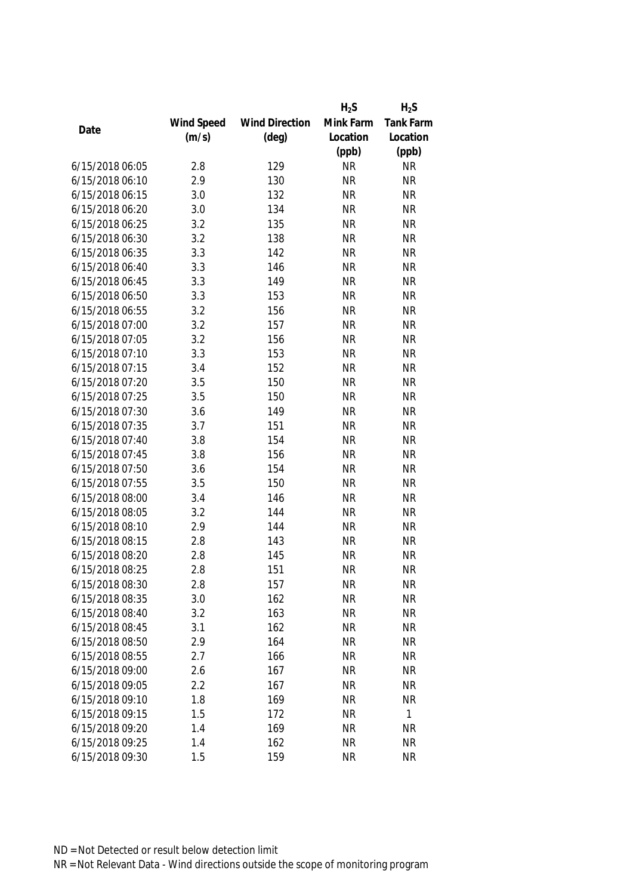|                 |            |                       | $H_2S$    | $H_2S$    |
|-----------------|------------|-----------------------|-----------|-----------|
|                 | Wind Speed | <b>Wind Direction</b> | Mink Farm | Tank Farm |
| Date            | (m/s)      | $(\text{deg})$        | Location  | Location  |
|                 |            |                       | (ppb)     | (ppb)     |
| 6/15/2018 06:05 | 2.8        | 129                   | <b>NR</b> | <b>NR</b> |
| 6/15/2018 06:10 | 2.9        | 130                   | <b>NR</b> | <b>NR</b> |
| 6/15/2018 06:15 | 3.0        | 132                   | <b>NR</b> | <b>NR</b> |
| 6/15/2018 06:20 | 3.0        | 134                   | <b>NR</b> | <b>NR</b> |
| 6/15/2018 06:25 | 3.2        | 135                   | <b>NR</b> | <b>NR</b> |
| 6/15/2018 06:30 | 3.2        | 138                   | <b>NR</b> | <b>NR</b> |
| 6/15/2018 06:35 | 3.3        | 142                   | <b>NR</b> | <b>NR</b> |
| 6/15/2018 06:40 | 3.3        | 146                   | <b>NR</b> | <b>NR</b> |
| 6/15/2018 06:45 | 3.3        | 149                   | <b>NR</b> | <b>NR</b> |
| 6/15/2018 06:50 | 3.3        | 153                   | <b>NR</b> | <b>NR</b> |
| 6/15/2018 06:55 | 3.2        | 156                   | <b>NR</b> | <b>NR</b> |
| 6/15/2018 07:00 | 3.2        | 157                   | <b>NR</b> | <b>NR</b> |
| 6/15/2018 07:05 | 3.2        | 156                   | <b>NR</b> | <b>NR</b> |
| 6/15/2018 07:10 | 3.3        | 153                   | <b>NR</b> | <b>NR</b> |
| 6/15/2018 07:15 | 3.4        | 152                   | <b>NR</b> | <b>NR</b> |
| 6/15/2018 07:20 | 3.5        | 150                   | <b>NR</b> | <b>NR</b> |
| 6/15/2018 07:25 | 3.5        | 150                   | <b>NR</b> | <b>NR</b> |
| 6/15/2018 07:30 | 3.6        | 149                   | <b>NR</b> | <b>NR</b> |
| 6/15/2018 07:35 | 3.7        | 151                   | <b>NR</b> | <b>NR</b> |
| 6/15/2018 07:40 | 3.8        | 154                   | <b>NR</b> | <b>NR</b> |
| 6/15/2018 07:45 | 3.8        | 156                   | <b>NR</b> | <b>NR</b> |
| 6/15/2018 07:50 | 3.6        | 154                   | <b>NR</b> | <b>NR</b> |
| 6/15/2018 07:55 | 3.5        | 150                   | <b>NR</b> | <b>NR</b> |
| 6/15/2018 08:00 | 3.4        | 146                   | <b>NR</b> | <b>NR</b> |
| 6/15/2018 08:05 | 3.2        | 144                   | <b>NR</b> | <b>NR</b> |
| 6/15/2018 08:10 | 2.9        | 144                   | <b>NR</b> | <b>NR</b> |
| 6/15/2018 08:15 | 2.8        | 143                   | <b>NR</b> | <b>NR</b> |
| 6/15/2018 08:20 | 2.8        | 145                   | <b>NR</b> | <b>NR</b> |
| 6/15/2018 08:25 | 2.8        | 151                   | <b>NR</b> | <b>NR</b> |
| 6/15/2018 08:30 | 2.8        | 157                   | <b>NR</b> | <b>NR</b> |
| 6/15/2018 08:35 | 3.0        | 162                   | <b>NR</b> | <b>NR</b> |
| 6/15/2018 08:40 | 3.2        | 163                   | <b>NR</b> | <b>NR</b> |
| 6/15/2018 08:45 | 3.1        | 162                   | <b>NR</b> | <b>NR</b> |
| 6/15/2018 08:50 | 2.9        | 164                   | <b>NR</b> | <b>NR</b> |
| 6/15/2018 08:55 | 2.7        | 166                   | <b>NR</b> | <b>NR</b> |
| 6/15/2018 09:00 | 2.6        | 167                   | <b>NR</b> | <b>NR</b> |
| 6/15/2018 09:05 | 2.2        | 167                   | <b>NR</b> | <b>NR</b> |
| 6/15/2018 09:10 | 1.8        | 169                   | <b>NR</b> | <b>NR</b> |
| 6/15/2018 09:15 | 1.5        | 172                   | <b>NR</b> | 1         |
| 6/15/2018 09:20 | 1.4        | 169                   | <b>NR</b> | <b>NR</b> |
| 6/15/2018 09:25 | 1.4        | 162                   | <b>NR</b> | <b>NR</b> |
| 6/15/2018 09:30 | 1.5        | 159                   | <b>NR</b> | <b>NR</b> |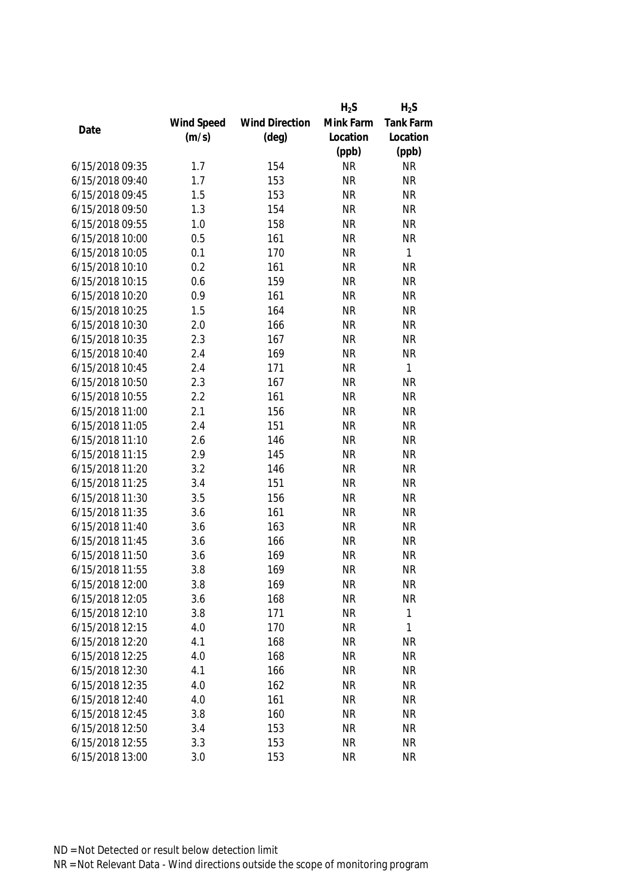|                 |            |                       | $H_2S$    | $H_2S$       |
|-----------------|------------|-----------------------|-----------|--------------|
|                 | Wind Speed | <b>Wind Direction</b> | Mink Farm | Tank Farm    |
| Date            | (m/s)      | $(\text{deg})$        | Location  | Location     |
|                 |            |                       | (ppb)     | (ppb)        |
| 6/15/2018 09:35 | 1.7        | 154                   | <b>NR</b> | <b>NR</b>    |
| 6/15/2018 09:40 | 1.7        | 153                   | <b>NR</b> | <b>NR</b>    |
| 6/15/2018 09:45 | 1.5        | 153                   | <b>NR</b> | <b>NR</b>    |
| 6/15/2018 09:50 | 1.3        | 154                   | <b>NR</b> | <b>NR</b>    |
| 6/15/2018 09:55 | 1.0        | 158                   | <b>NR</b> | <b>NR</b>    |
| 6/15/2018 10:00 | 0.5        | 161                   | <b>NR</b> | <b>NR</b>    |
| 6/15/2018 10:05 | 0.1        | 170                   | <b>NR</b> | 1            |
| 6/15/2018 10:10 | 0.2        | 161                   | <b>NR</b> | <b>NR</b>    |
| 6/15/2018 10:15 | 0.6        | 159                   | <b>NR</b> | <b>NR</b>    |
| 6/15/2018 10:20 | 0.9        | 161                   | <b>NR</b> | <b>NR</b>    |
| 6/15/2018 10:25 | 1.5        | 164                   | <b>NR</b> | <b>NR</b>    |
| 6/15/2018 10:30 | 2.0        | 166                   | <b>NR</b> | <b>NR</b>    |
| 6/15/2018 10:35 | 2.3        | 167                   | <b>NR</b> | <b>NR</b>    |
| 6/15/2018 10:40 | 2.4        | 169                   | <b>NR</b> | <b>NR</b>    |
| 6/15/2018 10:45 | 2.4        | 171                   | <b>NR</b> | $\mathbf{1}$ |
| 6/15/2018 10:50 | 2.3        | 167                   | <b>NR</b> | <b>NR</b>    |
| 6/15/2018 10:55 | 2.2        | 161                   | <b>NR</b> | <b>NR</b>    |
| 6/15/2018 11:00 | 2.1        | 156                   | <b>NR</b> | <b>NR</b>    |
| 6/15/2018 11:05 | 2.4        | 151                   | <b>NR</b> | <b>NR</b>    |
| 6/15/2018 11:10 | 2.6        | 146                   | <b>NR</b> | <b>NR</b>    |
| 6/15/2018 11:15 | 2.9        | 145                   | <b>NR</b> | <b>NR</b>    |
| 6/15/2018 11:20 | 3.2        | 146                   | <b>NR</b> | <b>NR</b>    |
| 6/15/2018 11:25 | 3.4        | 151                   | <b>NR</b> | <b>NR</b>    |
| 6/15/2018 11:30 | 3.5        | 156                   | <b>NR</b> | <b>NR</b>    |
| 6/15/2018 11:35 | 3.6        | 161                   | <b>NR</b> | <b>NR</b>    |
| 6/15/2018 11:40 | 3.6        | 163                   | <b>NR</b> | <b>NR</b>    |
| 6/15/2018 11:45 | 3.6        | 166                   | <b>NR</b> | <b>NR</b>    |
| 6/15/2018 11:50 | 3.6        | 169                   | <b>NR</b> | <b>NR</b>    |
| 6/15/2018 11:55 | 3.8        | 169                   | <b>NR</b> | <b>NR</b>    |
| 6/15/2018 12:00 | 3.8        | 169                   | <b>NR</b> | <b>NR</b>    |
| 6/15/2018 12:05 | 3.6        | 168                   | <b>NR</b> | <b>NR</b>    |
| 6/15/2018 12:10 | 3.8        | 171                   | <b>NR</b> | 1            |
| 6/15/2018 12:15 | 4.0        | 170                   | <b>NR</b> | 1            |
| 6/15/2018 12:20 | 4.1        | 168                   | <b>NR</b> | <b>NR</b>    |
| 6/15/2018 12:25 | 4.0        | 168                   | <b>NR</b> | <b>NR</b>    |
| 6/15/2018 12:30 | 4.1        | 166                   | <b>NR</b> | <b>NR</b>    |
| 6/15/2018 12:35 | 4.0        | 162                   | <b>NR</b> | <b>NR</b>    |
| 6/15/2018 12:40 | 4.0        | 161                   | <b>NR</b> | <b>NR</b>    |
| 6/15/2018 12:45 | 3.8        | 160                   | <b>NR</b> | <b>NR</b>    |
| 6/15/2018 12:50 | 3.4        | 153                   | <b>NR</b> | <b>NR</b>    |
| 6/15/2018 12:55 | 3.3        | 153                   | <b>NR</b> | <b>NR</b>    |
| 6/15/2018 13:00 | 3.0        | 153                   | <b>NR</b> | <b>NR</b>    |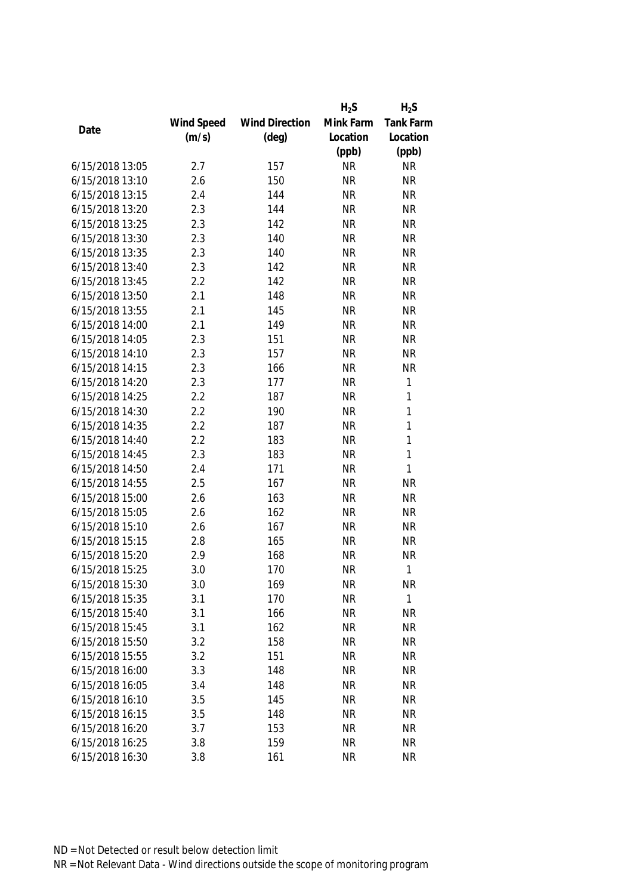|                 |            |                       | $H_2S$    | $H_2S$    |
|-----------------|------------|-----------------------|-----------|-----------|
|                 | Wind Speed | <b>Wind Direction</b> | Mink Farm | Tank Farm |
| Date            | (m/s)      | $(\text{deg})$        | Location  | Location  |
|                 |            |                       | (ppb)     | (ppb)     |
| 6/15/2018 13:05 | 2.7        | 157                   | <b>NR</b> | <b>NR</b> |
| 6/15/2018 13:10 | 2.6        | 150                   | <b>NR</b> | <b>NR</b> |
| 6/15/2018 13:15 | 2.4        | 144                   | <b>NR</b> | <b>NR</b> |
| 6/15/2018 13:20 | 2.3        | 144                   | <b>NR</b> | <b>NR</b> |
| 6/15/2018 13:25 | 2.3        | 142                   | <b>NR</b> | <b>NR</b> |
| 6/15/2018 13:30 | 2.3        | 140                   | <b>NR</b> | <b>NR</b> |
| 6/15/2018 13:35 | 2.3        | 140                   | <b>NR</b> | <b>NR</b> |
| 6/15/2018 13:40 | 2.3        | 142                   | <b>NR</b> | <b>NR</b> |
| 6/15/2018 13:45 | 2.2        | 142                   | <b>NR</b> | <b>NR</b> |
| 6/15/2018 13:50 | 2.1        | 148                   | <b>NR</b> | <b>NR</b> |
| 6/15/2018 13:55 | 2.1        | 145                   | <b>NR</b> | <b>NR</b> |
| 6/15/2018 14:00 | 2.1        | 149                   | <b>NR</b> | <b>NR</b> |
| 6/15/2018 14:05 | 2.3        | 151                   | <b>NR</b> | <b>NR</b> |
| 6/15/2018 14:10 | 2.3        | 157                   | <b>NR</b> | <b>NR</b> |
| 6/15/2018 14:15 | 2.3        | 166                   | <b>NR</b> | <b>NR</b> |
| 6/15/2018 14:20 | 2.3        | 177                   | <b>NR</b> | 1         |
| 6/15/2018 14:25 | 2.2        | 187                   | <b>NR</b> | 1         |
| 6/15/2018 14:30 | 2.2        | 190                   | <b>NR</b> | 1         |
| 6/15/2018 14:35 | 2.2        | 187                   | <b>NR</b> | 1         |
| 6/15/2018 14:40 | 2.2        | 183                   | <b>NR</b> | 1         |
| 6/15/2018 14:45 | 2.3        | 183                   | <b>NR</b> | 1         |
| 6/15/2018 14:50 | 2.4        | 171                   | <b>NR</b> | 1         |
| 6/15/2018 14:55 | 2.5        | 167                   | <b>NR</b> | <b>NR</b> |
| 6/15/2018 15:00 | 2.6        | 163                   | <b>NR</b> | <b>NR</b> |
| 6/15/2018 15:05 | 2.6        | 162                   | <b>NR</b> | <b>NR</b> |
| 6/15/2018 15:10 | 2.6        | 167                   | <b>NR</b> | <b>NR</b> |
| 6/15/2018 15:15 | 2.8        | 165                   | <b>NR</b> | <b>NR</b> |
| 6/15/2018 15:20 | 2.9        | 168                   | <b>NR</b> | <b>NR</b> |
| 6/15/2018 15:25 | 3.0        | 170                   | <b>NR</b> | 1         |
| 6/15/2018 15:30 | 3.0        | 169                   | <b>NR</b> | <b>NR</b> |
| 6/15/2018 15:35 | 3.1        | 170                   | <b>NR</b> | 1         |
| 6/15/2018 15:40 | 3.1        | 166                   | <b>NR</b> | <b>NR</b> |
| 6/15/2018 15:45 | 3.1        | 162                   | <b>NR</b> | <b>NR</b> |
| 6/15/2018 15:50 | 3.2        | 158                   | <b>NR</b> | <b>NR</b> |
| 6/15/2018 15:55 | 3.2        | 151                   | <b>NR</b> | <b>NR</b> |
| 6/15/2018 16:00 | 3.3        | 148                   | <b>NR</b> | <b>NR</b> |
| 6/15/2018 16:05 | 3.4        | 148                   | <b>NR</b> | <b>NR</b> |
| 6/15/2018 16:10 | 3.5        | 145                   | <b>NR</b> | <b>NR</b> |
| 6/15/2018 16:15 | 3.5        | 148                   | <b>NR</b> | <b>NR</b> |
| 6/15/2018 16:20 | 3.7        | 153                   | <b>NR</b> | <b>NR</b> |
| 6/15/2018 16:25 | 3.8        | 159                   | <b>NR</b> | <b>NR</b> |
| 6/15/2018 16:30 | 3.8        | 161                   | <b>NR</b> | <b>NR</b> |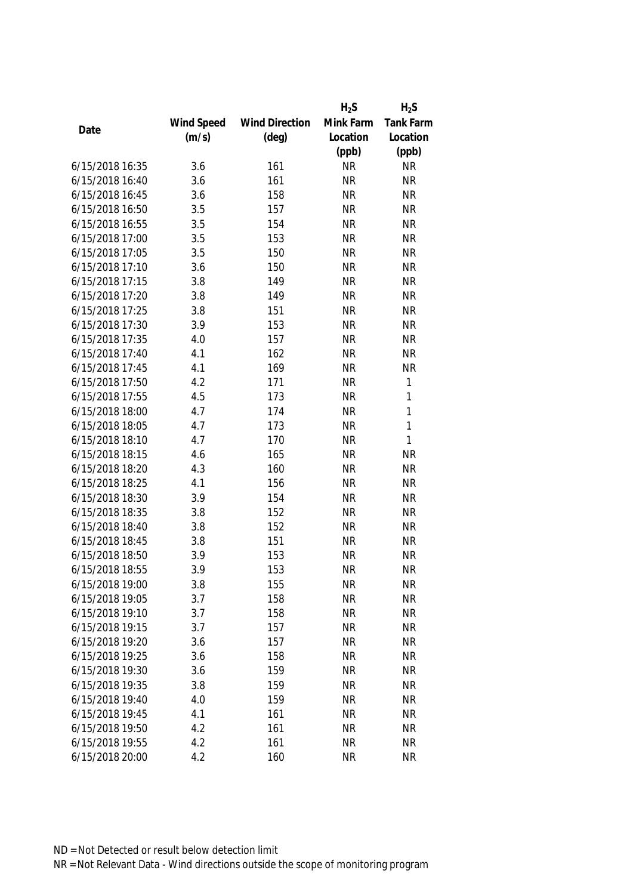|                 |            |                       | $H_2S$    | $H_2S$    |
|-----------------|------------|-----------------------|-----------|-----------|
|                 | Wind Speed | <b>Wind Direction</b> | Mink Farm | Tank Farm |
| Date            | (m/s)      | $(\text{deg})$        | Location  | Location  |
|                 |            |                       | (ppb)     | (ppb)     |
| 6/15/2018 16:35 | 3.6        | 161                   | <b>NR</b> | <b>NR</b> |
| 6/15/2018 16:40 | 3.6        | 161                   | <b>NR</b> | <b>NR</b> |
| 6/15/2018 16:45 | 3.6        | 158                   | <b>NR</b> | <b>NR</b> |
| 6/15/2018 16:50 | 3.5        | 157                   | <b>NR</b> | <b>NR</b> |
| 6/15/2018 16:55 | 3.5        | 154                   | <b>NR</b> | <b>NR</b> |
| 6/15/2018 17:00 | 3.5        | 153                   | <b>NR</b> | <b>NR</b> |
| 6/15/2018 17:05 | 3.5        | 150                   | <b>NR</b> | <b>NR</b> |
| 6/15/2018 17:10 | 3.6        | 150                   | <b>NR</b> | <b>NR</b> |
| 6/15/2018 17:15 | 3.8        | 149                   | <b>NR</b> | <b>NR</b> |
| 6/15/2018 17:20 | 3.8        | 149                   | <b>NR</b> | <b>NR</b> |
| 6/15/2018 17:25 | 3.8        | 151                   | <b>NR</b> | <b>NR</b> |
| 6/15/2018 17:30 | 3.9        | 153                   | <b>NR</b> | <b>NR</b> |
| 6/15/2018 17:35 | 4.0        | 157                   | <b>NR</b> | <b>NR</b> |
| 6/15/2018 17:40 | 4.1        | 162                   | <b>NR</b> | <b>NR</b> |
| 6/15/2018 17:45 | 4.1        | 169                   | <b>NR</b> | <b>NR</b> |
| 6/15/2018 17:50 | 4.2        | 171                   | <b>NR</b> | 1         |
| 6/15/2018 17:55 | 4.5        | 173                   | <b>NR</b> | 1         |
| 6/15/2018 18:00 | 4.7        | 174                   | <b>NR</b> | 1         |
| 6/15/2018 18:05 | 4.7        | 173                   | <b>NR</b> | 1         |
| 6/15/2018 18:10 | 4.7        | 170                   | <b>NR</b> | 1         |
| 6/15/2018 18:15 | 4.6        | 165                   | <b>NR</b> | <b>NR</b> |
| 6/15/2018 18:20 | 4.3        | 160                   | <b>NR</b> | <b>NR</b> |
| 6/15/2018 18:25 | 4.1        | 156                   | <b>NR</b> | <b>NR</b> |
| 6/15/2018 18:30 | 3.9        | 154                   | <b>NR</b> | <b>NR</b> |
| 6/15/2018 18:35 | 3.8        | 152                   | <b>NR</b> | <b>NR</b> |
| 6/15/2018 18:40 | 3.8        | 152                   | <b>NR</b> | <b>NR</b> |
| 6/15/2018 18:45 | 3.8        | 151                   | <b>NR</b> | <b>NR</b> |
| 6/15/2018 18:50 | 3.9        | 153                   | <b>NR</b> | <b>NR</b> |
| 6/15/2018 18:55 | 3.9        | 153                   | <b>NR</b> | <b>NR</b> |
| 6/15/2018 19:00 | 3.8        | 155                   | <b>NR</b> | <b>NR</b> |
| 6/15/2018 19:05 | 3.7        | 158                   | <b>NR</b> | <b>NR</b> |
| 6/15/2018 19:10 | 3.7        | 158                   | <b>NR</b> | <b>NR</b> |
| 6/15/2018 19:15 | 3.7        | 157                   | <b>NR</b> | <b>NR</b> |
| 6/15/2018 19:20 | 3.6        | 157                   | <b>NR</b> | <b>NR</b> |
| 6/15/2018 19:25 | 3.6        | 158                   | <b>NR</b> | <b>NR</b> |
| 6/15/2018 19:30 | 3.6        | 159                   | <b>NR</b> | <b>NR</b> |
| 6/15/2018 19:35 | 3.8        | 159                   | <b>NR</b> | <b>NR</b> |
| 6/15/2018 19:40 | 4.0        | 159                   | <b>NR</b> | <b>NR</b> |
| 6/15/2018 19:45 | 4.1        | 161                   | <b>NR</b> | <b>NR</b> |
| 6/15/2018 19:50 | 4.2        | 161                   | <b>NR</b> | <b>NR</b> |
| 6/15/2018 19:55 | 4.2        | 161                   | <b>NR</b> | <b>NR</b> |
| 6/15/2018 20:00 | 4.2        | 160                   | <b>NR</b> | <b>NR</b> |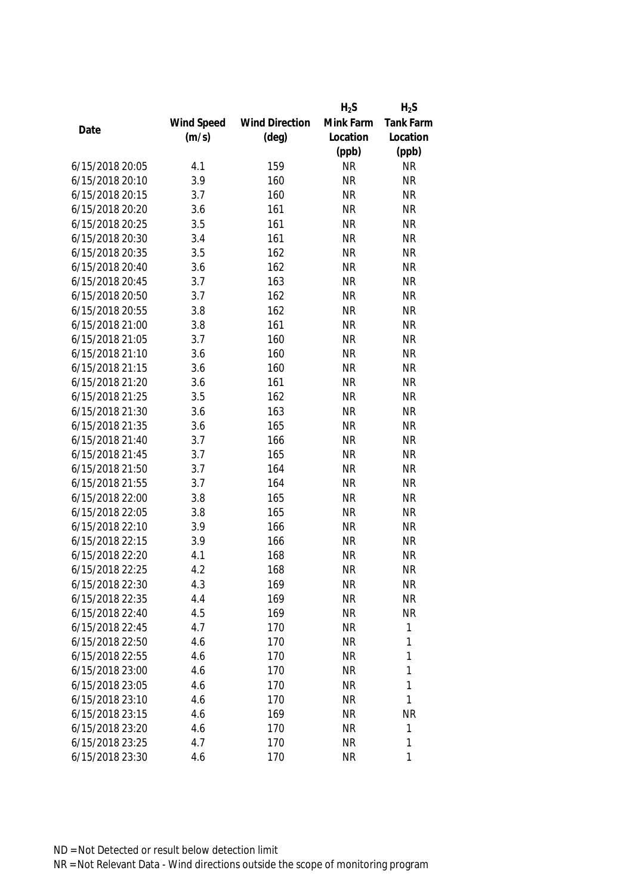|                 |            |                       | $H_2S$    | $H_2S$    |
|-----------------|------------|-----------------------|-----------|-----------|
|                 | Wind Speed | <b>Wind Direction</b> | Mink Farm | Tank Farm |
| Date            | (m/s)      | $(\text{deg})$        | Location  | Location  |
|                 |            |                       | (ppb)     | (ppb)     |
| 6/15/2018 20:05 | 4.1        | 159                   | <b>NR</b> | <b>NR</b> |
| 6/15/2018 20:10 | 3.9        | 160                   | <b>NR</b> | <b>NR</b> |
| 6/15/2018 20:15 | 3.7        | 160                   | <b>NR</b> | <b>NR</b> |
| 6/15/2018 20:20 | 3.6        | 161                   | <b>NR</b> | <b>NR</b> |
| 6/15/2018 20:25 | 3.5        | 161                   | <b>NR</b> | <b>NR</b> |
| 6/15/2018 20:30 | 3.4        | 161                   | <b>NR</b> | <b>NR</b> |
| 6/15/2018 20:35 | 3.5        | 162                   | <b>NR</b> | <b>NR</b> |
| 6/15/2018 20:40 | 3.6        | 162                   | <b>NR</b> | <b>NR</b> |
| 6/15/2018 20:45 | 3.7        | 163                   | <b>NR</b> | <b>NR</b> |
| 6/15/2018 20:50 | 3.7        | 162                   | <b>NR</b> | <b>NR</b> |
| 6/15/2018 20:55 | 3.8        | 162                   | <b>NR</b> | <b>NR</b> |
| 6/15/2018 21:00 | 3.8        | 161                   | <b>NR</b> | <b>NR</b> |
| 6/15/2018 21:05 | 3.7        | 160                   | <b>NR</b> | <b>NR</b> |
| 6/15/2018 21:10 | 3.6        | 160                   | <b>NR</b> | <b>NR</b> |
| 6/15/2018 21:15 | 3.6        | 160                   | <b>NR</b> | <b>NR</b> |
| 6/15/2018 21:20 | 3.6        | 161                   | <b>NR</b> | <b>NR</b> |
| 6/15/2018 21:25 | 3.5        | 162                   | <b>NR</b> | <b>NR</b> |
| 6/15/2018 21:30 | 3.6        | 163                   | <b>NR</b> | <b>NR</b> |
| 6/15/2018 21:35 | 3.6        | 165                   | <b>NR</b> | <b>NR</b> |
| 6/15/2018 21:40 | 3.7        | 166                   | <b>NR</b> | <b>NR</b> |
| 6/15/2018 21:45 | 3.7        | 165                   | <b>NR</b> | <b>NR</b> |
| 6/15/2018 21:50 | 3.7        | 164                   | <b>NR</b> | <b>NR</b> |
| 6/15/2018 21:55 | 3.7        | 164                   | <b>NR</b> | <b>NR</b> |
| 6/15/2018 22:00 | 3.8        | 165                   | <b>NR</b> | <b>NR</b> |
| 6/15/2018 22:05 | 3.8        | 165                   | <b>NR</b> | <b>NR</b> |
| 6/15/2018 22:10 | 3.9        | 166                   | <b>NR</b> | <b>NR</b> |
| 6/15/2018 22:15 | 3.9        | 166                   | <b>NR</b> | <b>NR</b> |
| 6/15/2018 22:20 | 4.1        | 168                   | <b>NR</b> | <b>NR</b> |
| 6/15/2018 22:25 | 4.2        | 168                   | <b>NR</b> | <b>NR</b> |
| 6/15/2018 22:30 | 4.3        | 169                   | <b>NR</b> | ΝR        |
| 6/15/2018 22:35 | 4.4        | 169                   | <b>NR</b> | <b>NR</b> |
| 6/15/2018 22:40 | 4.5        | 169                   | <b>NR</b> | <b>NR</b> |
| 6/15/2018 22:45 | 4.7        | 170                   | <b>NR</b> | 1         |
| 6/15/2018 22:50 | 4.6        | 170                   | <b>NR</b> | 1         |
| 6/15/2018 22:55 | 4.6        | 170                   | <b>NR</b> | 1         |
| 6/15/2018 23:00 | 4.6        | 170                   | <b>NR</b> | 1         |
| 6/15/2018 23:05 | 4.6        | 170                   | <b>NR</b> | 1         |
| 6/15/2018 23:10 | 4.6        | 170                   | <b>NR</b> | 1         |
| 6/15/2018 23:15 | 4.6        | 169                   | <b>NR</b> | NR        |
| 6/15/2018 23:20 | 4.6        | 170                   | <b>NR</b> | 1         |
| 6/15/2018 23:25 | 4.7        | 170                   | <b>NR</b> | 1         |
| 6/15/2018 23:30 | 4.6        | 170                   | <b>NR</b> | 1         |
|                 |            |                       |           |           |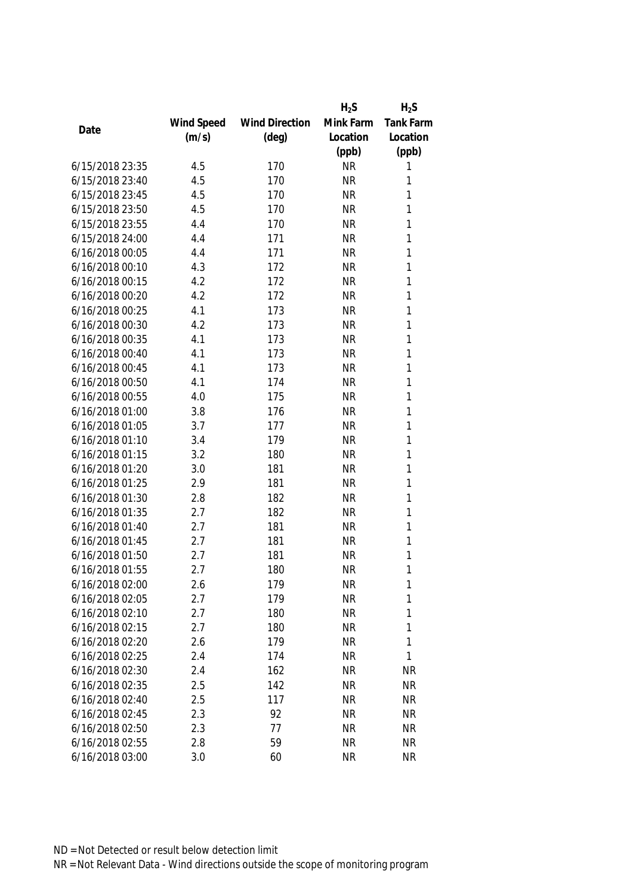|                 |            |                       | $H_2S$    | $H_2S$       |
|-----------------|------------|-----------------------|-----------|--------------|
|                 | Wind Speed | <b>Wind Direction</b> | Mink Farm | Tank Farm    |
| Date            | (m/s)      | $(\text{deg})$        | Location  | Location     |
|                 |            |                       | (ppb)     | (ppb)        |
| 6/15/2018 23:35 | 4.5        | 170                   | <b>NR</b> | 1            |
| 6/15/2018 23:40 | 4.5        | 170                   | <b>NR</b> | 1            |
| 6/15/2018 23:45 | 4.5        | 170                   | <b>NR</b> | 1            |
| 6/15/2018 23:50 | 4.5        | 170                   | <b>NR</b> | 1            |
| 6/15/2018 23:55 | 4.4        | 170                   | <b>NR</b> | 1            |
| 6/15/2018 24:00 | 4.4        | 171                   | <b>NR</b> | $\mathbf{1}$ |
| 6/16/2018 00:05 | 4.4        | 171                   | <b>NR</b> | $\mathbf{1}$ |
| 6/16/2018 00:10 | 4.3        | 172                   | <b>NR</b> | $\mathbf{1}$ |
| 6/16/2018 00:15 | 4.2        | 172                   | <b>NR</b> | 1            |
| 6/16/2018 00:20 | 4.2        | 172                   | <b>NR</b> | $\mathbf{1}$ |
| 6/16/2018 00:25 | 4.1        | 173                   | <b>NR</b> | 1            |
| 6/16/2018 00:30 | 4.2        | 173                   | <b>NR</b> | 1            |
| 6/16/2018 00:35 | 4.1        | 173                   | <b>NR</b> | 1            |
| 6/16/2018 00:40 | 4.1        | 173                   | <b>NR</b> | 1            |
| 6/16/2018 00:45 | 4.1        | 173                   | <b>NR</b> | 1            |
| 6/16/2018 00:50 | 4.1        | 174                   | <b>NR</b> | $\mathbf{1}$ |
| 6/16/2018 00:55 | 4.0        | 175                   | <b>NR</b> | $\mathbf{1}$ |
| 6/16/2018 01:00 | 3.8        | 176                   | <b>NR</b> | 1            |
| 6/16/2018 01:05 | 3.7        | 177                   | <b>NR</b> | 1            |
| 6/16/2018 01:10 | 3.4        | 179                   | <b>NR</b> | 1            |
| 6/16/2018 01:15 | 3.2        | 180                   | <b>NR</b> | 1            |
| 6/16/2018 01:20 | 3.0        | 181                   | <b>NR</b> | $\mathbf{1}$ |
| 6/16/2018 01:25 | 2.9        | 181                   | <b>NR</b> | 1            |
| 6/16/2018 01:30 | 2.8        | 182                   | <b>NR</b> | 1            |
| 6/16/2018 01:35 | 2.7        | 182                   | <b>NR</b> | $\mathbf{1}$ |
| 6/16/2018 01:40 | 2.7        | 181                   | <b>NR</b> | 1            |
| 6/16/2018 01:45 | 2.7        | 181                   | <b>NR</b> | 1            |
| 6/16/2018 01:50 | 2.7        | 181                   | <b>NR</b> | 1            |
| 6/16/2018 01:55 | 2.7        | 180                   | <b>NR</b> | 1            |
| 6/16/2018 02:00 | 2.6        | 179                   | <b>NR</b> | 1            |
| 6/16/2018 02:05 | 2.7        | 179                   | <b>NR</b> | 1            |
| 6/16/2018 02:10 | 2.7        | 180                   | <b>NR</b> | 1            |
| 6/16/2018 02:15 | 2.7        | 180                   | <b>NR</b> | 1            |
| 6/16/2018 02:20 | 2.6        | 179                   | <b>NR</b> | 1            |
| 6/16/2018 02:25 | 2.4        | 174                   | <b>NR</b> | 1            |
| 6/16/2018 02:30 | 2.4        | 162                   | <b>NR</b> | <b>NR</b>    |
| 6/16/2018 02:35 | 2.5        | 142                   | <b>NR</b> | <b>NR</b>    |
| 6/16/2018 02:40 | 2.5        | 117                   | <b>NR</b> | <b>NR</b>    |
| 6/16/2018 02:45 | 2.3        | 92                    | <b>NR</b> | <b>NR</b>    |
| 6/16/2018 02:50 | 2.3        | 77                    | <b>NR</b> | <b>NR</b>    |
| 6/16/2018 02:55 | 2.8        | 59                    | <b>NR</b> | <b>NR</b>    |
| 6/16/2018 03:00 | 3.0        | 60                    | <b>NR</b> | <b>NR</b>    |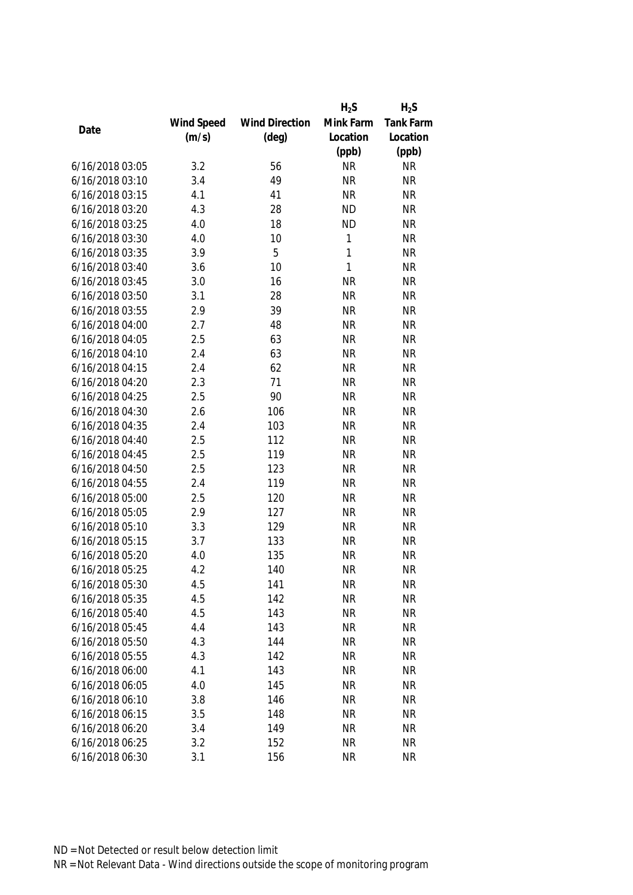|                 |            |                       | $H_2S$       | $H_2S$           |
|-----------------|------------|-----------------------|--------------|------------------|
|                 | Wind Speed | <b>Wind Direction</b> | Mink Farm    | <b>Tank Farm</b> |
| Date            | (m/s)      | $(\text{deg})$        | Location     | Location         |
|                 |            |                       | (ppb)        | (ppb)            |
| 6/16/2018 03:05 | 3.2        | 56                    | <b>NR</b>    | <b>NR</b>        |
| 6/16/2018 03:10 | 3.4        | 49                    | <b>NR</b>    | <b>NR</b>        |
| 6/16/2018 03:15 | 4.1        | 41                    | <b>NR</b>    | <b>NR</b>        |
| 6/16/2018 03:20 | 4.3        | 28                    | <b>ND</b>    | <b>NR</b>        |
| 6/16/2018 03:25 | 4.0        | 18                    | <b>ND</b>    | <b>NR</b>        |
| 6/16/2018 03:30 | 4.0        | 10                    | 1            | <b>NR</b>        |
| 6/16/2018 03:35 | 3.9        | 5                     | $\mathbf{1}$ | <b>NR</b>        |
| 6/16/2018 03:40 | 3.6        | 10                    | $\mathbf{1}$ | <b>NR</b>        |
| 6/16/2018 03:45 | 3.0        | 16                    | <b>NR</b>    | <b>NR</b>        |
| 6/16/2018 03:50 | 3.1        | 28                    | <b>NR</b>    | <b>NR</b>        |
| 6/16/2018 03:55 | 2.9        | 39                    | <b>NR</b>    | <b>NR</b>        |
| 6/16/2018 04:00 | 2.7        | 48                    | <b>NR</b>    | <b>NR</b>        |
| 6/16/2018 04:05 | 2.5        | 63                    | <b>NR</b>    | <b>NR</b>        |
| 6/16/2018 04:10 | 2.4        | 63                    | <b>NR</b>    | <b>NR</b>        |
| 6/16/2018 04:15 | 2.4        | 62                    | <b>NR</b>    | <b>NR</b>        |
| 6/16/2018 04:20 | 2.3        | 71                    | <b>NR</b>    | <b>NR</b>        |
| 6/16/2018 04:25 | 2.5        | 90                    | <b>NR</b>    | <b>NR</b>        |
| 6/16/2018 04:30 | 2.6        | 106                   | <b>NR</b>    | <b>NR</b>        |
| 6/16/2018 04:35 | 2.4        | 103                   | <b>NR</b>    | <b>NR</b>        |
| 6/16/2018 04:40 | 2.5        | 112                   | <b>NR</b>    | <b>NR</b>        |
| 6/16/2018 04:45 | 2.5        | 119                   | <b>NR</b>    | <b>NR</b>        |
| 6/16/2018 04:50 | 2.5        | 123                   | <b>NR</b>    | <b>NR</b>        |
| 6/16/2018 04:55 | 2.4        | 119                   | <b>NR</b>    | <b>NR</b>        |
| 6/16/2018 05:00 | 2.5        | 120                   | <b>NR</b>    | <b>NR</b>        |
| 6/16/2018 05:05 | 2.9        | 127                   | <b>NR</b>    | <b>NR</b>        |
| 6/16/2018 05:10 | 3.3        | 129                   | <b>NR</b>    | <b>NR</b>        |
| 6/16/2018 05:15 | 3.7        | 133                   | <b>NR</b>    | <b>NR</b>        |
| 6/16/2018 05:20 | 4.0        | 135                   | <b>NR</b>    | <b>NR</b>        |
| 6/16/2018 05:25 | 4.2        | 140                   | <b>NR</b>    | <b>NR</b>        |
| 6/16/2018 05:30 | 4.5        | 141                   | <b>NR</b>    | <b>NR</b>        |
| 6/16/2018 05:35 | 4.5        | 142                   | <b>NR</b>    | <b>NR</b>        |
| 6/16/2018 05:40 | 4.5        | 143                   | <b>NR</b>    | <b>NR</b>        |
| 6/16/2018 05:45 | 4.4        | 143                   | <b>NR</b>    | <b>NR</b>        |
| 6/16/2018 05:50 | 4.3        | 144                   | <b>NR</b>    | <b>NR</b>        |
| 6/16/2018 05:55 | 4.3        | 142                   | <b>NR</b>    | <b>NR</b>        |
| 6/16/2018 06:00 | 4.1        | 143                   | <b>NR</b>    | <b>NR</b>        |
| 6/16/2018 06:05 | 4.0        | 145                   | <b>NR</b>    | <b>NR</b>        |
| 6/16/2018 06:10 | 3.8        | 146                   | <b>NR</b>    | <b>NR</b>        |
| 6/16/2018 06:15 | 3.5        | 148                   | <b>NR</b>    | <b>NR</b>        |
| 6/16/2018 06:20 | 3.4        | 149                   | <b>NR</b>    | <b>NR</b>        |
| 6/16/2018 06:25 | 3.2        | 152                   | <b>NR</b>    | <b>NR</b>        |
| 6/16/2018 06:30 | 3.1        | 156                   | <b>NR</b>    | <b>NR</b>        |
|                 |            |                       |              |                  |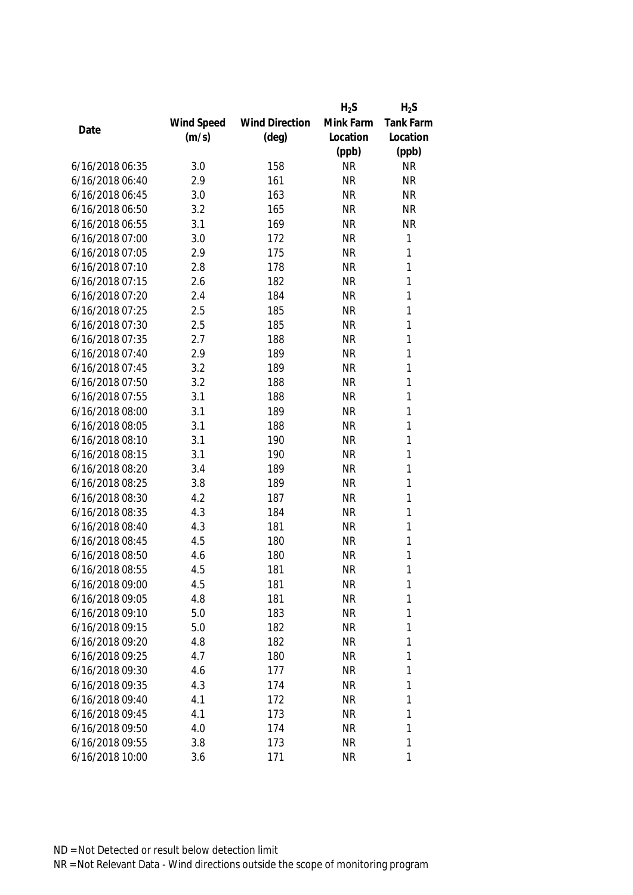|                 |            |                       | $H_2S$    | $H_2S$       |
|-----------------|------------|-----------------------|-----------|--------------|
|                 | Wind Speed | <b>Wind Direction</b> | Mink Farm | Tank Farm    |
| Date            | (m/s)      | $(\text{deg})$        | Location  | Location     |
|                 |            |                       | (ppb)     | (ppb)        |
| 6/16/2018 06:35 | 3.0        | 158                   | <b>NR</b> | <b>NR</b>    |
| 6/16/2018 06:40 | 2.9        | 161                   | <b>NR</b> | <b>NR</b>    |
| 6/16/2018 06:45 | 3.0        | 163                   | <b>NR</b> | <b>NR</b>    |
| 6/16/2018 06:50 | 3.2        | 165                   | <b>NR</b> | <b>NR</b>    |
| 6/16/2018 06:55 | 3.1        | 169                   | <b>NR</b> | <b>NR</b>    |
| 6/16/2018 07:00 | 3.0        | 172                   | <b>NR</b> | 1            |
| 6/16/2018 07:05 | 2.9        | 175                   | <b>NR</b> | $\mathbf{1}$ |
| 6/16/2018 07:10 | 2.8        | 178                   | <b>NR</b> | $\mathbf{1}$ |
| 6/16/2018 07:15 | 2.6        | 182                   | <b>NR</b> | $\mathbf{1}$ |
| 6/16/2018 07:20 | 2.4        | 184                   | <b>NR</b> | $\mathbf{1}$ |
| 6/16/2018 07:25 | 2.5        | 185                   | <b>NR</b> | 1            |
| 6/16/2018 07:30 | 2.5        | 185                   | <b>NR</b> | 1            |
| 6/16/2018 07:35 | 2.7        | 188                   | <b>NR</b> | 1            |
| 6/16/2018 07:40 | 2.9        | 189                   | <b>NR</b> | 1            |
| 6/16/2018 07:45 | 3.2        | 189                   | <b>NR</b> | 1            |
| 6/16/2018 07:50 | 3.2        | 188                   | <b>NR</b> | $\mathbf{1}$ |
| 6/16/2018 07:55 | 3.1        | 188                   | <b>NR</b> | 1            |
| 6/16/2018 08:00 | 3.1        | 189                   | <b>NR</b> | 1            |
| 6/16/2018 08:05 | 3.1        | 188                   | <b>NR</b> | 1            |
| 6/16/2018 08:10 | 3.1        | 190                   | <b>NR</b> | 1            |
| 6/16/2018 08:15 | 3.1        | 190                   | <b>NR</b> | $\mathbf{1}$ |
| 6/16/2018 08:20 | 3.4        | 189                   | <b>NR</b> | $\mathbf{1}$ |
| 6/16/2018 08:25 | 3.8        | 189                   | <b>NR</b> | 1            |
| 6/16/2018 08:30 | 4.2        | 187                   | <b>NR</b> | $\mathbf{1}$ |
| 6/16/2018 08:35 | 4.3        | 184                   | <b>NR</b> | $\mathbf{1}$ |
| 6/16/2018 08:40 | 4.3        | 181                   | <b>NR</b> | 1            |
| 6/16/2018 08:45 | 4.5        | 180                   | <b>NR</b> | 1            |
| 6/16/2018 08:50 | 4.6        | 180                   | <b>NR</b> | 1            |
| 6/16/2018 08:55 | 4.5        | 181                   | <b>NR</b> | 1            |
| 6/16/2018 09:00 | 4.5        | 181                   | <b>NR</b> | 1            |
| 6/16/2018 09:05 | 4.8        | 181                   | <b>NR</b> | 1            |
| 6/16/2018 09:10 | 5.0        | 183                   | <b>NR</b> | 1            |
| 6/16/2018 09:15 | 5.0        | 182                   | <b>NR</b> | 1            |
| 6/16/2018 09:20 | 4.8        | 182                   | NR        | 1            |
| 6/16/2018 09:25 | 4.7        | 180                   | <b>NR</b> | 1            |
| 6/16/2018 09:30 | 4.6        | 177                   | <b>NR</b> | 1            |
| 6/16/2018 09:35 | 4.3        | 174                   | <b>NR</b> | 1            |
| 6/16/2018 09:40 | 4.1        | 172                   | <b>NR</b> | 1            |
| 6/16/2018 09:45 | 4.1        | 173                   | <b>NR</b> | 1            |
| 6/16/2018 09:50 | 4.0        | 174                   | <b>NR</b> | 1            |
| 6/16/2018 09:55 | 3.8        | 173                   | <b>NR</b> | 1            |
| 6/16/2018 10:00 | 3.6        | 171                   | <b>NR</b> | 1            |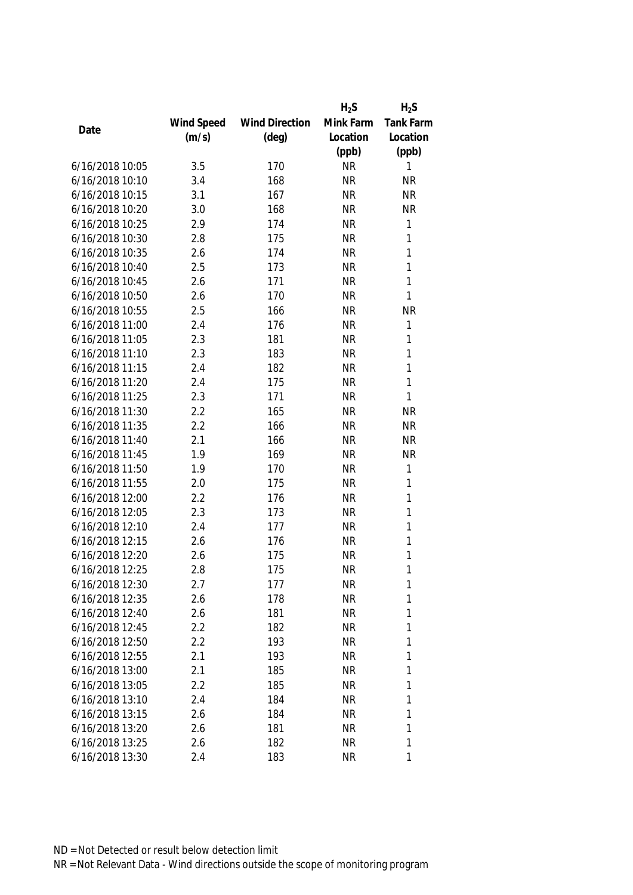|                 |            |                       | $H_2S$    | $H_2S$    |
|-----------------|------------|-----------------------|-----------|-----------|
|                 | Wind Speed | <b>Wind Direction</b> | Mink Farm | Tank Farm |
| Date            | (m/s)      | $(\text{deg})$        | Location  | Location  |
|                 |            |                       | (ppb)     | (ppb)     |
| 6/16/2018 10:05 | 3.5        | 170                   | <b>NR</b> | 1         |
| 6/16/2018 10:10 | 3.4        | 168                   | <b>NR</b> | <b>NR</b> |
| 6/16/2018 10:15 | 3.1        | 167                   | <b>NR</b> | <b>NR</b> |
| 6/16/2018 10:20 | 3.0        | 168                   | <b>NR</b> | <b>NR</b> |
| 6/16/2018 10:25 | 2.9        | 174                   | <b>NR</b> | 1         |
| 6/16/2018 10:30 | 2.8        | 175                   | <b>NR</b> | 1         |
| 6/16/2018 10:35 | 2.6        | 174                   | <b>NR</b> | 1         |
| 6/16/2018 10:40 | 2.5        | 173                   | <b>NR</b> | 1         |
| 6/16/2018 10:45 | 2.6        | 171                   | <b>NR</b> | 1         |
| 6/16/2018 10:50 | 2.6        | 170                   | <b>NR</b> | 1         |
| 6/16/2018 10:55 | 2.5        | 166                   | <b>NR</b> | <b>NR</b> |
| 6/16/2018 11:00 | 2.4        | 176                   | <b>NR</b> | 1         |
| 6/16/2018 11:05 | 2.3        | 181                   | <b>NR</b> | 1         |
| 6/16/2018 11:10 | 2.3        | 183                   | <b>NR</b> | 1         |
| 6/16/2018 11:15 | 2.4        | 182                   | <b>NR</b> | 1         |
| 6/16/2018 11:20 | 2.4        | 175                   | <b>NR</b> | 1         |
| 6/16/2018 11:25 | 2.3        | 171                   | <b>NR</b> | 1         |
| 6/16/2018 11:30 | 2.2        | 165                   | <b>NR</b> | <b>NR</b> |
| 6/16/2018 11:35 | 2.2        | 166                   | <b>NR</b> | <b>NR</b> |
| 6/16/2018 11:40 | 2.1        | 166                   | <b>NR</b> | <b>NR</b> |
| 6/16/2018 11:45 | 1.9        | 169                   | <b>NR</b> | <b>NR</b> |
| 6/16/2018 11:50 | 1.9        | 170                   | <b>NR</b> | 1         |
| 6/16/2018 11:55 | 2.0        | 175                   | <b>NR</b> | 1         |
| 6/16/2018 12:00 | 2.2        | 176                   | <b>NR</b> | 1         |
| 6/16/2018 12:05 | 2.3        | 173                   | <b>NR</b> | 1         |
| 6/16/2018 12:10 | 2.4        | 177                   | <b>NR</b> | 1         |
| 6/16/2018 12:15 | 2.6        | 176                   | <b>NR</b> | 1         |
| 6/16/2018 12:20 | 2.6        | 175                   | <b>NR</b> | 1         |
| 6/16/2018 12:25 | 2.8        | 175                   | <b>NR</b> | 1         |
| 6/16/2018 12:30 | 2.7        | 177                   | <b>NR</b> | 1         |
| 6/16/2018 12:35 | 2.6        | 178                   | <b>NR</b> | 1         |
| 6/16/2018 12:40 | 2.6        | 181                   | <b>NR</b> | 1         |
| 6/16/2018 12:45 | 2.2        | 182                   | <b>NR</b> | 1         |
| 6/16/2018 12:50 | 2.2        | 193                   | <b>NR</b> | 1         |
| 6/16/2018 12:55 | 2.1        | 193                   | <b>NR</b> | 1         |
| 6/16/2018 13:00 | 2.1        | 185                   | <b>NR</b> | 1         |
| 6/16/2018 13:05 | 2.2        | 185                   | <b>NR</b> | 1         |
| 6/16/2018 13:10 | 2.4        | 184                   | <b>NR</b> | 1         |
| 6/16/2018 13:15 | 2.6        | 184                   | <b>NR</b> | 1         |
| 6/16/2018 13:20 | 2.6        | 181                   | <b>NR</b> | 1         |
| 6/16/2018 13:25 | 2.6        | 182                   | <b>NR</b> | 1         |
| 6/16/2018 13:30 | 2.4        | 183                   | <b>NR</b> | 1         |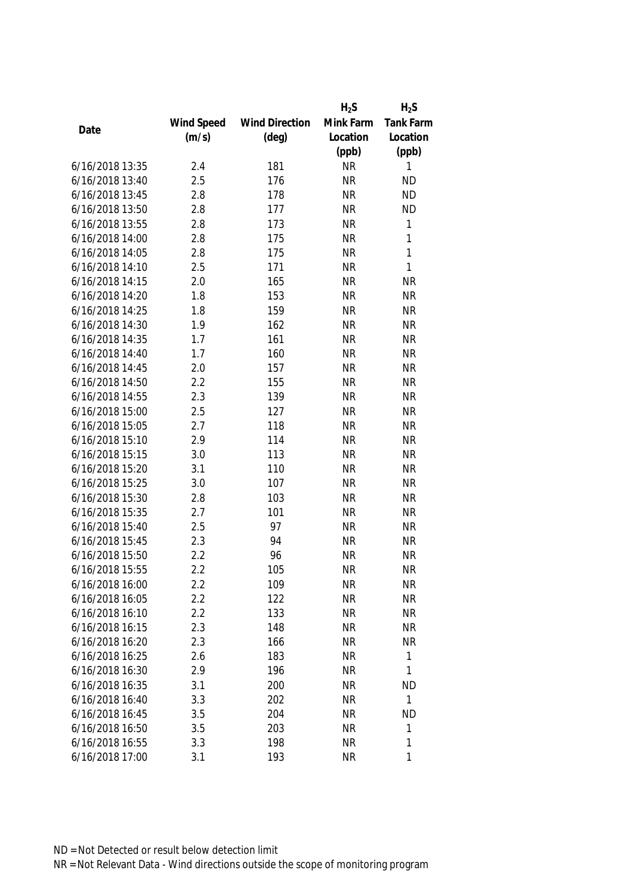|                 |            |                       | $H_2S$    | $H_2S$       |
|-----------------|------------|-----------------------|-----------|--------------|
|                 | Wind Speed | <b>Wind Direction</b> | Mink Farm | Tank Farm    |
| Date            | (m/s)      | $(\text{deg})$        | Location  | Location     |
|                 |            |                       | (ppb)     | (ppb)        |
| 6/16/2018 13:35 | 2.4        | 181                   | <b>NR</b> | 1            |
| 6/16/2018 13:40 | 2.5        | 176                   | <b>NR</b> | <b>ND</b>    |
| 6/16/2018 13:45 | 2.8        | 178                   | <b>NR</b> | <b>ND</b>    |
| 6/16/2018 13:50 | 2.8        | 177                   | <b>NR</b> | <b>ND</b>    |
| 6/16/2018 13:55 | 2.8        | 173                   | <b>NR</b> | 1            |
| 6/16/2018 14:00 | 2.8        | 175                   | <b>NR</b> | 1            |
| 6/16/2018 14:05 | 2.8        | 175                   | <b>NR</b> | 1            |
| 6/16/2018 14:10 | 2.5        | 171                   | <b>NR</b> | 1            |
| 6/16/2018 14:15 | 2.0        | 165                   | <b>NR</b> | <b>NR</b>    |
| 6/16/2018 14:20 | 1.8        | 153                   | <b>NR</b> | <b>NR</b>    |
| 6/16/2018 14:25 | 1.8        | 159                   | <b>NR</b> | <b>NR</b>    |
| 6/16/2018 14:30 | 1.9        | 162                   | <b>NR</b> | <b>NR</b>    |
| 6/16/2018 14:35 | 1.7        | 161                   | <b>NR</b> | <b>NR</b>    |
| 6/16/2018 14:40 | 1.7        | 160                   | <b>NR</b> | <b>NR</b>    |
| 6/16/2018 14:45 | 2.0        | 157                   | <b>NR</b> | <b>NR</b>    |
| 6/16/2018 14:50 | 2.2        | 155                   | <b>NR</b> | <b>NR</b>    |
| 6/16/2018 14:55 | 2.3        | 139                   | <b>NR</b> | <b>NR</b>    |
| 6/16/2018 15:00 | 2.5        | 127                   | <b>NR</b> | <b>NR</b>    |
| 6/16/2018 15:05 | 2.7        | 118                   | <b>NR</b> | <b>NR</b>    |
| 6/16/2018 15:10 | 2.9        | 114                   | <b>NR</b> | <b>NR</b>    |
| 6/16/2018 15:15 | 3.0        | 113                   | <b>NR</b> | <b>NR</b>    |
| 6/16/2018 15:20 | 3.1        | 110                   | <b>NR</b> | <b>NR</b>    |
| 6/16/2018 15:25 | 3.0        | 107                   | <b>NR</b> | <b>NR</b>    |
| 6/16/2018 15:30 | 2.8        | 103                   | <b>NR</b> | <b>NR</b>    |
| 6/16/2018 15:35 | 2.7        | 101                   | <b>NR</b> | <b>NR</b>    |
| 6/16/2018 15:40 | 2.5        | 97                    | <b>NR</b> | <b>NR</b>    |
| 6/16/2018 15:45 | 2.3        | 94                    | <b>NR</b> | <b>NR</b>    |
| 6/16/2018 15:50 | 2.2        | 96                    | <b>NR</b> | <b>NR</b>    |
| 6/16/2018 15:55 | 2.2        | 105                   | <b>NR</b> | <b>NR</b>    |
| 6/16/2018 16:00 | 2.2        | 109                   | NR        | <b>NR</b>    |
| 6/16/2018 16:05 | 2.2        | 122                   | <b>NR</b> | <b>NR</b>    |
| 6/16/2018 16:10 | 2.2        | 133                   | <b>NR</b> | <b>NR</b>    |
| 6/16/2018 16:15 | 2.3        | 148                   | <b>NR</b> | <b>NR</b>    |
| 6/16/2018 16:20 | 2.3        | 166                   | <b>NR</b> | <b>NR</b>    |
| 6/16/2018 16:25 | 2.6        | 183                   | <b>NR</b> | 1            |
| 6/16/2018 16:30 | 2.9        | 196                   | <b>NR</b> | 1            |
| 6/16/2018 16:35 | 3.1        | 200                   | <b>NR</b> | <b>ND</b>    |
| 6/16/2018 16:40 | 3.3        | 202                   | <b>NR</b> | $\mathbf{1}$ |
| 6/16/2018 16:45 | 3.5        | 204                   | <b>NR</b> | <b>ND</b>    |
| 6/16/2018 16:50 | 3.5        | 203                   | <b>NR</b> | 1            |
| 6/16/2018 16:55 | 3.3        | 198                   | <b>NR</b> | 1            |
| 6/16/2018 17:00 | 3.1        | 193                   | <b>NR</b> | 1            |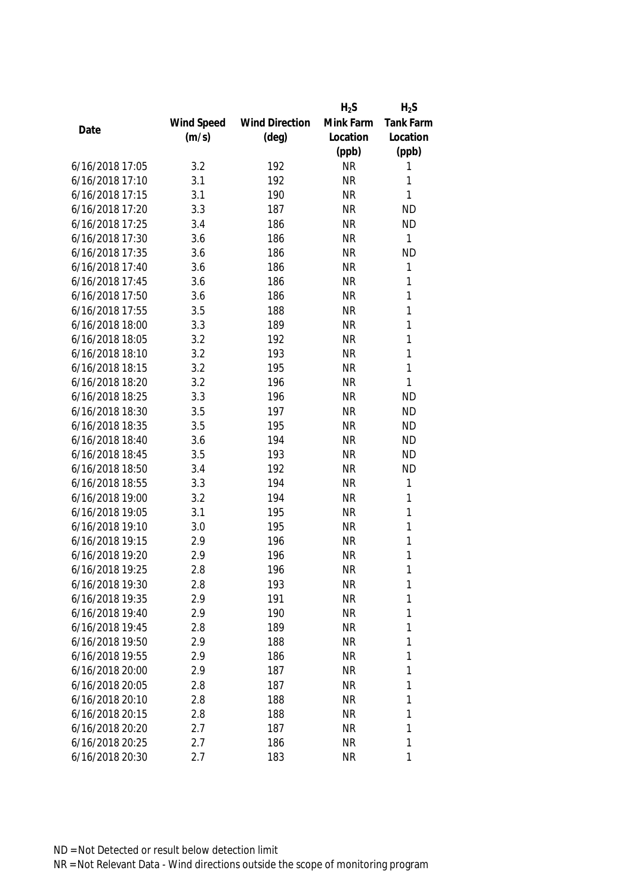|                 |            |                       | $H_2S$    | $H_2S$       |
|-----------------|------------|-----------------------|-----------|--------------|
|                 | Wind Speed | <b>Wind Direction</b> | Mink Farm | Tank Farm    |
| Date            | (m/s)      | $(\text{deg})$        | Location  | Location     |
|                 |            |                       | (ppb)     | (ppb)        |
| 6/16/2018 17:05 | 3.2        | 192                   | <b>NR</b> | 1            |
| 6/16/2018 17:10 | 3.1        | 192                   | <b>NR</b> | 1            |
| 6/16/2018 17:15 | 3.1        | 190                   | <b>NR</b> | 1            |
| 6/16/2018 17:20 | 3.3        | 187                   | <b>NR</b> | <b>ND</b>    |
| 6/16/2018 17:25 | 3.4        | 186                   | <b>NR</b> | <b>ND</b>    |
| 6/16/2018 17:30 | 3.6        | 186                   | <b>NR</b> | $\mathbf{1}$ |
| 6/16/2018 17:35 | 3.6        | 186                   | <b>NR</b> | <b>ND</b>    |
| 6/16/2018 17:40 | 3.6        | 186                   | <b>NR</b> | $\mathbf{1}$ |
| 6/16/2018 17:45 | 3.6        | 186                   | <b>NR</b> | 1            |
| 6/16/2018 17:50 | 3.6        | 186                   | <b>NR</b> | $\mathbf{1}$ |
| 6/16/2018 17:55 | 3.5        | 188                   | <b>NR</b> | 1            |
| 6/16/2018 18:00 | 3.3        | 189                   | <b>NR</b> | 1            |
| 6/16/2018 18:05 | 3.2        | 192                   | <b>NR</b> | 1            |
| 6/16/2018 18:10 | 3.2        | 193                   | <b>NR</b> | 1            |
| 6/16/2018 18:15 | 3.2        | 195                   | <b>NR</b> | 1            |
| 6/16/2018 18:20 | 3.2        | 196                   | <b>NR</b> | $\mathbf{1}$ |
| 6/16/2018 18:25 | 3.3        | 196                   | <b>NR</b> | <b>ND</b>    |
| 6/16/2018 18:30 | 3.5        | 197                   | <b>NR</b> | <b>ND</b>    |
| 6/16/2018 18:35 | 3.5        | 195                   | <b>NR</b> | <b>ND</b>    |
| 6/16/2018 18:40 | 3.6        | 194                   | <b>NR</b> | <b>ND</b>    |
| 6/16/2018 18:45 | 3.5        | 193                   | <b>NR</b> | <b>ND</b>    |
| 6/16/2018 18:50 | 3.4        | 192                   | <b>NR</b> | <b>ND</b>    |
| 6/16/2018 18:55 | 3.3        | 194                   | <b>NR</b> | $\mathbf{1}$ |
| 6/16/2018 19:00 | 3.2        | 194                   | <b>NR</b> | $\mathbf{1}$ |
| 6/16/2018 19:05 | 3.1        | 195                   | <b>NR</b> | $\mathbf{1}$ |
| 6/16/2018 19:10 | 3.0        | 195                   | <b>NR</b> | 1            |
| 6/16/2018 19:15 | 2.9        | 196                   | <b>NR</b> | 1            |
| 6/16/2018 19:20 | 2.9        | 196                   | <b>NR</b> | 1            |
| 6/16/2018 19:25 | 2.8        | 196                   | <b>NR</b> | 1            |
| 6/16/2018 19:30 | 2.8        | 193                   | <b>NR</b> | 1            |
| 6/16/2018 19:35 | 2.9        | 191                   | <b>NR</b> | 1            |
| 6/16/2018 19:40 | 2.9        | 190                   | <b>NR</b> | 1            |
| 6/16/2018 19:45 | 2.8        | 189                   | <b>NR</b> | 1            |
| 6/16/2018 19:50 | 2.9        | 188                   | <b>NR</b> | 1            |
| 6/16/2018 19:55 | 2.9        | 186                   | <b>NR</b> | 1            |
| 6/16/2018 20:00 | 2.9        | 187                   | <b>NR</b> | 1            |
| 6/16/2018 20:05 | 2.8        | 187                   | <b>NR</b> | 1            |
| 6/16/2018 20:10 | 2.8        | 188                   | <b>NR</b> | 1            |
| 6/16/2018 20:15 | 2.8        | 188                   | <b>NR</b> | 1            |
| 6/16/2018 20:20 | 2.7        | 187                   | <b>NR</b> | 1            |
| 6/16/2018 20:25 | 2.7        | 186                   | <b>NR</b> | 1            |
| 6/16/2018 20:30 | 2.7        | 183                   | <b>NR</b> | 1            |